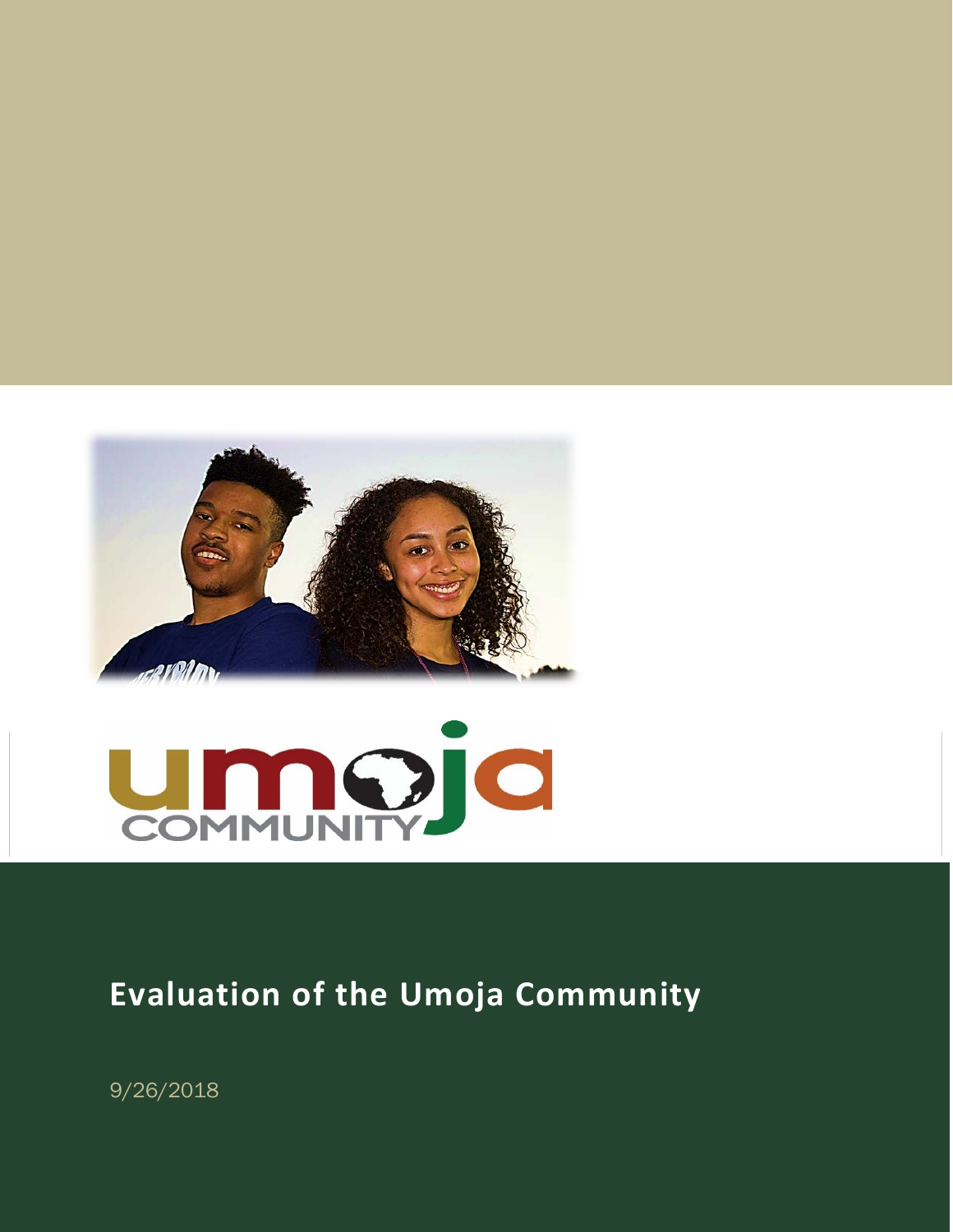



# **Evaluation of the Umoja Community**

9/26/2018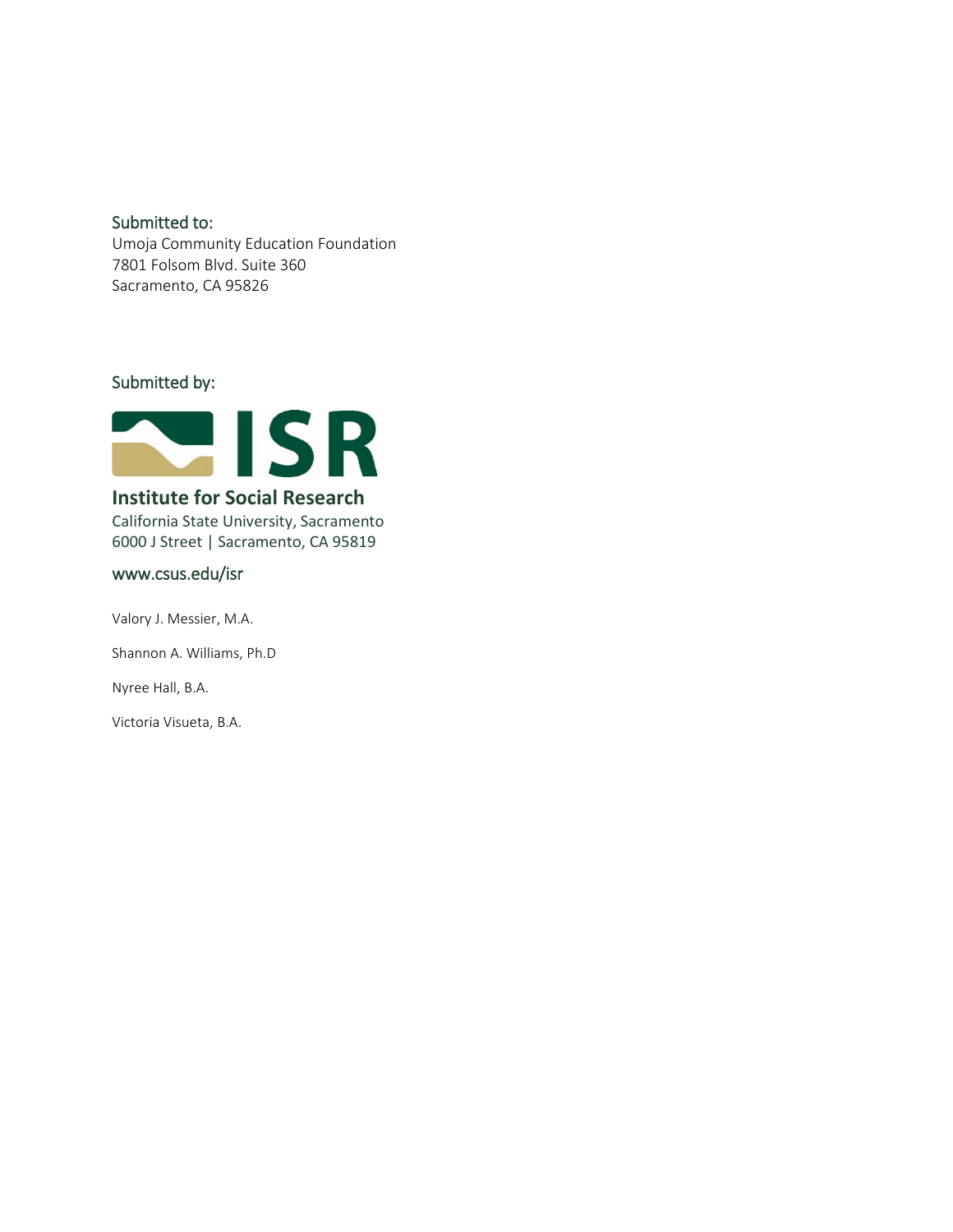#### Submitted to:

Umoja Community Education Foundation 7801 Folsom Blvd. Suite 360 Sacramento, CA 95826

## Submitted by:



## **Institute for Social Research**

California State University, Sacramento 6000 J Street | Sacramento, CA 95819

#### [www.csus.edu/isr](http://www.csus.edu/isr)

Valory J. Messier, M.A. Shannon A. Williams, Ph.D Nyree Hall, B.A.

Victoria Visueta, B.A.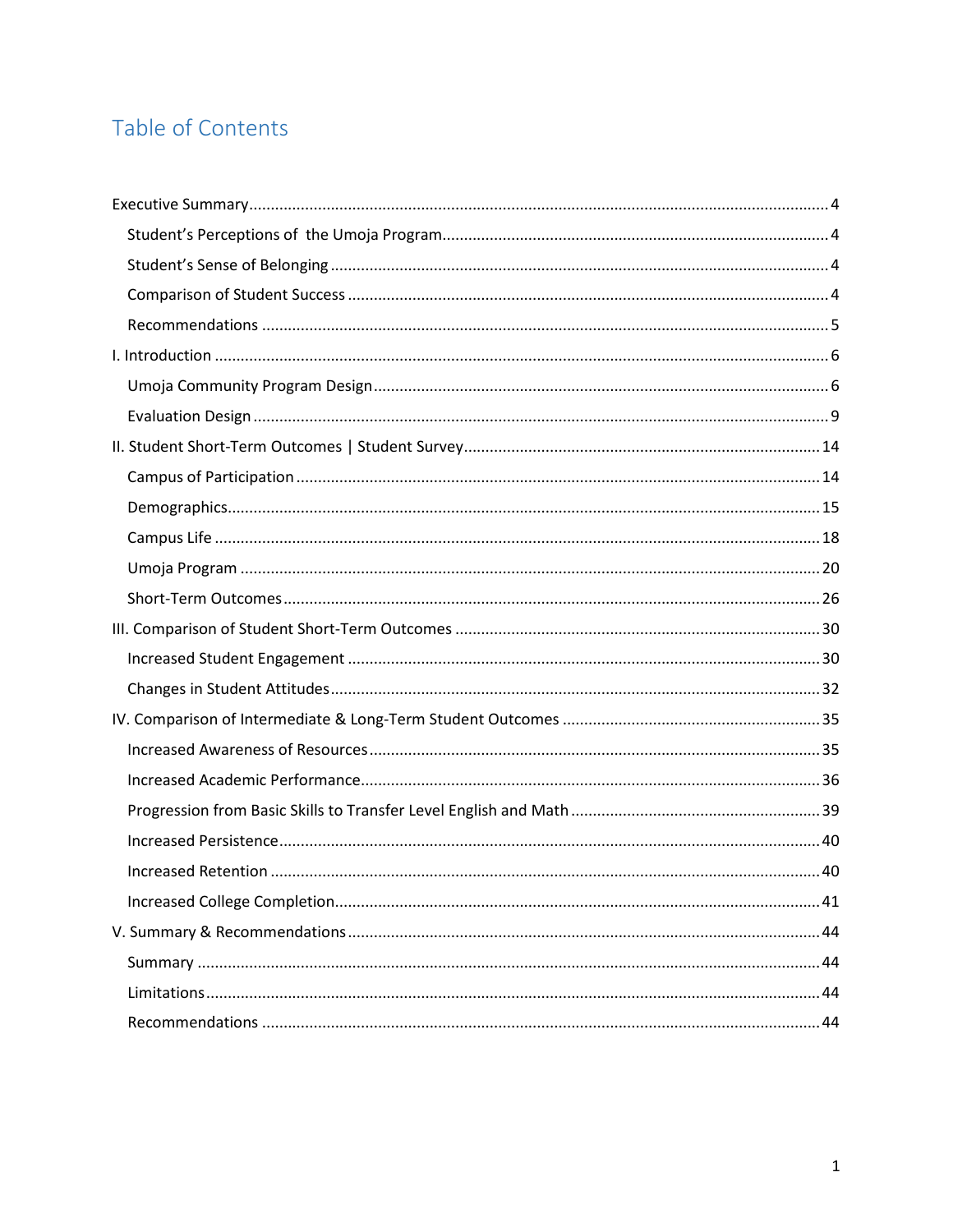## Table of Contents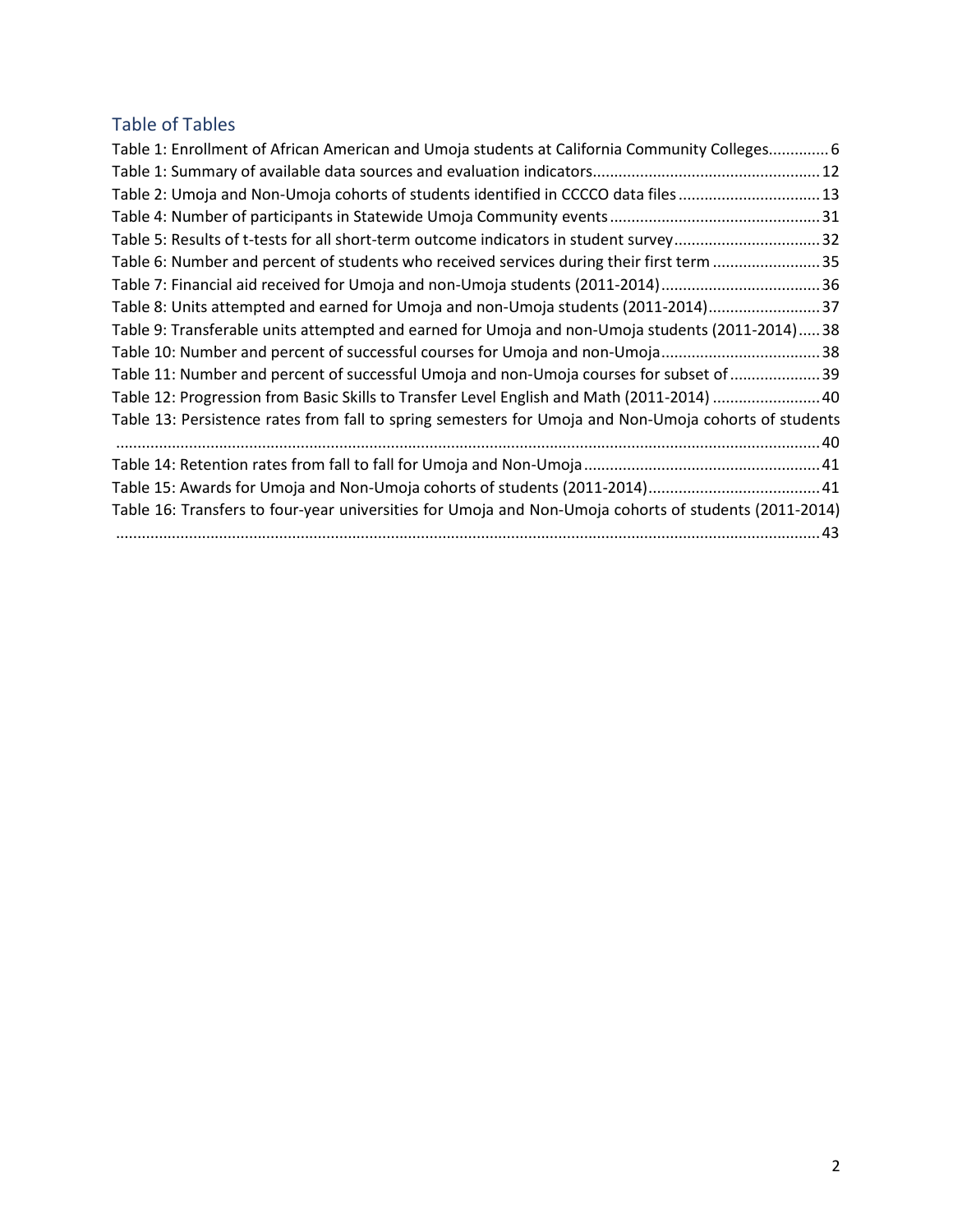## Table of Tables

| Table 1: Enrollment of African American and Umoja students at California Community Colleges 6         |
|-------------------------------------------------------------------------------------------------------|
|                                                                                                       |
| Table 2: Umoja and Non-Umoja cohorts of students identified in CCCCO data files13                     |
|                                                                                                       |
| Table 5: Results of t-tests for all short-term outcome indicators in student survey32                 |
| Table 6: Number and percent of students who received services during their first term 35              |
| Table 7: Financial aid received for Umoja and non-Umoja students (2011-2014)36                        |
| Table 8: Units attempted and earned for Umoja and non-Umoja students (2011-2014)37                    |
| Table 9: Transferable units attempted and earned for Umoja and non-Umoja students (2011-2014) 38      |
| Table 10: Number and percent of successful courses for Umoja and non-Umoja38                          |
| Table 11: Number and percent of successful Umoja and non-Umoja courses for subset of 39               |
| Table 12: Progression from Basic Skills to Transfer Level English and Math (2011-2014)  40            |
| Table 13: Persistence rates from fall to spring semesters for Umoja and Non-Umoja cohorts of students |
|                                                                                                       |
|                                                                                                       |
|                                                                                                       |
| Table 16: Transfers to four-year universities for Umoja and Non-Umoja cohorts of students (2011-2014) |
|                                                                                                       |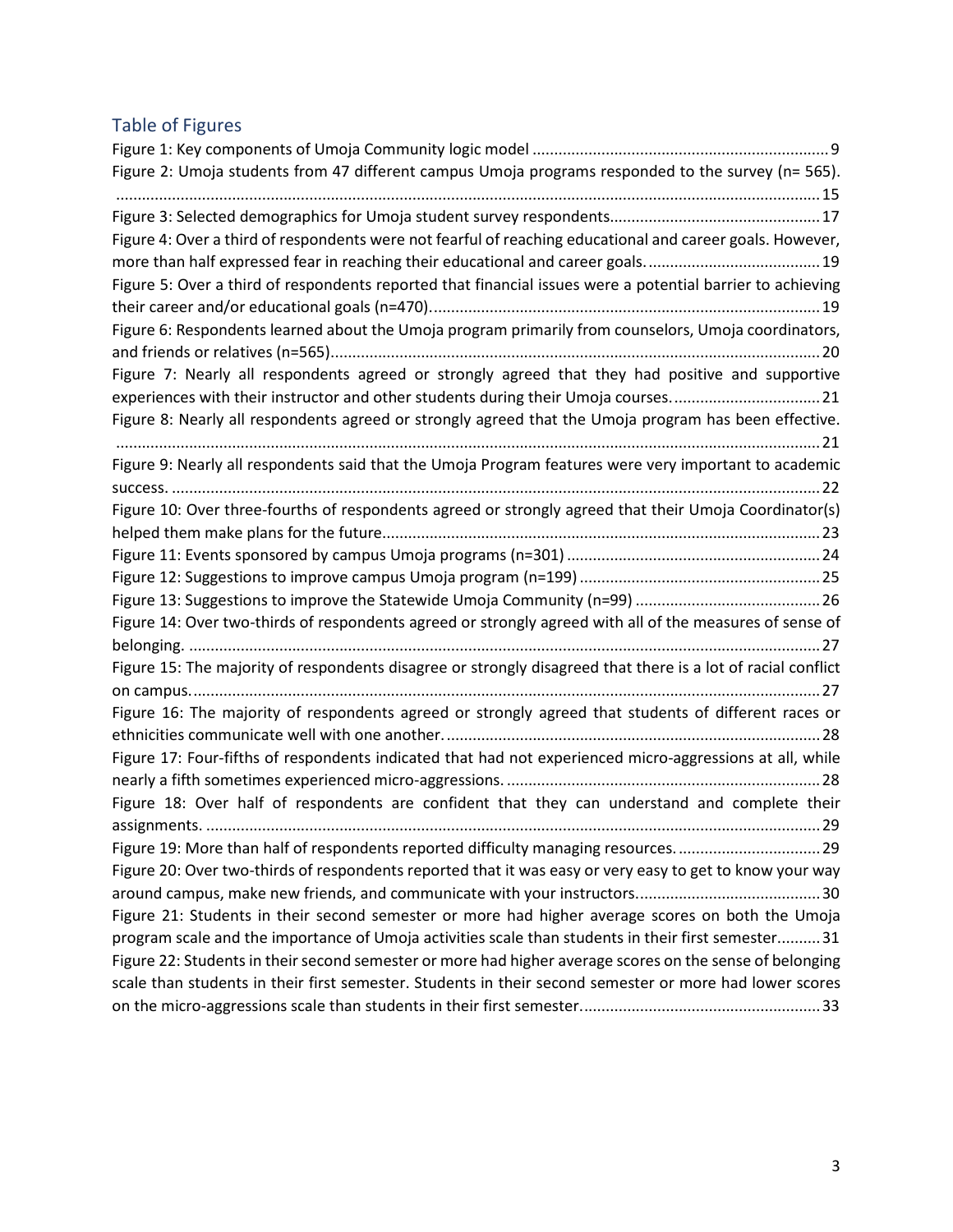## Table of Figures

| Figure 2: Umoja students from 47 different campus Umoja programs responded to the survey (n= 565).           |
|--------------------------------------------------------------------------------------------------------------|
|                                                                                                              |
| Figure 4: Over a third of respondents were not fearful of reaching educational and career goals. However,    |
|                                                                                                              |
| Figure 5: Over a third of respondents reported that financial issues were a potential barrier to achieving   |
|                                                                                                              |
| Figure 6: Respondents learned about the Umoja program primarily from counselors, Umoja coordinators,         |
| Figure 7: Nearly all respondents agreed or strongly agreed that they had positive and supportive             |
| experiences with their instructor and other students during their Umoja courses21                            |
| Figure 8: Nearly all respondents agreed or strongly agreed that the Umoja program has been effective.        |
| Figure 9: Nearly all respondents said that the Umoja Program features were very important to academic        |
|                                                                                                              |
| Figure 10: Over three-fourths of respondents agreed or strongly agreed that their Umoja Coordinator(s)       |
|                                                                                                              |
|                                                                                                              |
|                                                                                                              |
|                                                                                                              |
| Figure 14: Over two-thirds of respondents agreed or strongly agreed with all of the measures of sense of     |
| Figure 15: The majority of respondents disagree or strongly disagreed that there is a lot of racial conflict |
| Figure 16: The majority of respondents agreed or strongly agreed that students of different races or         |
| Figure 17: Four-fifths of respondents indicated that had not experienced micro-aggressions at all, while     |
|                                                                                                              |
| Figure 18: Over half of respondents are confident that they can understand and complete their                |
| Figure 19: More than half of respondents reported difficulty managing resources29                            |
| Figure 20: Over two-thirds of respondents reported that it was easy or very easy to get to know your way     |
|                                                                                                              |
| Figure 21: Students in their second semester or more had higher average scores on both the Umoja             |
| program scale and the importance of Umoja activities scale than students in their first semester 31          |
| Figure 22: Students in their second semester or more had higher average scores on the sense of belonging     |
| scale than students in their first semester. Students in their second semester or more had lower scores      |
|                                                                                                              |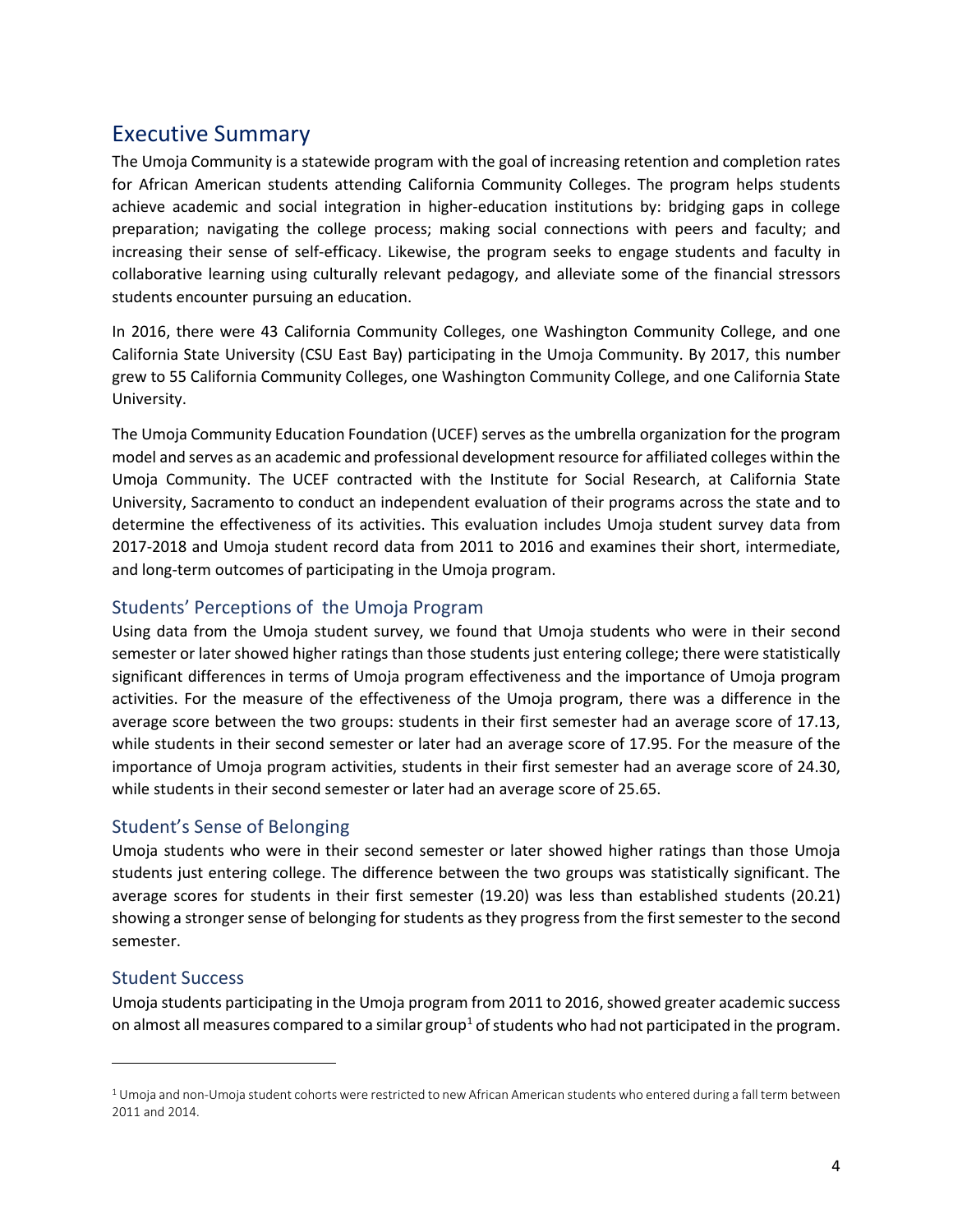## <span id="page-5-0"></span>Executive Summary

The Umoja Community is a statewide program with the goal of increasing retention and completion rates for African American students attending California Community Colleges. The program helps students achieve academic and social integration in higher-education institutions by: bridging gaps in college preparation; navigating the college process; making social connections with peers and faculty; and increasing their sense of self-efficacy. Likewise, the program seeks to engage students and faculty in collaborative learning using culturally relevant pedagogy, and alleviate some of the financial stressors students encounter pursuing an education.

In 2016, there were 43 California Community Colleges, one Washington Community College, and one California State University (CSU East Bay) participating in the Umoja Community. By 2017, this number grew to 55 California Community Colleges, one Washington Community College, and one California State University.

The Umoja Community Education Foundation (UCEF) serves as the umbrella organization for the program model and serves as an academic and professional development resource for affiliated colleges within the Umoja Community. The UCEF contracted with the Institute for Social Research, at California State University, Sacramento to conduct an independent evaluation of their programs across the state and to determine the effectiveness of its activities. This evaluation includes Umoja student survey data from 2017-2018 and Umoja student record data from 2011 to 2016 and examines their short, intermediate, and long-term outcomes of participating in the Umoja program.

## <span id="page-5-1"></span>Students' Perceptions of the Umoja Program

Using data from the Umoja student survey, we found that Umoja students who were in their second semester or later showed higher ratings than those students just entering college; there were statistically significant differences in terms of Umoja program effectiveness and the importance of Umoja program activities. For the measure of the effectiveness of the Umoja program, there was a difference in the average score between the two groups: students in their first semester had an average score of 17.13, while students in their second semester or later had an average score of 17.95. For the measure of the importance of Umoja program activities, students in their first semester had an average score of 24.30, while students in their second semester or later had an average score of 25.65.

## <span id="page-5-2"></span>Student's Sense of Belonging

Umoja students who were in their second semester or later showed higher ratings than those Umoja students just entering college. The difference between the two groups was statistically significant. The average scores for students in their first semester (19.20) was less than established students (20.21) showing a stronger sense of belonging for students as they progress from the first semester to the second semester.

## <span id="page-5-3"></span>Student Success

 $\overline{\phantom{a}}$ 

Umoja students participating in the Umoja program from 2011 to 2016, showed greater academic success on almost all measures compared to a similar group<sup>[1](#page-5-4)</sup> of students who had not participated in the program.

<span id="page-5-4"></span> $1$  Umoja and non-Umoja student cohorts were restricted to new African American students who entered during a fall term between 2011 and 2014.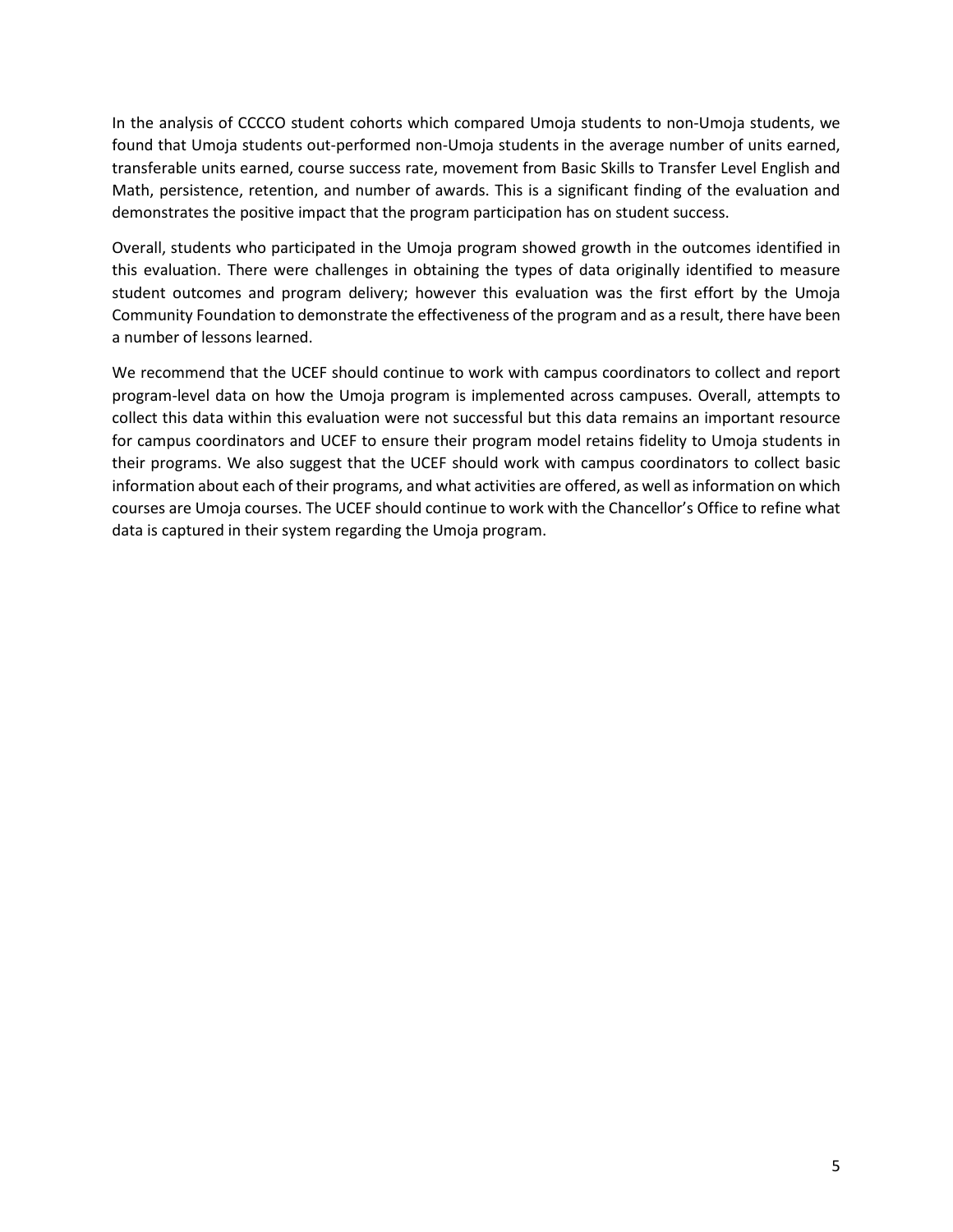In the analysis of CCCCO student cohorts which compared Umoja students to non-Umoja students, we found that Umoja students out-performed non-Umoja students in the average number of units earned, transferable units earned, course success rate, movement from Basic Skills to Transfer Level English and Math, persistence, retention, and number of awards. This is a significant finding of the evaluation and demonstrates the positive impact that the program participation has on student success.

<span id="page-6-0"></span>Overall, students who participated in the Umoja program showed growth in the outcomes identified in this evaluation. There were challenges in obtaining the types of data originally identified to measure student outcomes and program delivery; however this evaluation was the first effort by the Umoja Community Foundation to demonstrate the effectiveness of the program and as a result, there have been a number of lessons learned.

We recommend that the UCEF should continue to work with campus coordinators to collect and report program-level data on how the Umoja program is implemented across campuses. Overall, attempts to collect this data within this evaluation were not successful but this data remains an important resource for campus coordinators and UCEF to ensure their program model retains fidelity to Umoja students in their programs. We also suggest that the UCEF should work with campus coordinators to collect basic information about each of their programs, and what activities are offered, as well as information on which courses are Umoja courses. The UCEF should continue to work with the Chancellor's Office to refine what data is captured in their system regarding the Umoja program.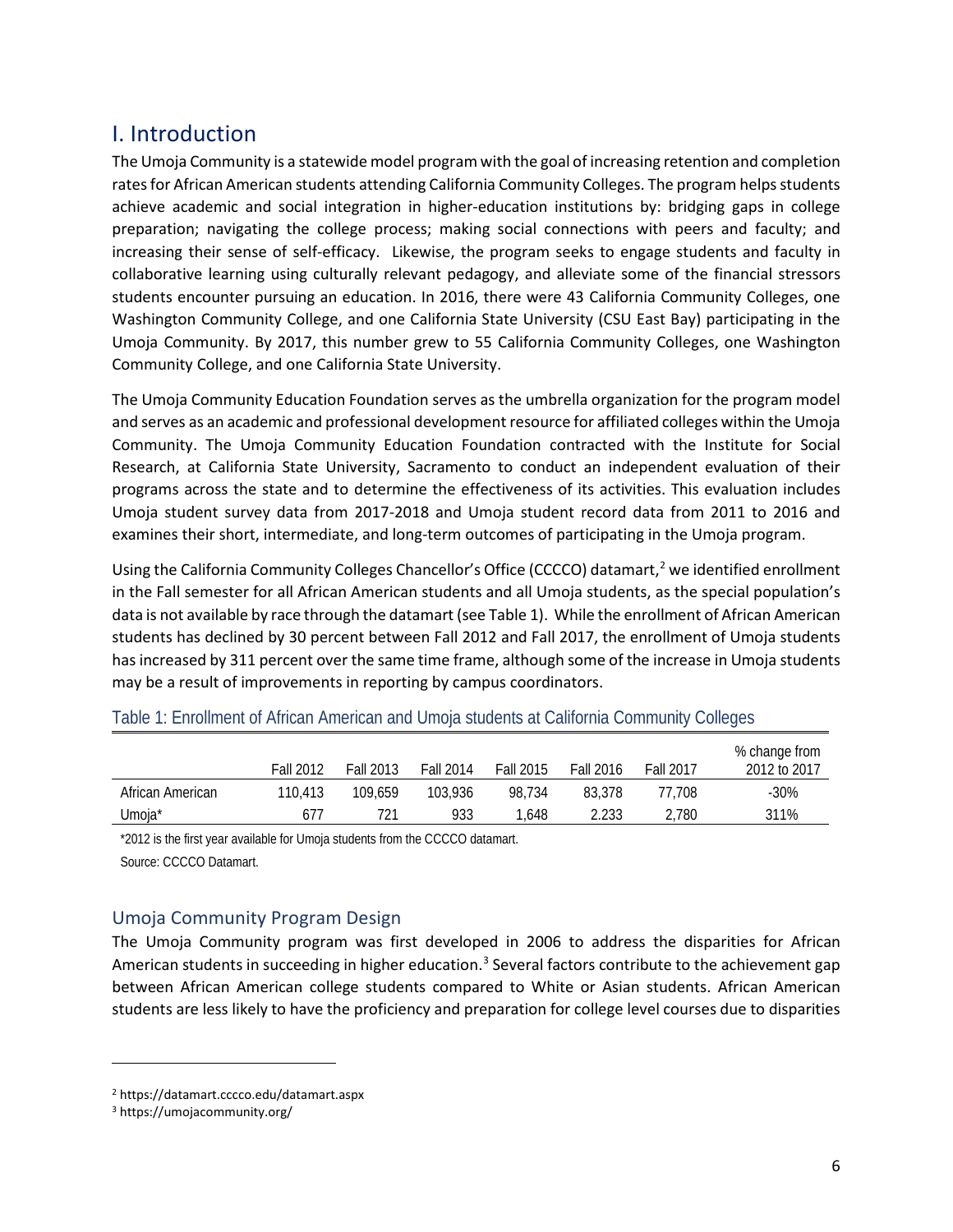## <span id="page-7-0"></span>I. Introduction

The Umoja Community is a statewide model program with the goal of increasing retention and completion rates for African American students attending California Community Colleges. The program helps students achieve academic and social integration in higher-education institutions by: bridging gaps in college preparation; navigating the college process; making social connections with peers and faculty; and increasing their sense of self-efficacy. Likewise, the program seeks to engage students and faculty in collaborative learning using culturally relevant pedagogy, and alleviate some of the financial stressors students encounter pursuing an education. In 2016, there were 43 California Community Colleges, one Washington Community College, and one California State University (CSU East Bay) participating in the Umoja Community. By 2017, this number grew to 55 California Community Colleges, one Washington Community College, and one California State University.

The Umoja Community Education Foundation serves as the umbrella organization for the program model and serves as an academic and professional development resource for affiliated colleges within the Umoja Community. The Umoja Community Education Foundation contracted with the Institute for Social Research, at California State University, Sacramento to conduct an independent evaluation of their programs across the state and to determine the effectiveness of its activities. This evaluation includes Umoja student survey data from 2017-2018 and Umoja student record data from 2011 to 2016 and examines their short, intermediate, and long-term outcomes of participating in the Umoja program.

Using the California Community Colleges Chancellor's Office (CCCCO) datamart, [2](#page-7-3) we identified enrollment in the Fall semester for all African American students and all Umoja students, as the special population's data is not available by race through the datamart (see Table 1). While the enrollment of African American students has declined by 30 percent between Fall 2012 and Fall 2017, the enrollment of Umoja students has increased by 311 percent over the same time frame, although some of the increase in Umoja students may be a result of improvements in reporting by campus coordinators.

|                  | <b>Fall 2012</b> | <b>Fall 2013</b> | <b>Fall 2014</b> | Fall 2015 | Fall 2016 | <b>Fall 2017</b> | % change from<br>2012 to 2017 |
|------------------|------------------|------------------|------------------|-----------|-----------|------------------|-------------------------------|
| African American | 110.413          | 109.659          | 103.936          | 98.734    | 83.378    | 77.708           | $-30%$                        |
| Jmoja*           | 611              | 721              | 933              | .648      | 2.233     | 2.780            | 311%                          |

<span id="page-7-2"></span>Table 1: Enrollment of African American and Umoja students at California Community Colleges

\*2012 is the first year available for Umoja students from the CCCCO datamart. Source: CCCCO Datamart.

## <span id="page-7-1"></span>Umoja Community Program Design

The Umoja Community program was first developed in 2006 to address the disparities for African American students in succeeding in higher education.<sup>[3](#page-7-4)</sup> Several factors contribute to the achievement gap between African American college students compared to White or Asian students. African American students are less likely to have the proficiency and preparation for college level courses due to disparities

 $\overline{\phantom{a}}$ 

<span id="page-7-3"></span><sup>2</sup> https://datamart.cccco.edu/datamart.aspx

<span id="page-7-4"></span><sup>3</sup> https://umojacommunity.org/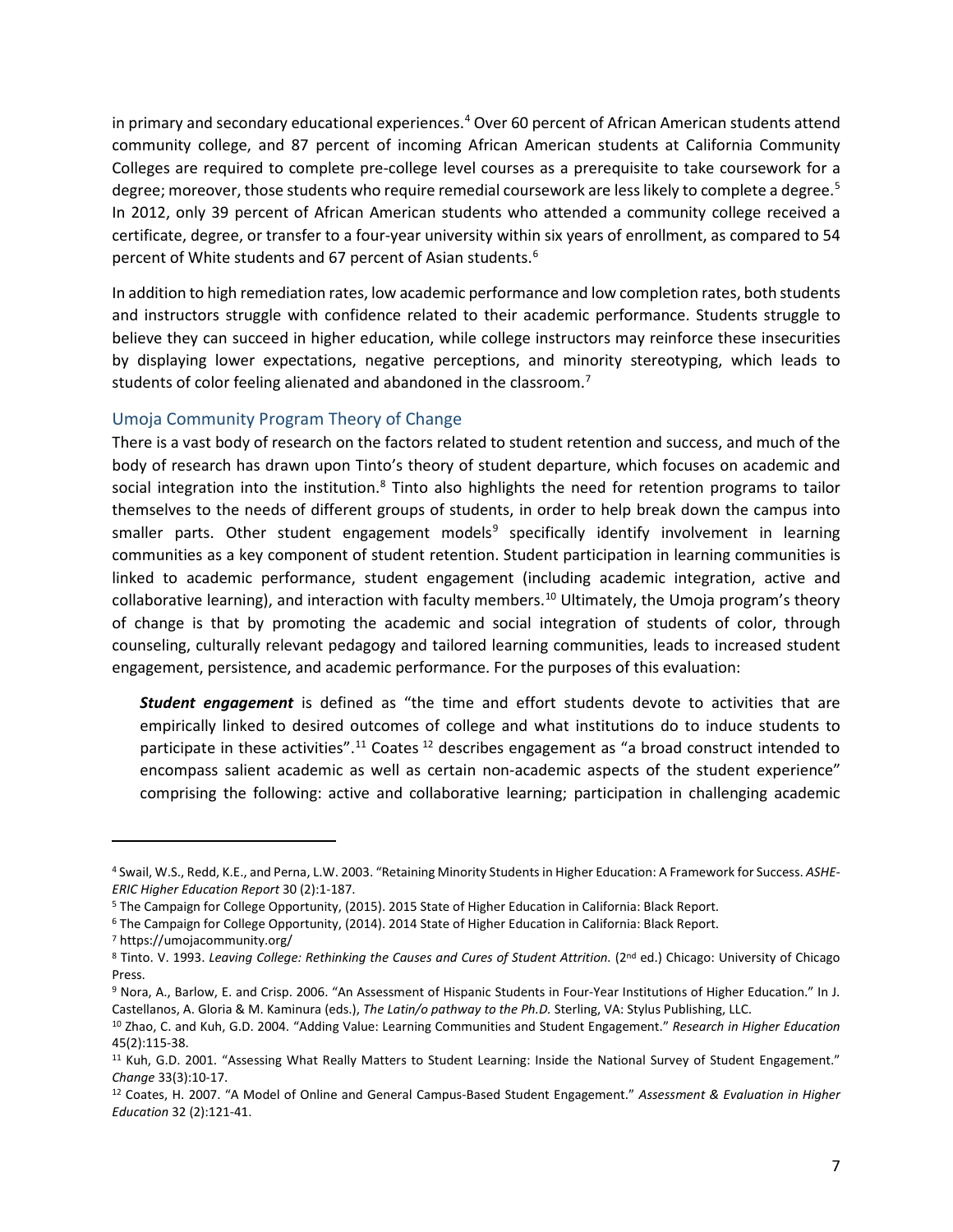in primary and secondary educational experiences.[4](#page-8-0) Over 60 percent of African American students attend community college, and 87 percent of incoming African American students at California Community Colleges are required to complete pre-college level courses as a prerequisite to take coursework for a degree; moreover, those students who require remedial coursework are less likely to complete a degree.<sup>[5](#page-8-1)</sup> In 2012, only 39 percent of African American students who attended a community college received a certificate, degree, or transfer to a four-year university within six years of enrollment, as compared to 54 percent of White students and 67 percent of Asian students. [6](#page-8-2)

In addition to high remediation rates, low academic performance and low completion rates, both students and instructors struggle with confidence related to their academic performance. Students struggle to believe they can succeed in higher education, while college instructors may reinforce these insecurities by displaying lower expectations, negative perceptions, and minority stereotyping, which leads to students of color feeling alienated and abandoned in the classroom.<sup>[7](#page-8-3)</sup>

#### Umoja Community Program Theory of Change

There is a vast body of research on the factors related to student retention and success, and much of the body of research has drawn upon Tinto's theory of student departure, which focuses on academic and social integration into the institution. $8$  Tinto also highlights the need for retention programs to tailor themselves to the needs of different groups of students, in order to help break down the campus into smaller parts. Other student engagement models<sup>[9](#page-8-5)</sup> specifically identify involvement in learning communities as a key component of student retention. Student participation in learning communities is linked to academic performance, student engagement (including academic integration, active and collaborative learning), and interaction with faculty members.<sup>[10](#page-8-6)</sup> Ultimately, the Umoja program's theory of change is that by promoting the academic and social integration of students of color, through counseling, culturally relevant pedagogy and tailored learning communities, leads to increased student engagement, persistence, and academic performance. For the purposes of this evaluation:

*Student engagement* is defined as "the time and effort students devote to activities that are empirically linked to desired outcomes of college and what institutions do to induce students to participate in these activities".<sup>11</sup> Coates <sup>[12](#page-8-8)</sup> describes engagement as "a broad construct intended to encompass salient academic as well as certain non-academic aspects of the student experience" comprising the following: active and collaborative learning; participation in challenging academic

<span id="page-8-3"></span><sup>7</sup> https://umojacommunity.org/

l

<span id="page-8-0"></span><sup>4</sup> Swail, W.S., Redd, K.E., and Perna, L.W. 2003. "Retaining Minority Students in Higher Education: A Framework for Success. *ASHE-ERIC Higher Education Report* 30 (2):1-187.

<span id="page-8-1"></span><sup>5</sup> The Campaign for College Opportunity, (2015). 2015 State of Higher Education in California: Black Report.

<span id="page-8-2"></span><sup>6</sup> The Campaign for College Opportunity, (2014). 2014 State of Higher Education in California: Black Report.

<span id="page-8-4"></span><sup>8</sup> Tinto. V. 1993. Leaving College: Rethinking the Causes and Cures of Student Attrition. (2<sup>nd</sup> ed.) Chicago: University of Chicago Press.

<span id="page-8-5"></span><sup>9</sup> Nora, A., Barlow, E. and Crisp. 2006. "An Assessment of Hispanic Students in Four-Year Institutions of Higher Education." In J. Castellanos, A. Gloria & M. Kaminura (eds.), *The Latin/o pathway to the Ph.D.* Sterling, VA: Stylus Publishing, LLC.

<span id="page-8-6"></span><sup>10</sup> Zhao, C. and Kuh, G.D. 2004. "Adding Value: Learning Communities and Student Engagement." *Research in Higher Education* 45(2):115-38.

<span id="page-8-7"></span><sup>&</sup>lt;sup>11</sup> Kuh, G.D. 2001. "Assessing What Really Matters to Student Learning: Inside the National Survey of Student Engagement." *Change* 33(3):10-17.

<span id="page-8-8"></span><sup>12</sup> Coates, H. 2007. "A Model of Online and General Campus-Based Student Engagement." *Assessment & Evaluation in Higher Education* 32 (2):121-41.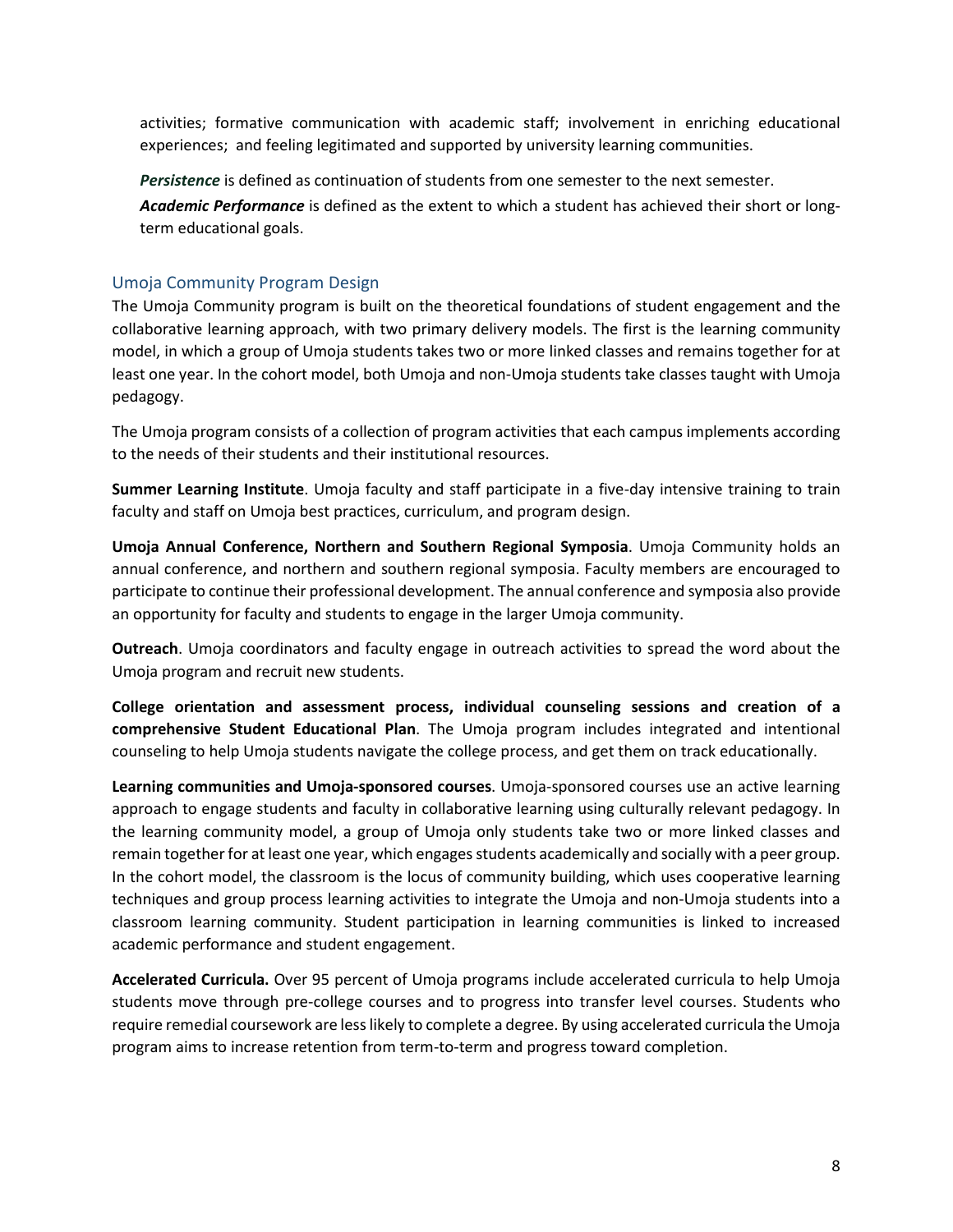activities; formative communication with academic staff; involvement in enriching educational experiences; and feeling legitimated and supported by university learning communities.

*Persistence* is defined as continuation of students from one semester to the next semester.

*Academic Performance* is defined as the extent to which a student has achieved their short or longterm educational goals.

## Umoja Community Program Design

The Umoja Community program is built on the theoretical foundations of student engagement and the collaborative learning approach, with two primary delivery models. The first is the learning community model, in which a group of Umoja students takes two or more linked classes and remains together for at least one year. In the cohort model, both Umoja and non-Umoja students take classes taught with Umoja pedagogy.

The Umoja program consists of a collection of program activities that each campus implements according to the needs of their students and their institutional resources.

**Summer Learning Institute**. Umoja faculty and staff participate in a five-day intensive training to train faculty and staff on Umoja best practices, curriculum, and program design.

**Umoja Annual Conference, Northern and Southern Regional Symposia**. Umoja Community holds an annual conference, and northern and southern regional symposia. Faculty members are encouraged to participate to continue their professional development. The annual conference and symposia also provide an opportunity for faculty and students to engage in the larger Umoja community.

**Outreach**. Umoja coordinators and faculty engage in outreach activities to spread the word about the Umoja program and recruit new students.

**College orientation and assessment process, individual counseling sessions and creation of a comprehensive Student Educational Plan**. The Umoja program includes integrated and intentional counseling to help Umoja students navigate the college process, and get them on track educationally.

**Learning communities and Umoja-sponsored courses**. Umoja-sponsored courses use an active learning approach to engage students and faculty in collaborative learning using culturally relevant pedagogy. In the learning community model, a group of Umoja only students take two or more linked classes and remain together for at least one year, which engages students academically and socially with a peer group. In the cohort model, the classroom is the locus of community building, which uses cooperative learning techniques and group process learning activities to integrate the Umoja and non-Umoja students into a classroom learning community. Student participation in learning communities is linked to increased academic performance and student engagement.

**Accelerated Curricula.** Over 95 percent of Umoja programs include accelerated curricula to help Umoja students move through pre-college courses and to progress into transfer level courses. Students who require remedial coursework are less likely to complete a degree. By using accelerated curricula the Umoja program aims to increase retention from term-to-term and progress toward completion.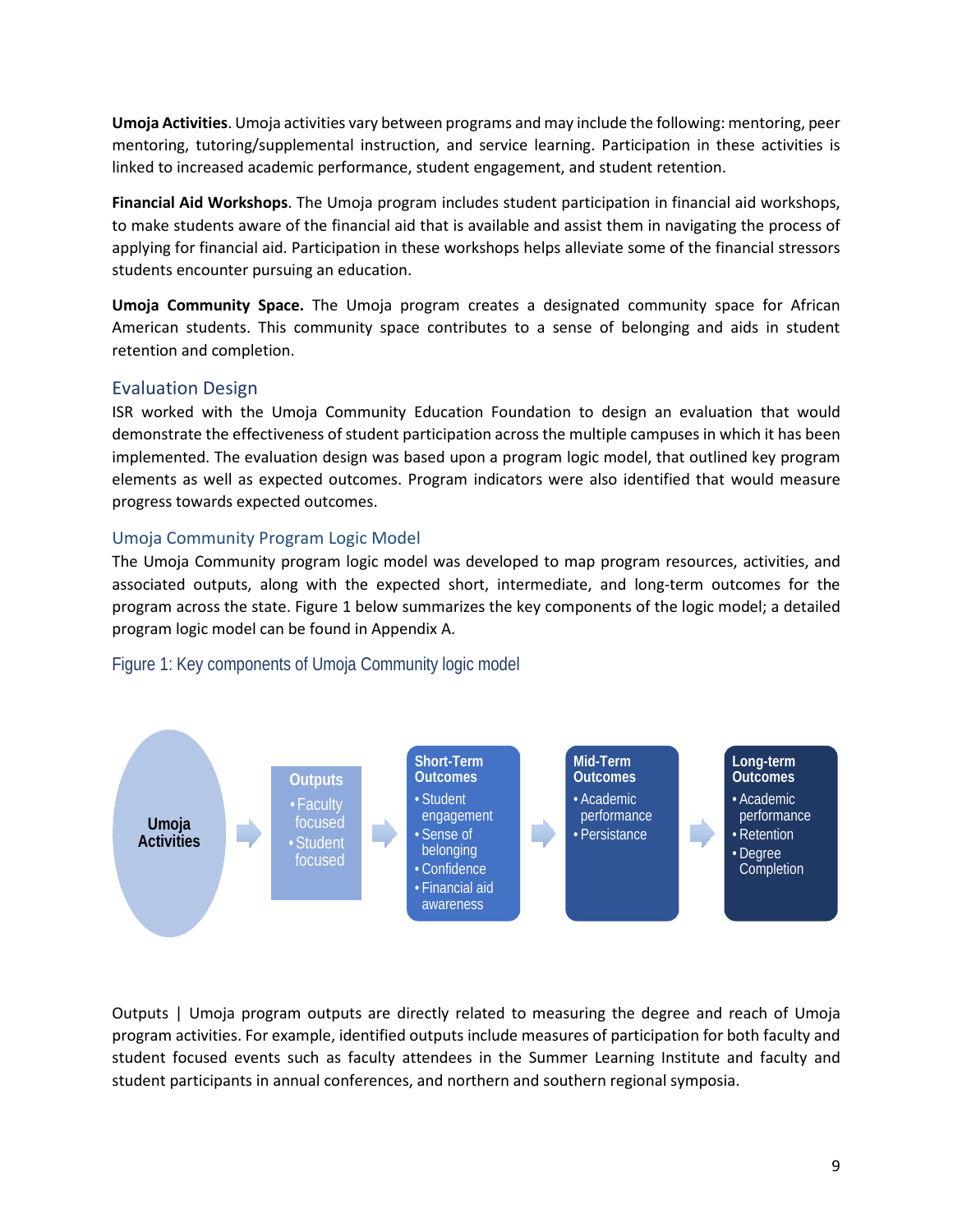**Umoja Activities**. Umoja activities vary between programs and may include the following: mentoring, peer mentoring, tutoring/supplemental instruction, and service learning. Participation in these activities is linked to increased academic performance, student engagement, and student retention.

**Financial Aid Workshops**. The Umoja program includes student participation in financial aid workshops, to make students aware of the financial aid that is available and assist them in navigating the process of applying for financial aid. Participation in these workshops helps alleviate some of the financial stressors students encounter pursuing an education.

**Umoja Community Space.** The Umoja program creates a designated community space for African American students. This community space contributes to a sense of belonging and aids in student retention and completion.

## <span id="page-10-0"></span>Evaluation Design

ISR worked with the Umoja Community Education Foundation to design an evaluation that would demonstrate the effectiveness of student participation across the multiple campuses in which it has been implemented. The evaluation design was based upon a program logic model, that outlined key program elements as well as expected outcomes. Program indicators were also identified that would measure progress towards expected outcomes.

## Umoja Community Program Logic Model

The Umoja Community program logic model was developed to map program resources, activities, and associated outputs, along with the expected short, intermediate, and long-term outcomes for the program across the state. Figure 1 below summarizes the key components of the logic model; a detailed program logic model can be found in Appendix A.

#### <span id="page-10-1"></span>Figure 1: Key components of Umoja Community logic model



Outputs | Umoja program outputs are directly related to measuring the degree and reach of Umoja program activities. For example, identified outputs include measures of participation for both faculty and student focused events such as faculty attendees in the Summer Learning Institute and faculty and student participants in annual conferences, and northern and southern regional symposia.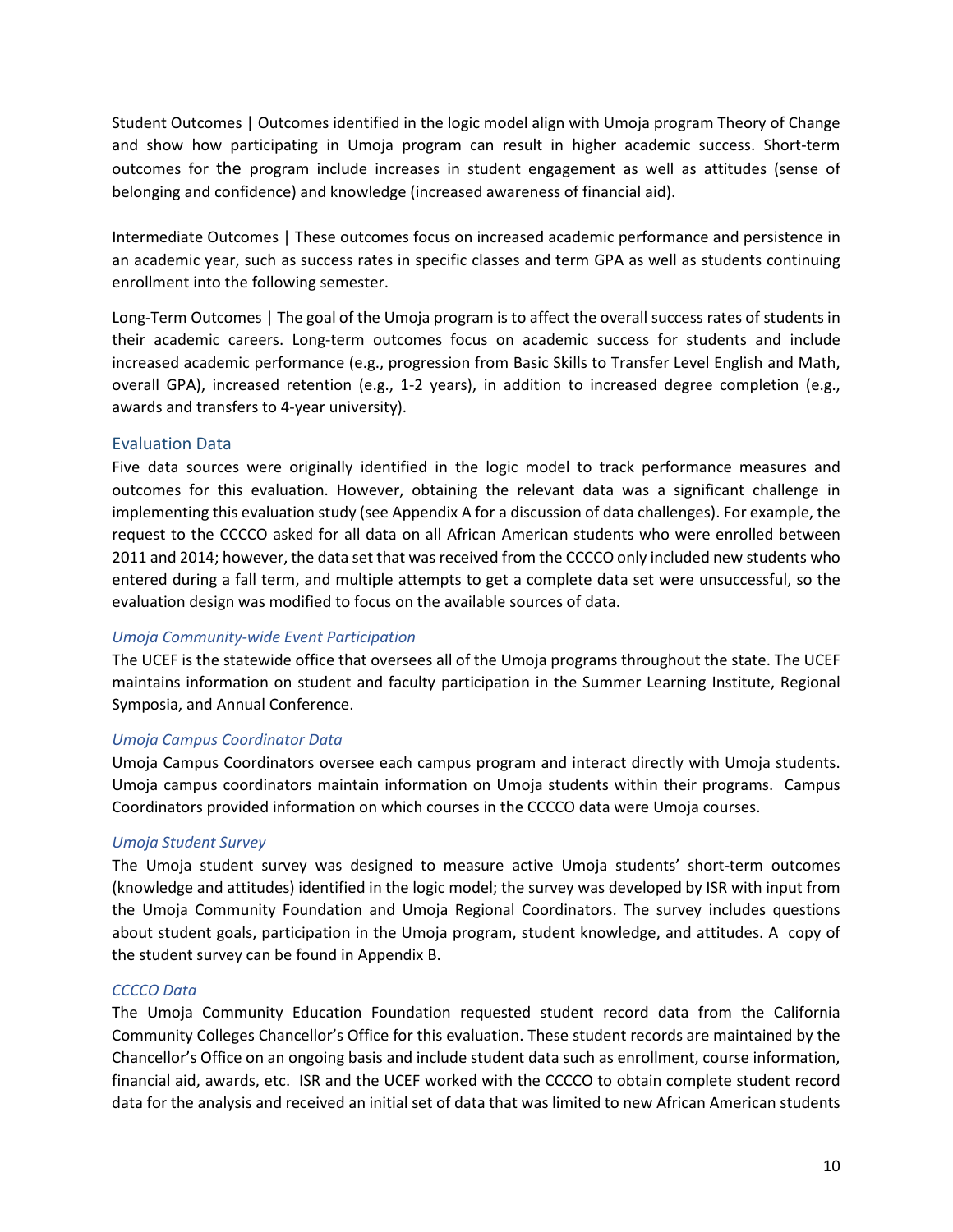Student Outcomes | Outcomes identified in the logic model align with Umoja program Theory of Change and show how participating in Umoja program can result in higher academic success. Short-term outcomes for the program include increases in student engagement as well as attitudes (sense of belonging and confidence) and knowledge (increased awareness of financial aid).

Intermediate Outcomes | These outcomes focus on increased academic performance and persistence in an academic year, such as success rates in specific classes and term GPA as well as students continuing enrollment into the following semester.

Long-Term Outcomes | The goal of the Umoja program is to affect the overall success rates of students in their academic careers. Long-term outcomes focus on academic success for students and include increased academic performance (e.g., progression from Basic Skills to Transfer Level English and Math, overall GPA), increased retention (e.g., 1-2 years), in addition to increased degree completion (e.g., awards and transfers to 4-year university).

#### Evaluation Data

Five data sources were originally identified in the logic model to track performance measures and outcomes for this evaluation. However, obtaining the relevant data was a significant challenge in implementing this evaluation study (see Appendix A for a discussion of data challenges). For example, the request to the CCCCO asked for all data on all African American students who were enrolled between 2011 and 2014; however, the data set that was received from the CCCCO only included new students who entered during a fall term, and multiple attempts to get a complete data set were unsuccessful, so the evaluation design was modified to focus on the available sources of data.

#### *Umoja Community-wide Event Participation*

The UCEF is the statewide office that oversees all of the Umoja programs throughout the state. The UCEF maintains information on student and faculty participation in the Summer Learning Institute, Regional Symposia, and Annual Conference.

#### *Umoja Campus Coordinator Data*

Umoja Campus Coordinators oversee each campus program and interact directly with Umoja students. Umoja campus coordinators maintain information on Umoja students within their programs. Campus Coordinators provided information on which courses in the CCCCO data were Umoja courses.

#### *Umoja Student Survey*

The Umoja student survey was designed to measure active Umoja students' short-term outcomes (knowledge and attitudes) identified in the logic model; the survey was developed by ISR with input from the Umoja Community Foundation and Umoja Regional Coordinators. The survey includes questions about student goals, participation in the Umoja program, student knowledge, and attitudes. A copy of the student survey can be found in Appendix B.

#### *CCCCO Data*

The Umoja Community Education Foundation requested student record data from the California Community Colleges Chancellor's Office for this evaluation. These student records are maintained by the Chancellor's Office on an ongoing basis and include student data such as enrollment, course information, financial aid, awards, etc. ISR and the UCEF worked with the CCCCO to obtain complete student record data for the analysis and received an initial set of data that was limited to new African American students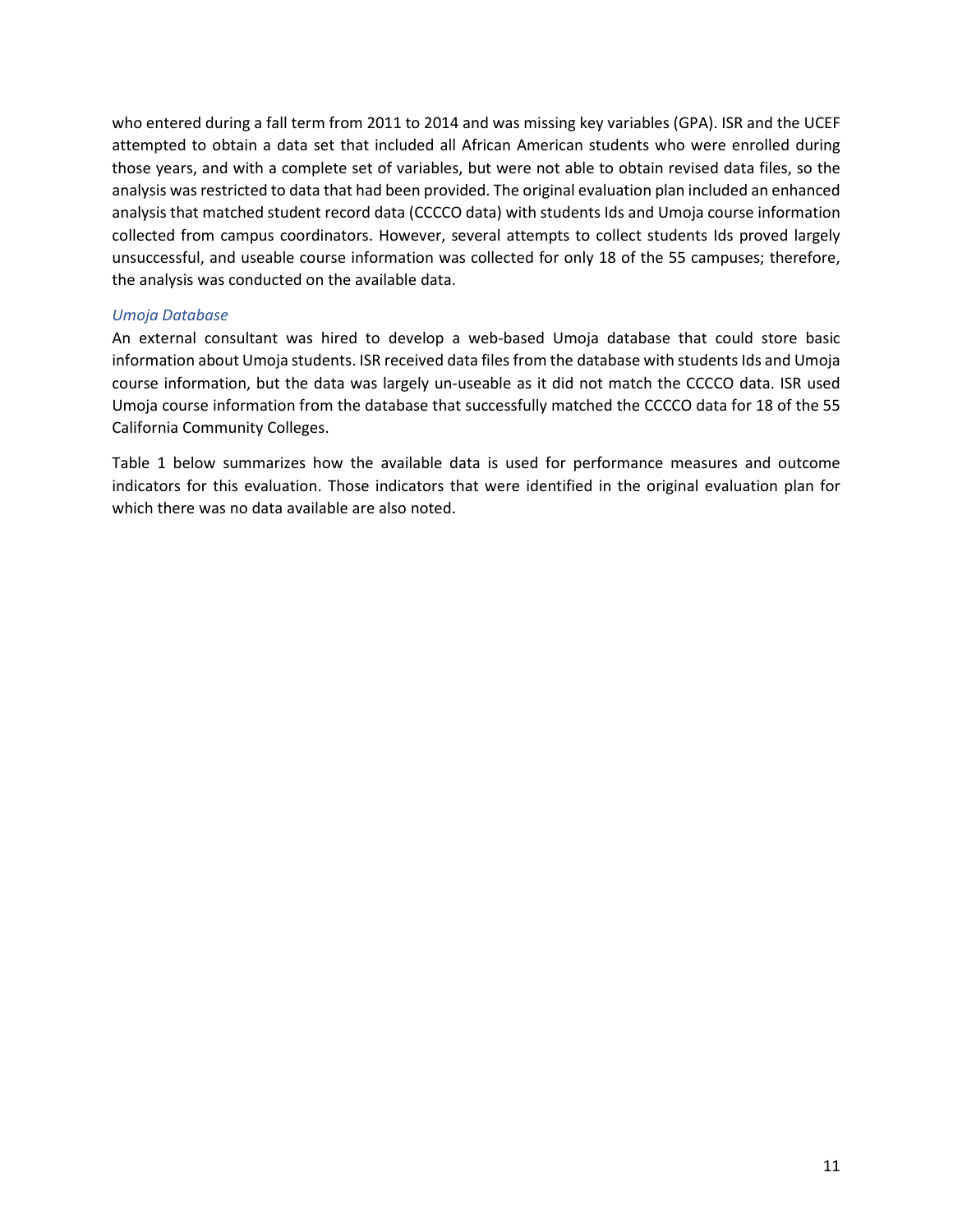who entered during a fall term from 2011 to 2014 and was missing key variables (GPA). ISR and the UCEF attempted to obtain a data set that included all African American students who were enrolled during those years, and with a complete set of variables, but were not able to obtain revised data files, so the analysis was restricted to data that had been provided. The original evaluation plan included an enhanced analysis that matched student record data (CCCCO data) with students Ids and Umoja course information collected from campus coordinators. However, several attempts to collect students Ids proved largely unsuccessful, and useable course information was collected for only 18 of the 55 campuses; therefore, the analysis was conducted on the available data.

#### *Umoja Database*

An external consultant was hired to develop a web-based Umoja database that could store basic information about Umoja students. ISR received data files from the database with students Ids and Umoja course information, but the data was largely un-useable as it did not match the CCCCO data. ISR used Umoja course information from the database that successfully matched the CCCCO data for 18 of the 55 California Community Colleges.

Table 1 below summarizes how the available data is used for performance measures and outcome indicators for this evaluation. Those indicators that were identified in the original evaluation plan for which there was no data available are also noted.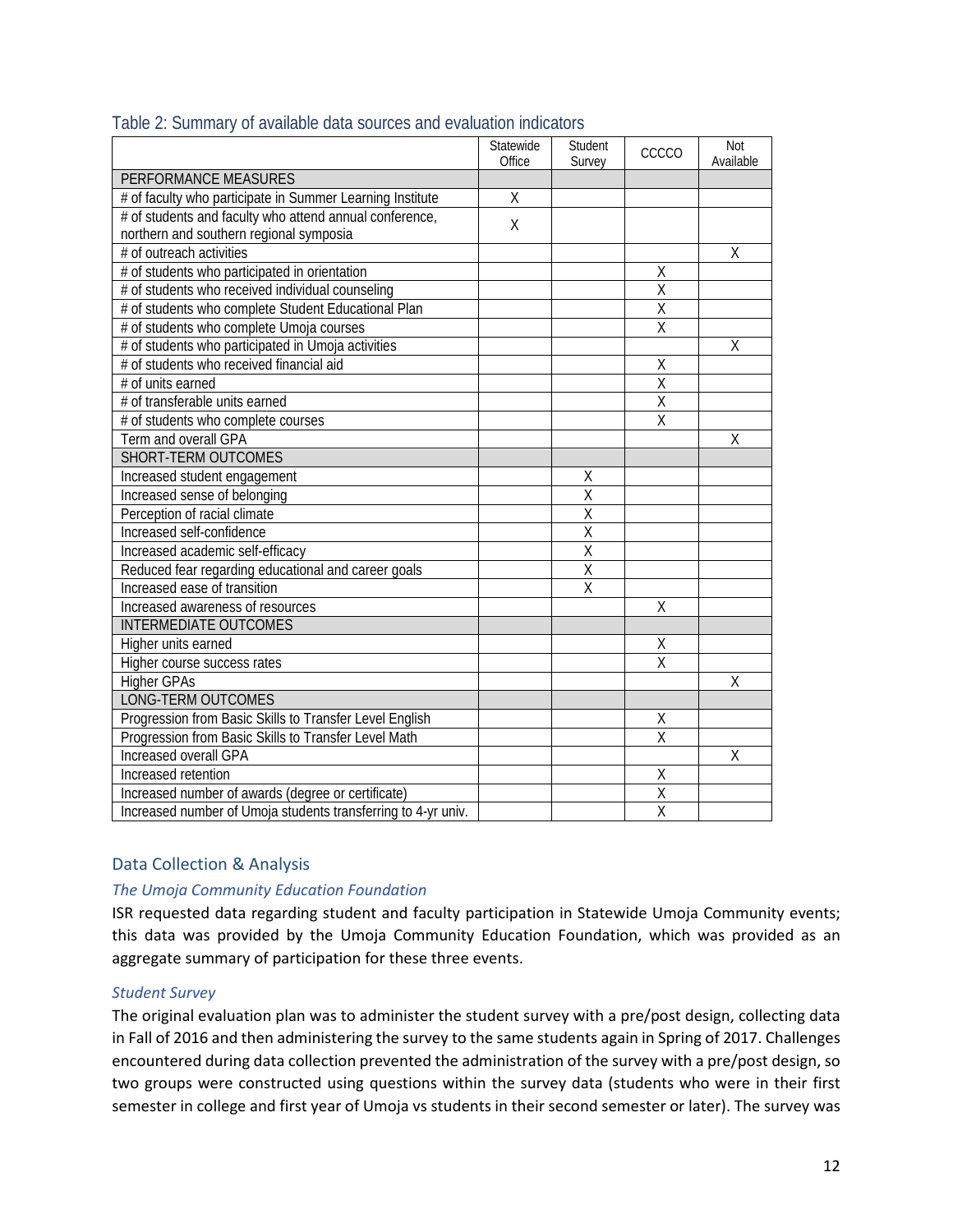|                                                               | Statewide<br>Office | Student<br>Survey       | CCCCO                   | <b>Not</b><br>Available |
|---------------------------------------------------------------|---------------------|-------------------------|-------------------------|-------------------------|
| PERFORMANCE MEASURES                                          |                     |                         |                         |                         |
| # of faculty who participate in Summer Learning Institute     | $\overline{X}$      |                         |                         |                         |
| # of students and faculty who attend annual conference,       |                     |                         |                         |                         |
| northern and southern regional symposia                       | $\sf X$             |                         |                         |                         |
| # of outreach activities                                      |                     |                         |                         | X                       |
| # of students who participated in orientation                 |                     |                         | Χ                       |                         |
| # of students who received individual counseling              |                     |                         | $\overline{X}$          |                         |
| # of students who complete Student Educational Plan           |                     |                         | $\overline{X}$          |                         |
| # of students who complete Umoja courses                      |                     |                         | X                       |                         |
| # of students who participated in Umoja activities            |                     |                         |                         | Χ                       |
| # of students who received financial aid                      |                     |                         | Χ                       |                         |
| # of units earned                                             |                     |                         | $\overline{\mathsf{x}}$ |                         |
| # of transferable units earned                                |                     |                         | $\overline{\mathsf{X}}$ |                         |
| # of students who complete courses                            |                     |                         | $\overline{\mathsf{X}}$ |                         |
| Term and overall GPA                                          |                     |                         |                         | X                       |
| SHORT-TERM OUTCOMES                                           |                     |                         |                         |                         |
| Increased student engagement                                  |                     | Χ                       |                         |                         |
| Increased sense of belonging                                  |                     | $\overline{\mathsf{X}}$ |                         |                         |
| Perception of racial climate                                  |                     | $\overline{\mathsf{X}}$ |                         |                         |
| Increased self-confidence                                     |                     | $\overline{\mathsf{X}}$ |                         |                         |
| Increased academic self-efficacy                              |                     | $\overline{\mathsf{X}}$ |                         |                         |
| Reduced fear regarding educational and career goals           |                     | $\overline{\mathsf{X}}$ |                         |                         |
| Increased ease of transition                                  |                     | $\overline{\mathsf{x}}$ |                         |                         |
| Increased awareness of resources                              |                     |                         | Χ                       |                         |
| <b>INTERMEDIATE OUTCOMES</b>                                  |                     |                         |                         |                         |
| Higher units earned                                           |                     |                         | Χ                       |                         |
| Higher course success rates                                   |                     |                         | $\overline{\mathsf{x}}$ |                         |
| <b>Higher GPAs</b>                                            |                     |                         |                         | Χ                       |
| LONG-TERM OUTCOMES                                            |                     |                         |                         |                         |
| Progression from Basic Skills to Transfer Level English       |                     |                         | Χ                       |                         |
| Progression from Basic Skills to Transfer Level Math          |                     |                         | $\overline{\mathsf{x}}$ |                         |
| <b>Increased overall GPA</b>                                  |                     |                         |                         | X                       |
| Increased retention                                           |                     |                         | Χ                       |                         |
| Increased number of awards (degree or certificate)            |                     |                         | X                       |                         |
| Increased number of Umoja students transferring to 4-yr univ. |                     |                         | $\overline{X}$          |                         |

## <span id="page-13-0"></span>Table 2: Summary of available data sources and evaluation indicators

## Data Collection & Analysis

#### *The Umoja Community Education Foundation*

ISR requested data regarding student and faculty participation in Statewide Umoja Community events; this data was provided by the Umoja Community Education Foundation, which was provided as an aggregate summary of participation for these three events.

#### *Student Survey*

The original evaluation plan was to administer the student survey with a pre/post design, collecting data in Fall of 2016 and then administering the survey to the same students again in Spring of 2017. Challenges encountered during data collection prevented the administration of the survey with a pre/post design, so two groups were constructed using questions within the survey data (students who were in their first semester in college and first year of Umoja vs students in their second semester or later). The survey was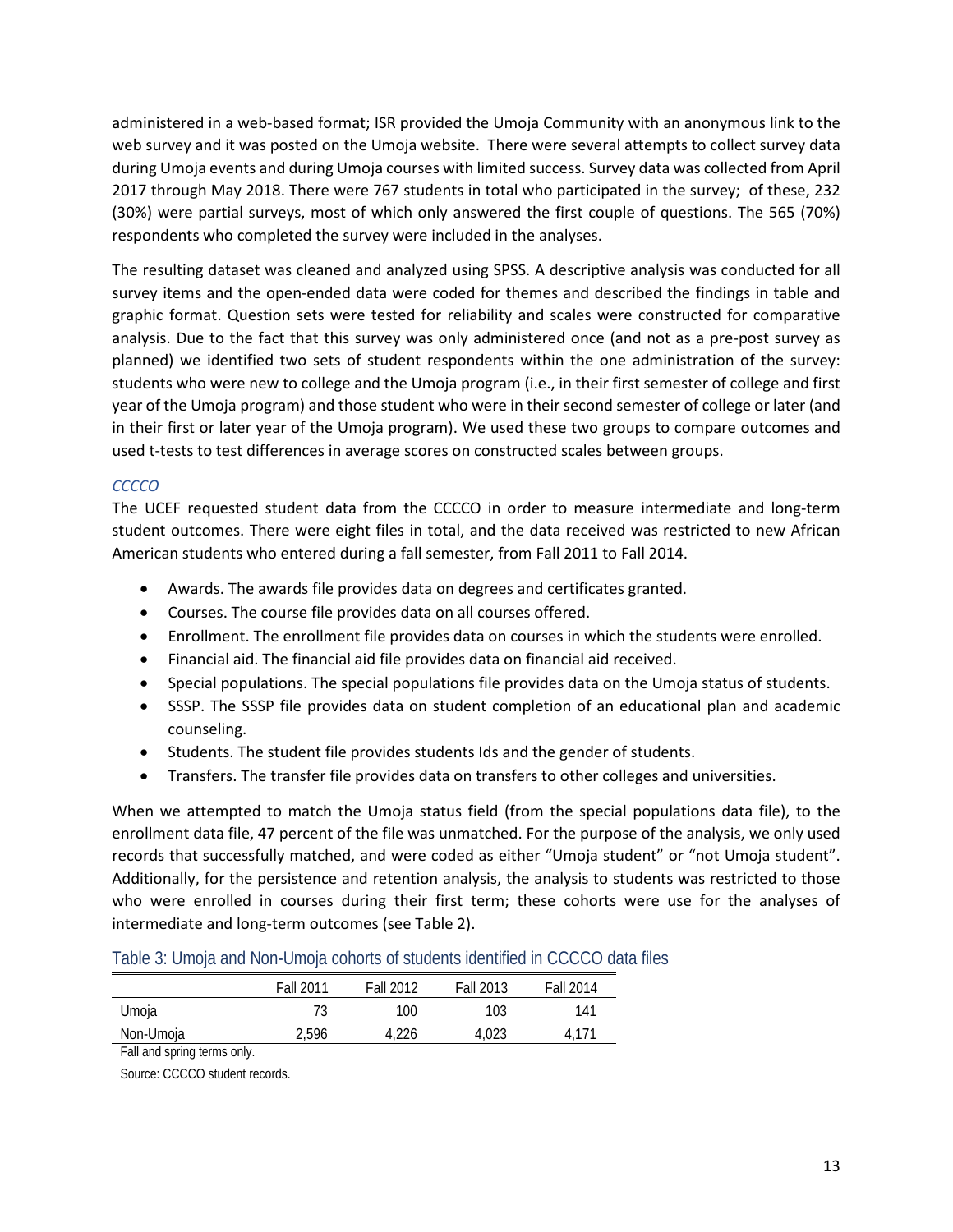administered in a web-based format; ISR provided the Umoja Community with an anonymous link to the web survey and it was posted on the Umoja website. There were several attempts to collect survey data during Umoja events and during Umoja courses with limited success. Survey data was collected from April 2017 through May 2018. There were 767 students in total who participated in the survey; of these, 232 (30%) were partial surveys, most of which only answered the first couple of questions. The 565 (70%) respondents who completed the survey were included in the analyses.

The resulting dataset was cleaned and analyzed using SPSS. A descriptive analysis was conducted for all survey items and the open-ended data were coded for themes and described the findings in table and graphic format. Question sets were tested for reliability and scales were constructed for comparative analysis. Due to the fact that this survey was only administered once (and not as a pre-post survey as planned) we identified two sets of student respondents within the one administration of the survey: students who were new to college and the Umoja program (i.e., in their first semester of college and first year of the Umoja program) and those student who were in their second semester of college or later (and in their first or later year of the Umoja program). We used these two groups to compare outcomes and used t-tests to test differences in average scores on constructed scales between groups.

## *CCCCO*

The UCEF requested student data from the CCCCO in order to measure intermediate and long-term student outcomes. There were eight files in total, and the data received was restricted to new African American students who entered during a fall semester, from Fall 2011 to Fall 2014.

- Awards. The awards file provides data on degrees and certificates granted.
- Courses. The course file provides data on all courses offered.
- Enrollment. The enrollment file provides data on courses in which the students were enrolled.
- Financial aid. The financial aid file provides data on financial aid received.
- Special populations. The special populations file provides data on the Umoja status of students.
- SSSP. The SSSP file provides data on student completion of an educational plan and academic counseling.
- Students. The student file provides students Ids and the gender of students.
- Transfers. The transfer file provides data on transfers to other colleges and universities.

When we attempted to match the Umoja status field (from the special populations data file), to the enrollment data file, 47 percent of the file was unmatched. For the purpose of the analysis, we only used records that successfully matched, and were coded as either "Umoja student" or "not Umoja student". Additionally, for the persistence and retention analysis, the analysis to students was restricted to those who were enrolled in courses during their first term; these cohorts were use for the analyses of intermediate and long-term outcomes (see Table 2).

#### <span id="page-14-0"></span>Table 3: Umoja and Non-Umoja cohorts of students identified in CCCCO data files

|           | Fall 2011 | <b>Fall 2012</b> | <b>Fall 2013</b> | Fall 2014         |
|-----------|-----------|------------------|------------------|-------------------|
| Umoja     |           | 100              | 103              | 141               |
| Non-Umoja | 2,596     | 4,226            | 4.023            | 4.17 <sup>1</sup> |

Fall and spring terms only.

Source: CCCCO student records.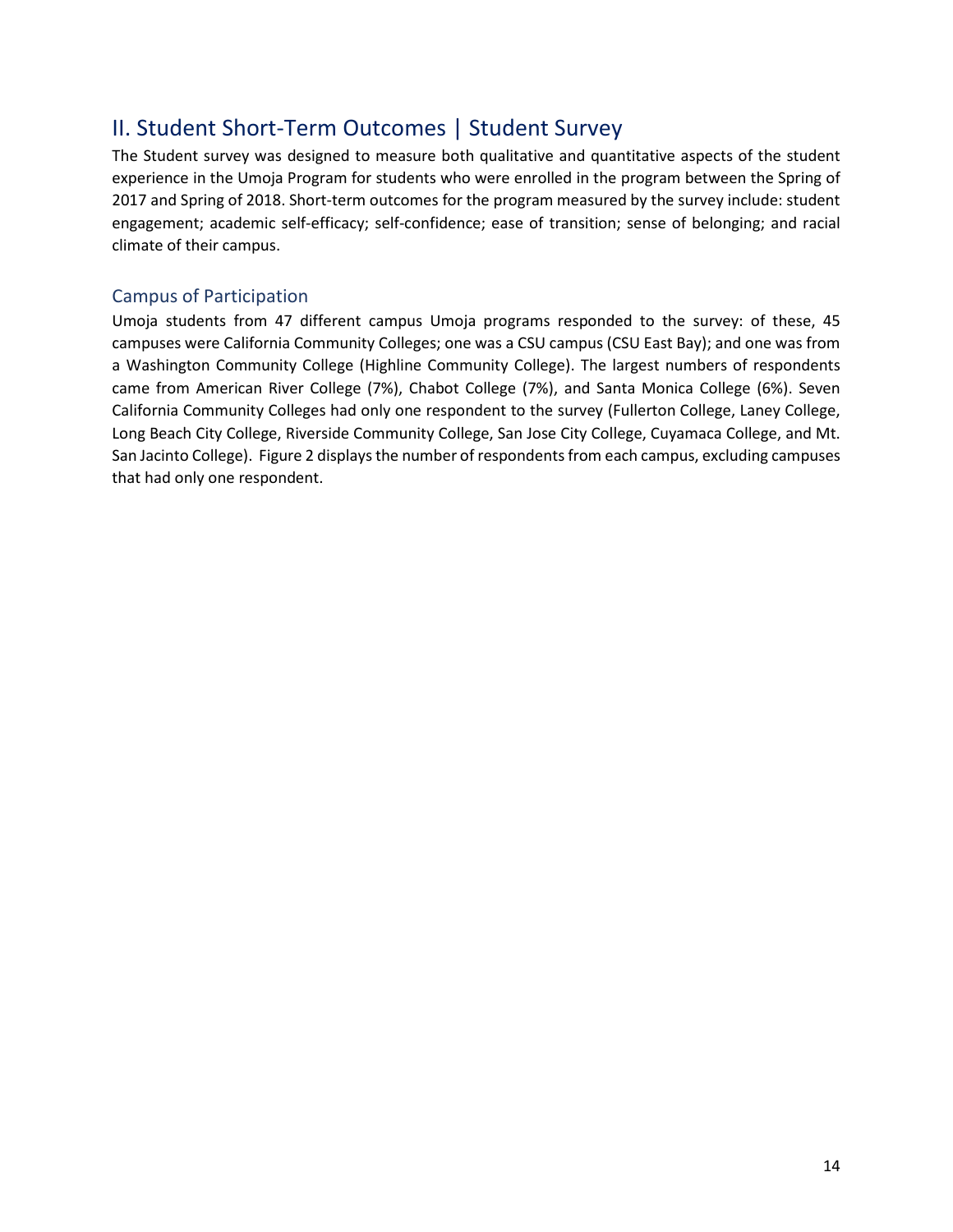## <span id="page-15-0"></span>II. Student Short-Term Outcomes | Student Survey

The Student survey was designed to measure both qualitative and quantitative aspects of the student experience in the Umoja Program for students who were enrolled in the program between the Spring of 2017 and Spring of 2018. Short-term outcomes for the program measured by the survey include: student engagement; academic self-efficacy; self-confidence; ease of transition; sense of belonging; and racial climate of their campus.

## <span id="page-15-1"></span>Campus of Participation

Umoja students from 47 different campus Umoja programs responded to the survey: of these, 45 campuses were California Community Colleges; one was a CSU campus (CSU East Bay); and one was from a Washington Community College (Highline Community College). The largest numbers of respondents came from American River College (7%), Chabot College (7%), and Santa Monica College (6%). Seven California Community Colleges had only one respondent to the survey (Fullerton College, Laney College, Long Beach City College, Riverside Community College, San Jose City College, Cuyamaca College, and Mt. San Jacinto College). Figure 2 displays the number of respondents from each campus, excluding campuses that had only one respondent.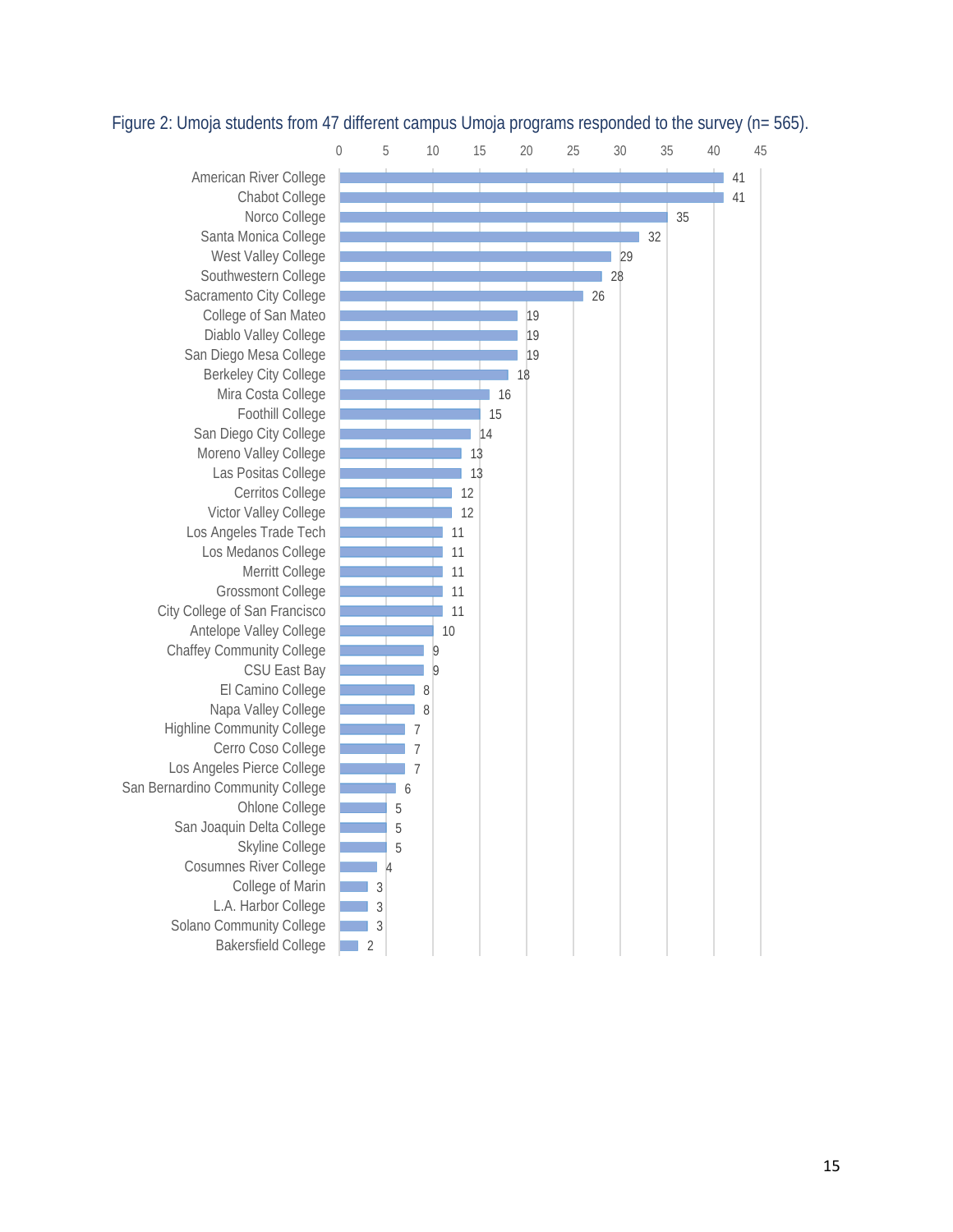#### <span id="page-16-1"></span>Figure 2: Umoja students from 47 different campus Umoja programs responded to the survey (n= 565).

<span id="page-16-0"></span>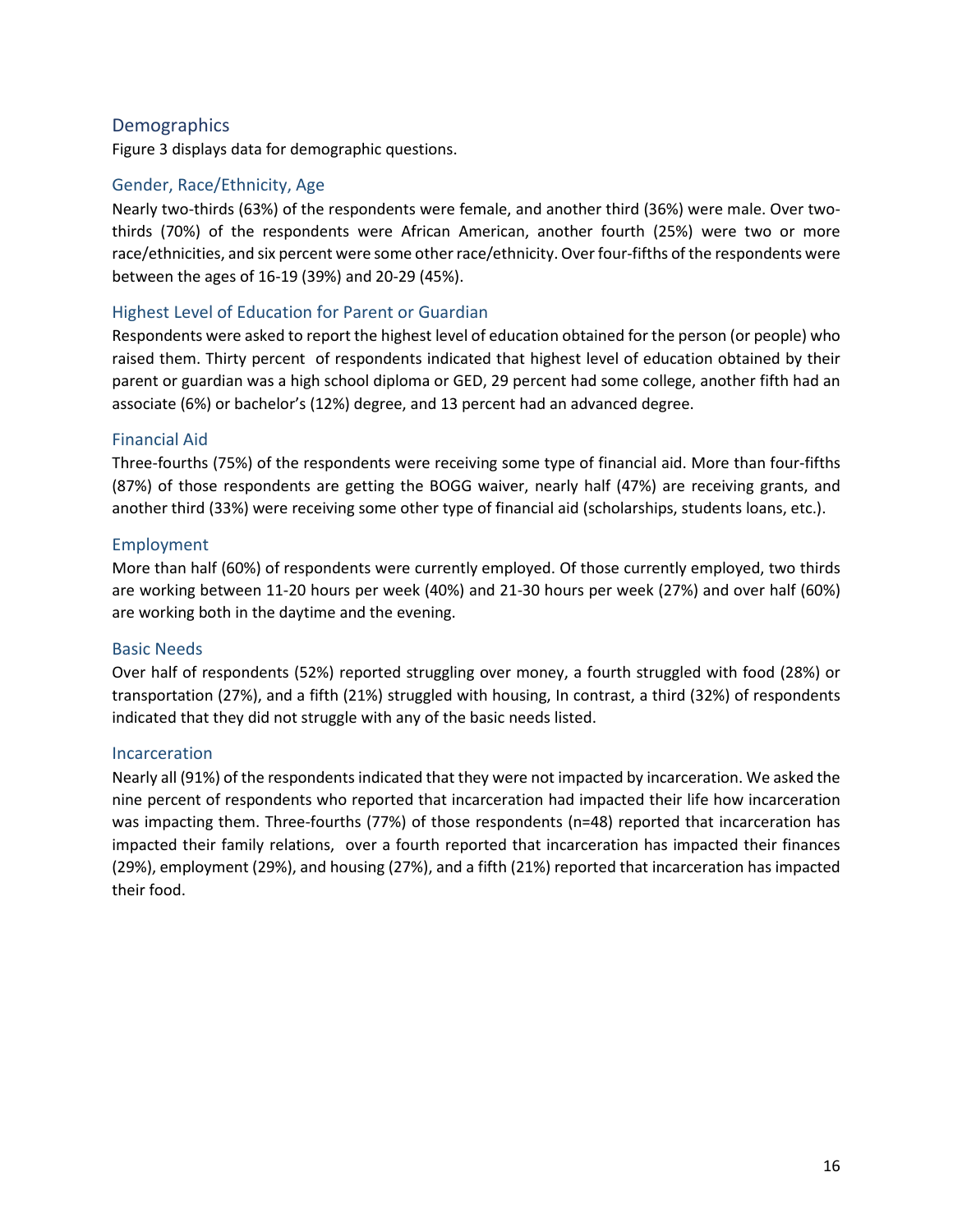## **Demographics**

Figure 3 displays data for demographic questions.

#### Gender, Race/Ethnicity, Age

Nearly two-thirds (63%) of the respondents were female, and another third (36%) were male. Over twothirds (70%) of the respondents were African American, another fourth (25%) were two or more race/ethnicities, and six percent were some other race/ethnicity. Over four-fifths of the respondents were between the ages of 16-19 (39%) and 20-29 (45%).

#### Highest Level of Education for Parent or Guardian

Respondents were asked to report the highest level of education obtained for the person (or people) who raised them. Thirty percent of respondents indicated that highest level of education obtained by their parent or guardian was a high school diploma or GED, 29 percent had some college, another fifth had an associate (6%) or bachelor's (12%) degree, and 13 percent had an advanced degree.

#### Financial Aid

Three-fourths (75%) of the respondents were receiving some type of financial aid. More than four-fifths (87%) of those respondents are getting the BOGG waiver, nearly half (47%) are receiving grants, and another third (33%) were receiving some other type of financial aid (scholarships, students loans, etc.).

#### Employment

More than half (60%) of respondents were currently employed. Of those currently employed, two thirds are working between 11-20 hours per week (40%) and 21-30 hours per week (27%) and over half (60%) are working both in the daytime and the evening.

#### Basic Needs

Over half of respondents (52%) reported struggling over money, a fourth struggled with food (28%) or transportation (27%), and a fifth (21%) struggled with housing, In contrast, a third (32%) of respondents indicated that they did not struggle with any of the basic needs listed.

#### Incarceration

Nearly all (91%) of the respondents indicated that they were not impacted by incarceration. We asked the nine percent of respondents who reported that incarceration had impacted their life how incarceration was impacting them. Three-fourths (77%) of those respondents (n=48) reported that incarceration has impacted their family relations, over a fourth reported that incarceration has impacted their finances (29%), employment (29%), and housing (27%), and a fifth (21%) reported that incarceration has impacted their food.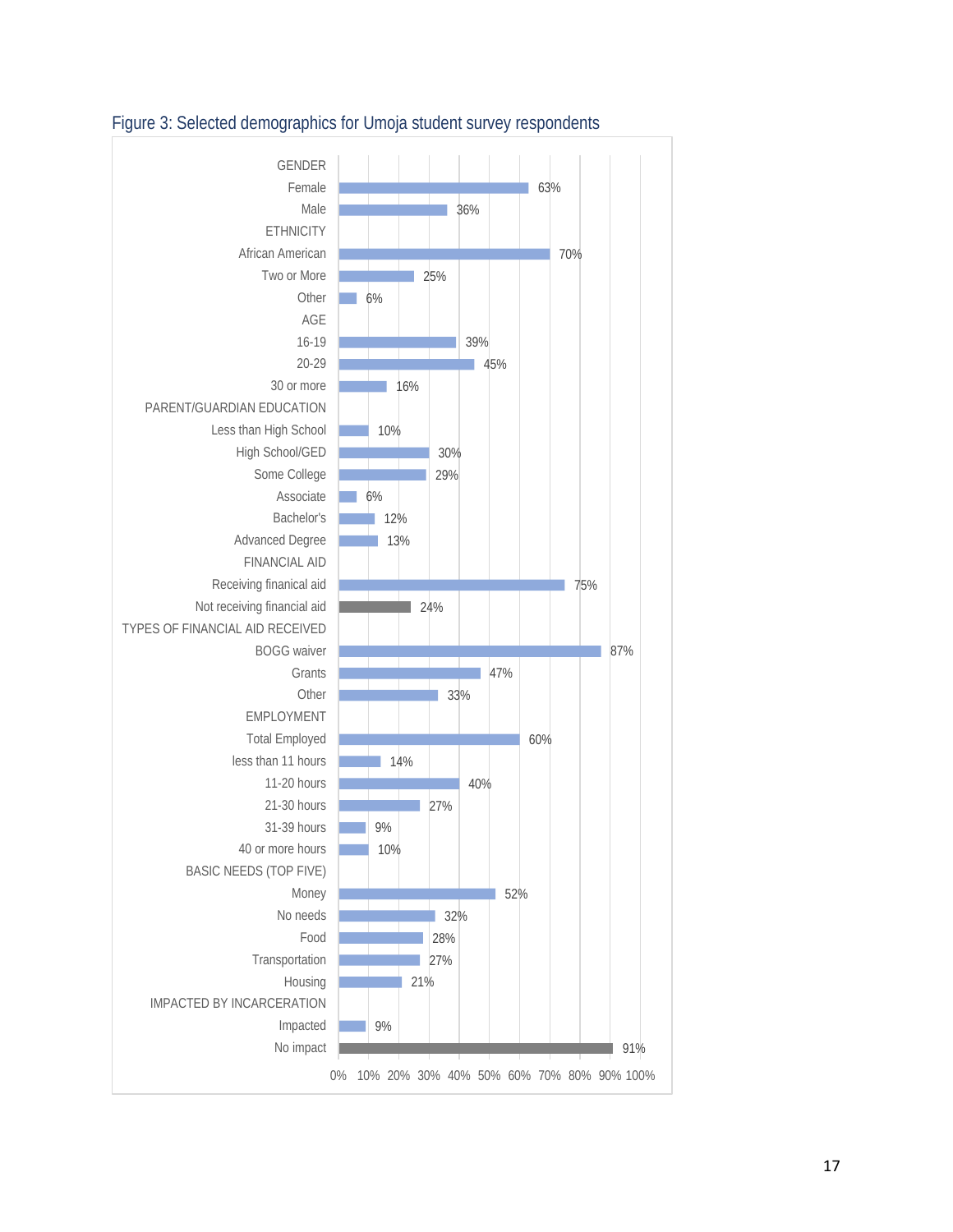

## <span id="page-18-0"></span>Figure 3: Selected demographics for Umoja student survey respondents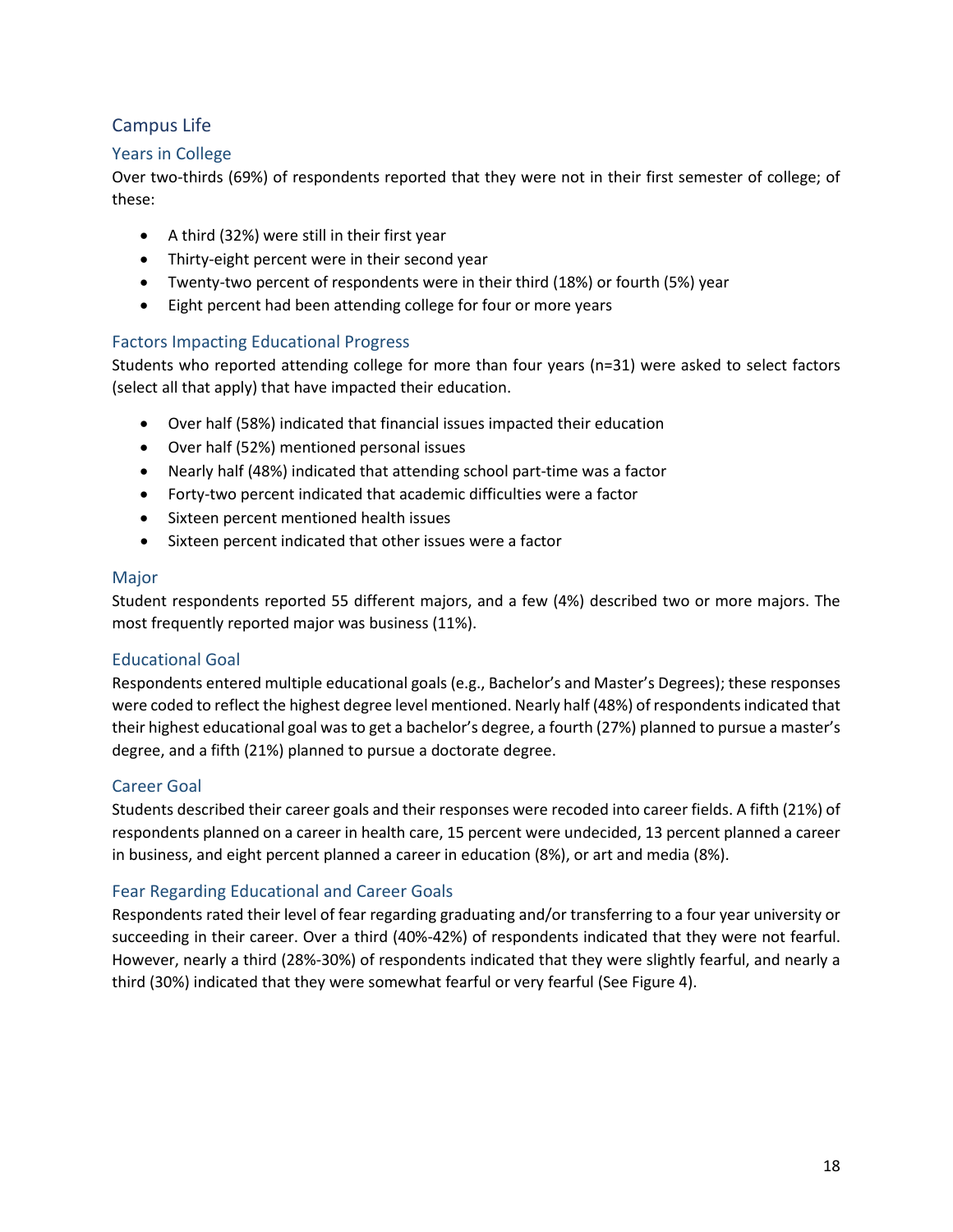## <span id="page-19-0"></span>Campus Life

#### Years in College

Over two-thirds (69%) of respondents reported that they were not in their first semester of college; of these:

- A third (32%) were still in their first year
- Thirty-eight percent were in their second year
- Twenty-two percent of respondents were in their third (18%) or fourth (5%) year
- Eight percent had been attending college for four or more years

## Factors Impacting Educational Progress

Students who reported attending college for more than four years (n=31) were asked to select factors (select all that apply) that have impacted their education.

- Over half (58%) indicated that financial issues impacted their education
- Over half (52%) mentioned personal issues
- Nearly half (48%) indicated that attending school part-time was a factor
- Forty-two percent indicated that academic difficulties were a factor
- Sixteen percent mentioned health issues
- Sixteen percent indicated that other issues were a factor

#### Major

Student respondents reported 55 different majors, and a few (4%) described two or more majors. The most frequently reported major was business (11%).

## Educational Goal

Respondents entered multiple educational goals (e.g., Bachelor's and Master's Degrees); these responses were coded to reflect the highest degree level mentioned. Nearly half (48%) of respondents indicated that their highest educational goal was to get a bachelor's degree, a fourth (27%) planned to pursue a master's degree, and a fifth (21%) planned to pursue a doctorate degree.

## Career Goal

Students described their career goals and their responses were recoded into career fields. A fifth (21%) of respondents planned on a career in health care, 15 percent were undecided, 13 percent planned a career in business, and eight percent planned a career in education (8%), or art and media (8%).

## Fear Regarding Educational and Career Goals

Respondents rated their level of fear regarding graduating and/or transferring to a four year university or succeeding in their career. Over a third (40%-42%) of respondents indicated that they were not fearful. However, nearly a third (28%-30%) of respondents indicated that they were slightly fearful, and nearly a third (30%) indicated that they were somewhat fearful or very fearful (See Figure 4).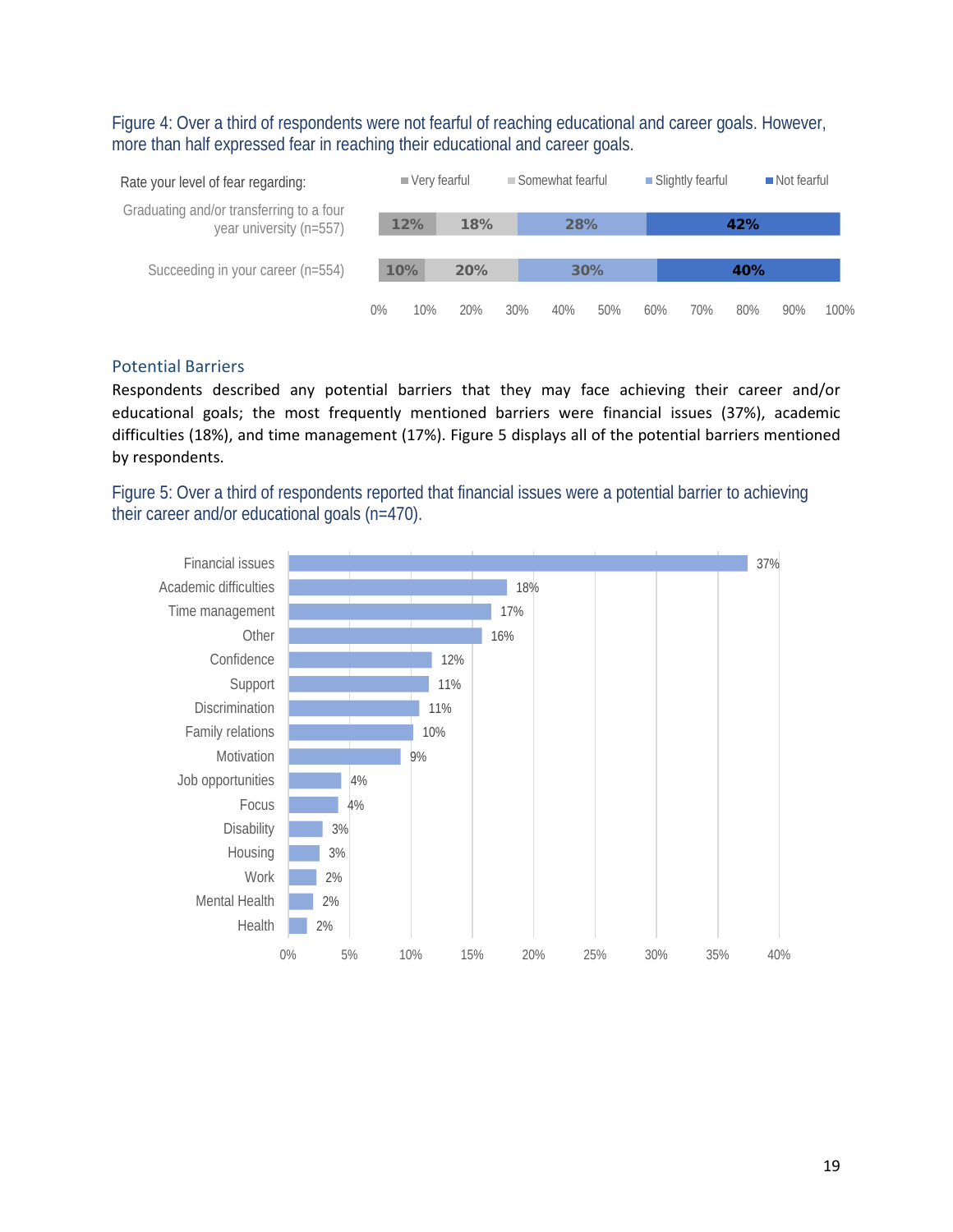<span id="page-20-0"></span>Figure 4: Over a third of respondents were not fearful of reaching educational and career goals. However, more than half expressed fear in reaching their educational and career goals.



#### Potential Barriers

Respondents described any potential barriers that they may face achieving their career and/or educational goals; the most frequently mentioned barriers were financial issues (37%), academic difficulties (18%), and time management (17%). Figure 5 displays all of the potential barriers mentioned by respondents.

<span id="page-20-1"></span>Figure 5: Over a third of respondents reported that financial issues were a potential barrier to achieving their career and/or educational goals (n=470).

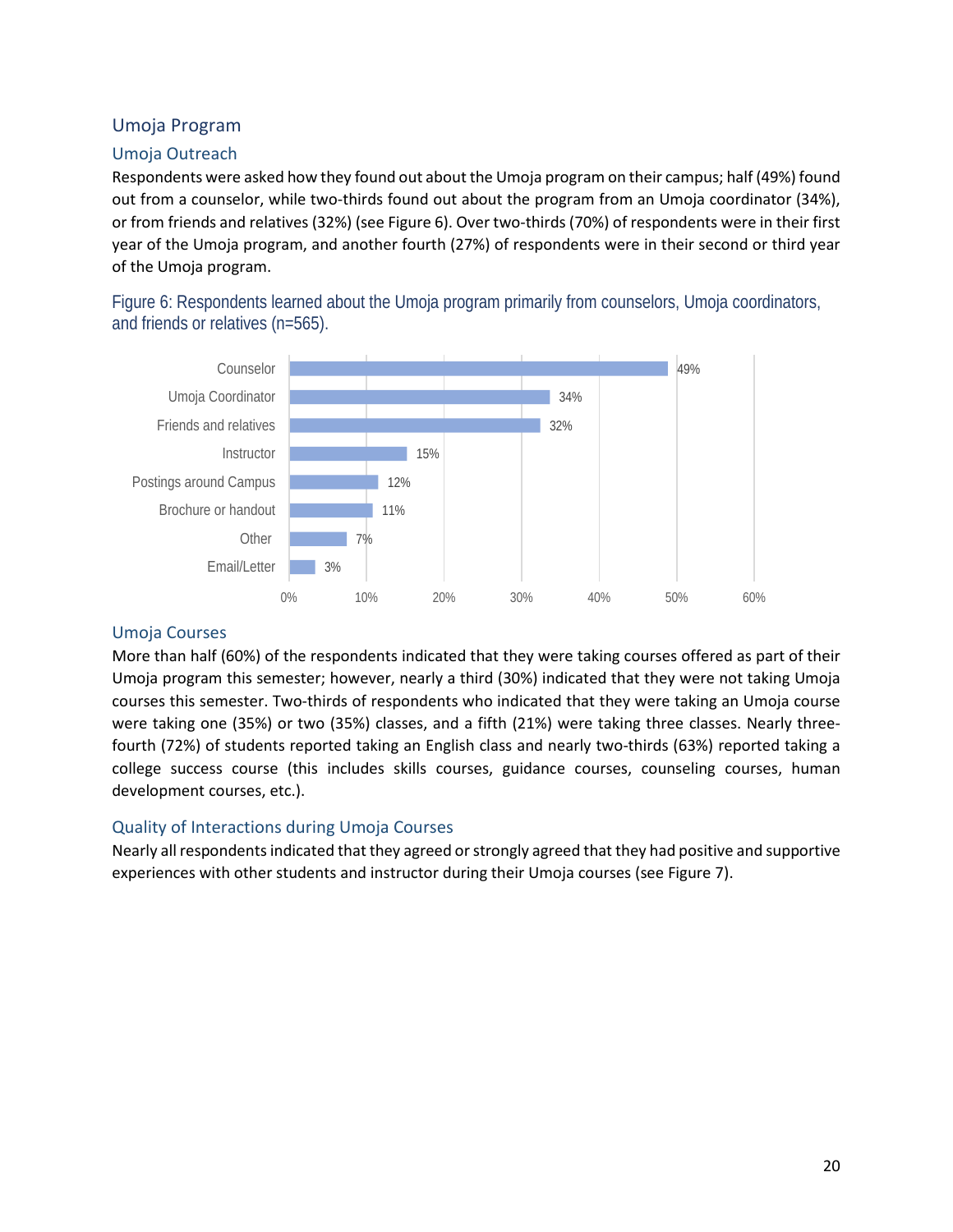## <span id="page-21-0"></span>Umoja Program

#### Umoja Outreach

Respondents were asked how they found out about the Umoja program on their campus; half (49%) found out from a counselor, while two-thirds found out about the program from an Umoja coordinator (34%), or from friends and relatives (32%) (see Figure 6). Over two-thirds (70%) of respondents were in their first year of the Umoja program, and another fourth (27%) of respondents were in their second or third year of the Umoja program.

<span id="page-21-1"></span>Figure 6: Respondents learned about the Umoja program primarily from counselors, Umoja coordinators, and friends or relatives (n=565).



#### Umoja Courses

More than half (60%) of the respondents indicated that they were taking courses offered as part of their Umoja program this semester; however, nearly a third (30%) indicated that they were not taking Umoja courses this semester. Two-thirds of respondents who indicated that they were taking an Umoja course were taking one (35%) or two (35%) classes, and a fifth (21%) were taking three classes. Nearly threefourth (72%) of students reported taking an English class and nearly two-thirds (63%) reported taking a college success course (this includes skills courses, guidance courses, counseling courses, human development courses, etc.).

#### Quality of Interactions during Umoja Courses

Nearly all respondents indicated that they agreed or strongly agreed that they had positive and supportive experiences with other students and instructor during their Umoja courses (see Figure 7).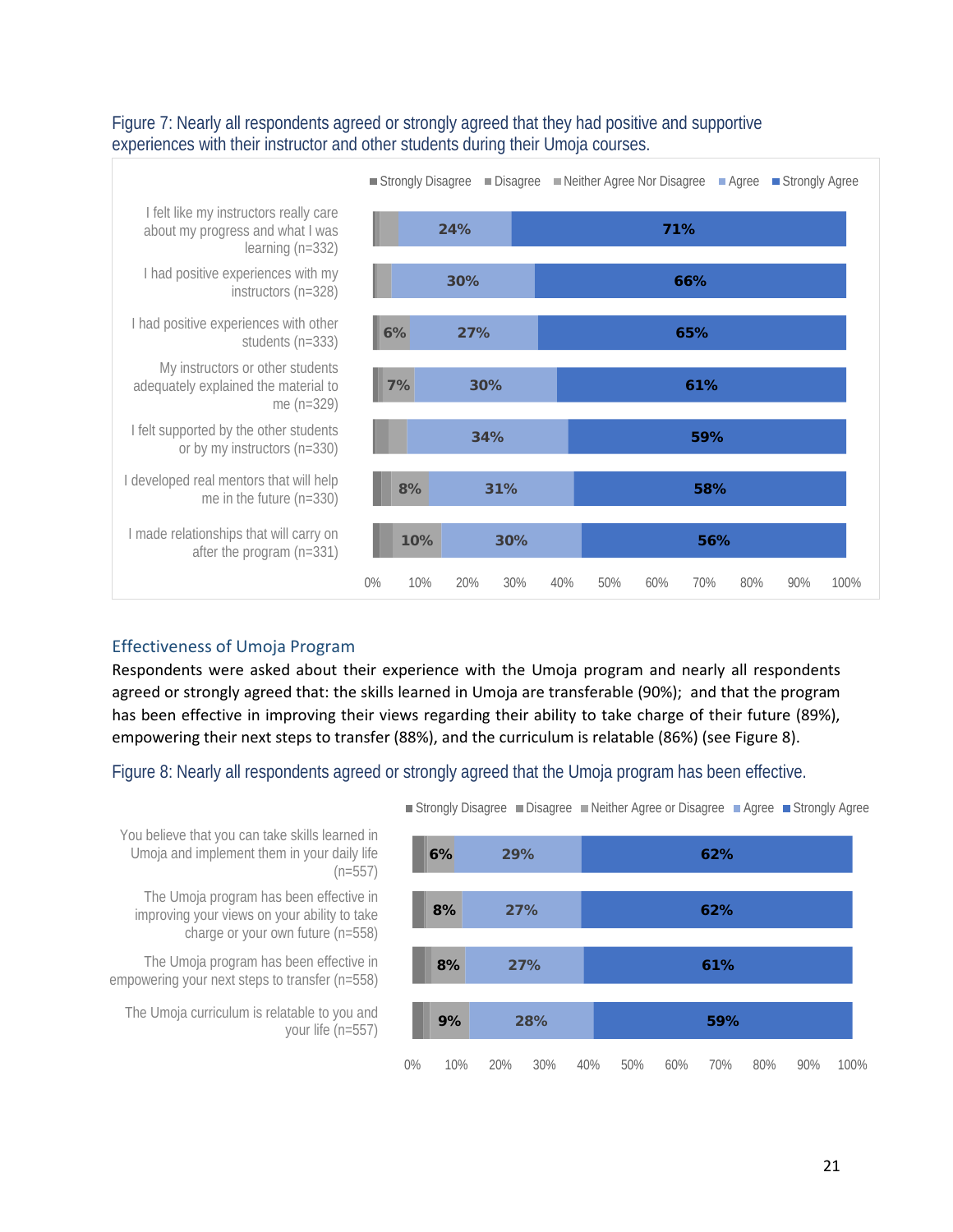

#### <span id="page-22-0"></span>Figure 7: Nearly all respondents agreed or strongly agreed that they had positive and supportive experiences with their instructor and other students during their Umoja courses.

## Effectiveness of Umoja Program

Respondents were asked about their experience with the Umoja program and nearly all respondents agreed or strongly agreed that: the skills learned in Umoja are transferable (90%); and that the program has been effective in improving their views regarding their ability to take charge of their future (89%), empowering their next steps to transfer (88%), and the curriculum is relatable (86%) (see Figure 8).

<span id="page-22-1"></span>Figure 8: Nearly all respondents agreed or strongly agreed that the Umoja program has been effective.

■ Strongly Disagree ■ Disagree ■ Neither Agree or Disagree ■ Agree ■ Strongly Agree



You believe that you can take skills learned in Umoja and implement them in your daily life  $(n=557)$ 

The Umoja program has been effective in improving your views on your ability to take charge or your own future (n=558)

The Umoja program has been effective in empowering your next steps to transfer (n=558)

The Umoja curriculum is relatable to you and your life (n=557)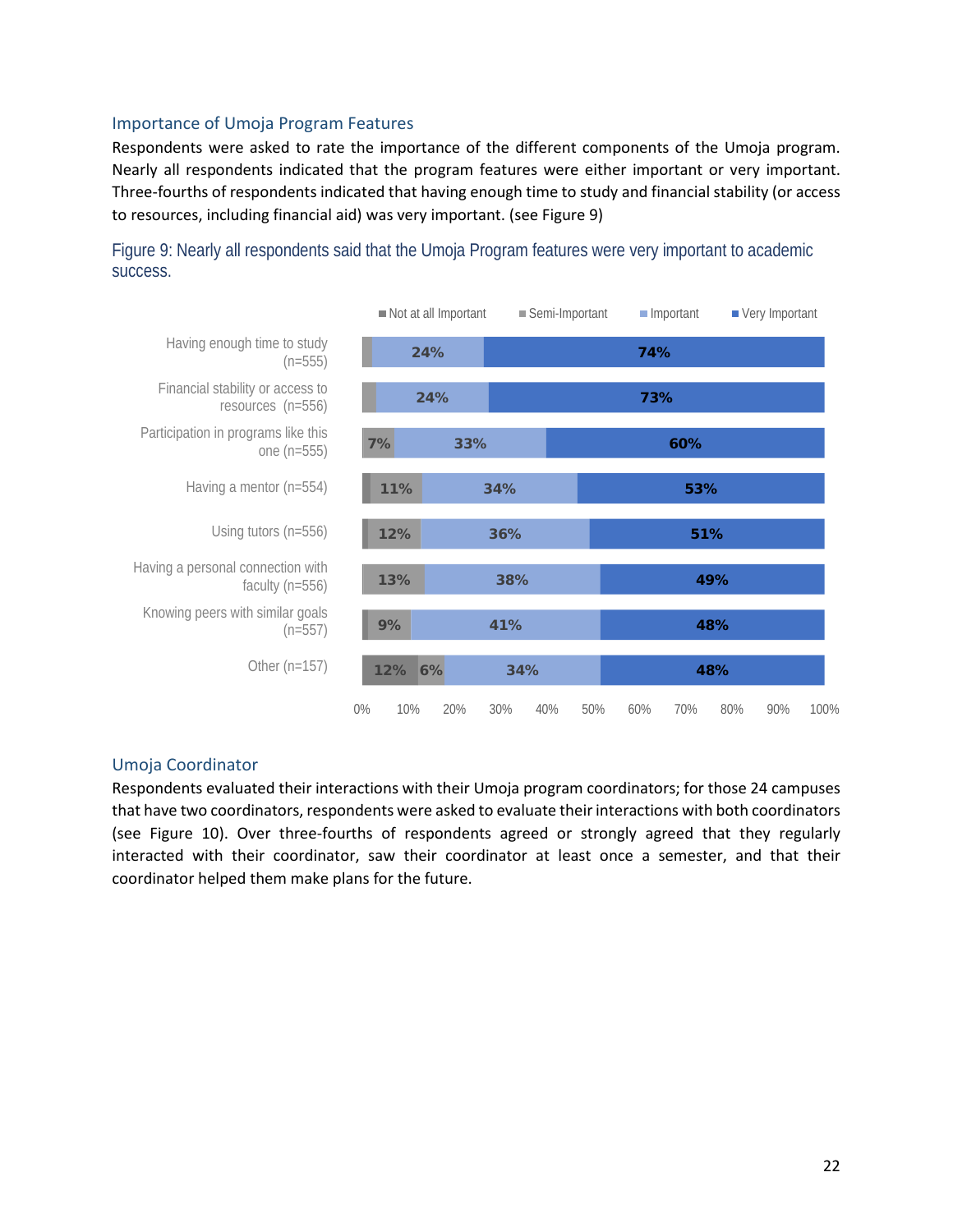#### Importance of Umoja Program Features

Respondents were asked to rate the importance of the different components of the Umoja program. Nearly all respondents indicated that the program features were either important or very important. Three-fourths of respondents indicated that having enough time to study and financial stability (or access to resources, including financial aid) was very important. (see Figure 9)



<span id="page-23-0"></span>Figure 9: Nearly all respondents said that the Umoja Program features were very important to academic success.

#### Umoja Coordinator

Respondents evaluated their interactions with their Umoja program coordinators; for those 24 campuses that have two coordinators, respondents were asked to evaluate their interactions with both coordinators (see Figure 10). Over three-fourths of respondents agreed or strongly agreed that they regularly interacted with their coordinator, saw their coordinator at least once a semester, and that their coordinator helped them make plans for the future.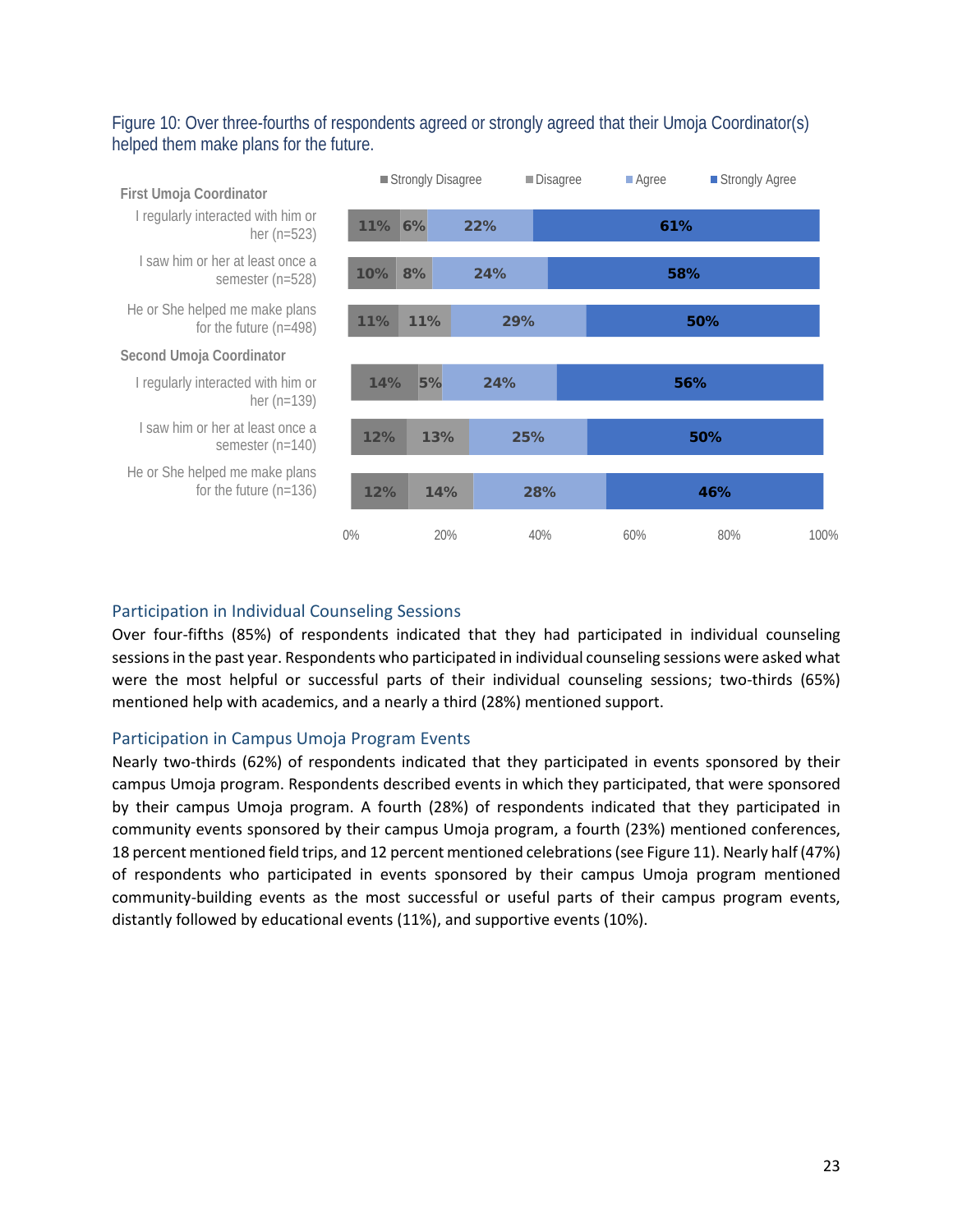## <span id="page-24-0"></span>Figure 10: Over three-fourths of respondents agreed or strongly agreed that their Umoja Coordinator(s) helped them make plans for the future.



## Participation in Individual Counseling Sessions

Over four-fifths (85%) of respondents indicated that they had participated in individual counseling sessions in the past year. Respondents who participated in individual counseling sessions were asked what were the most helpful or successful parts of their individual counseling sessions; two-thirds (65%) mentioned help with academics, and a nearly a third (28%) mentioned support.

#### Participation in Campus Umoja Program Events

Nearly two-thirds (62%) of respondents indicated that they participated in events sponsored by their campus Umoja program. Respondents described events in which they participated, that were sponsored by their campus Umoja program. A fourth (28%) of respondents indicated that they participated in community events sponsored by their campus Umoja program, a fourth (23%) mentioned conferences, 18 percent mentioned field trips, and 12 percent mentioned celebrations (see Figure 11). Nearly half (47%) of respondents who participated in events sponsored by their campus Umoja program mentioned community-building events as the most successful or useful parts of their campus program events, distantly followed by educational events (11%), and supportive events (10%).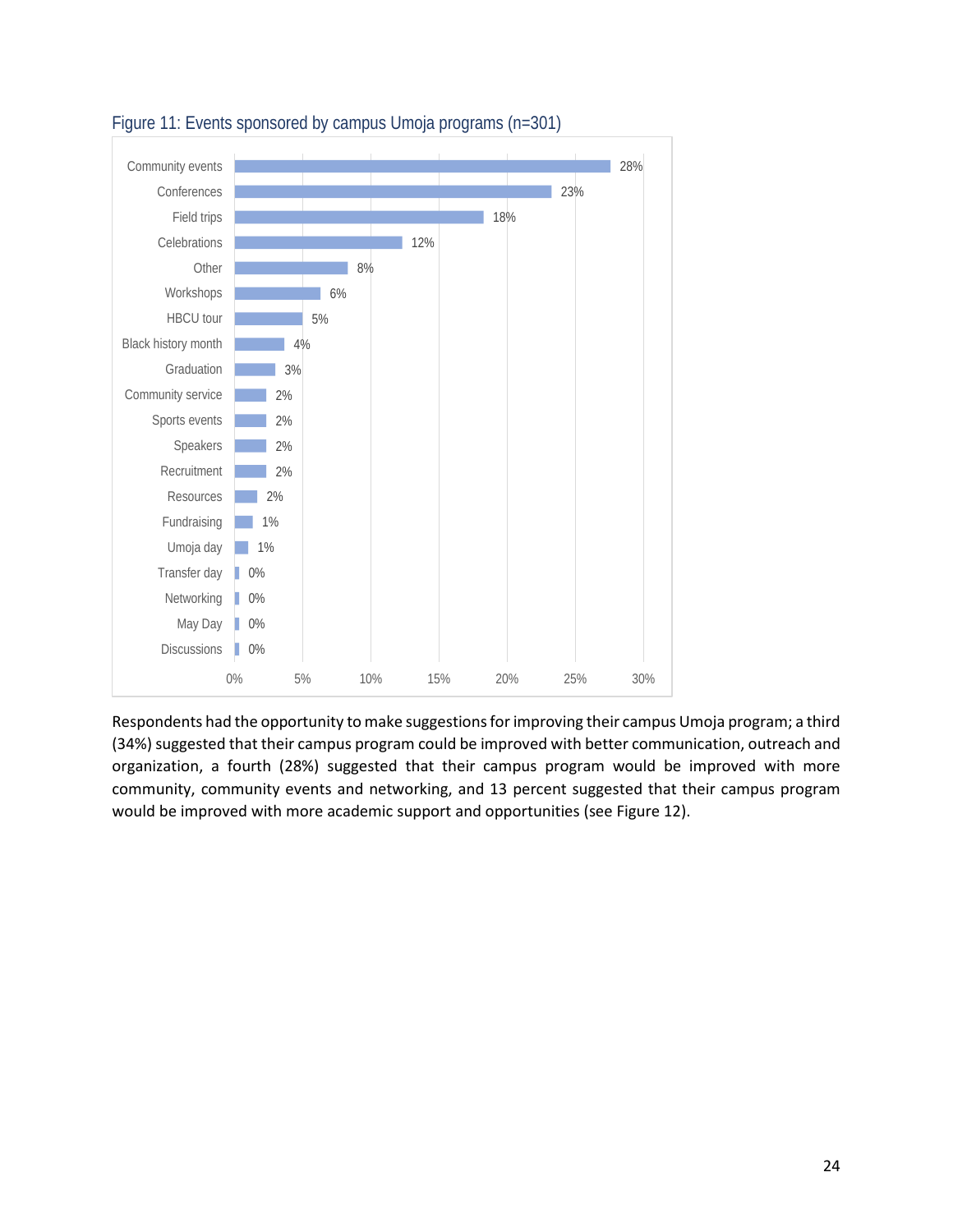

<span id="page-25-0"></span>

Respondents had the opportunity to make suggestions for improving their campus Umoja program; a third (34%) suggested that their campus program could be improved with better communication, outreach and organization, a fourth (28%) suggested that their campus program would be improved with more community, community events and networking, and 13 percent suggested that their campus program would be improved with more academic support and opportunities (see Figure 12).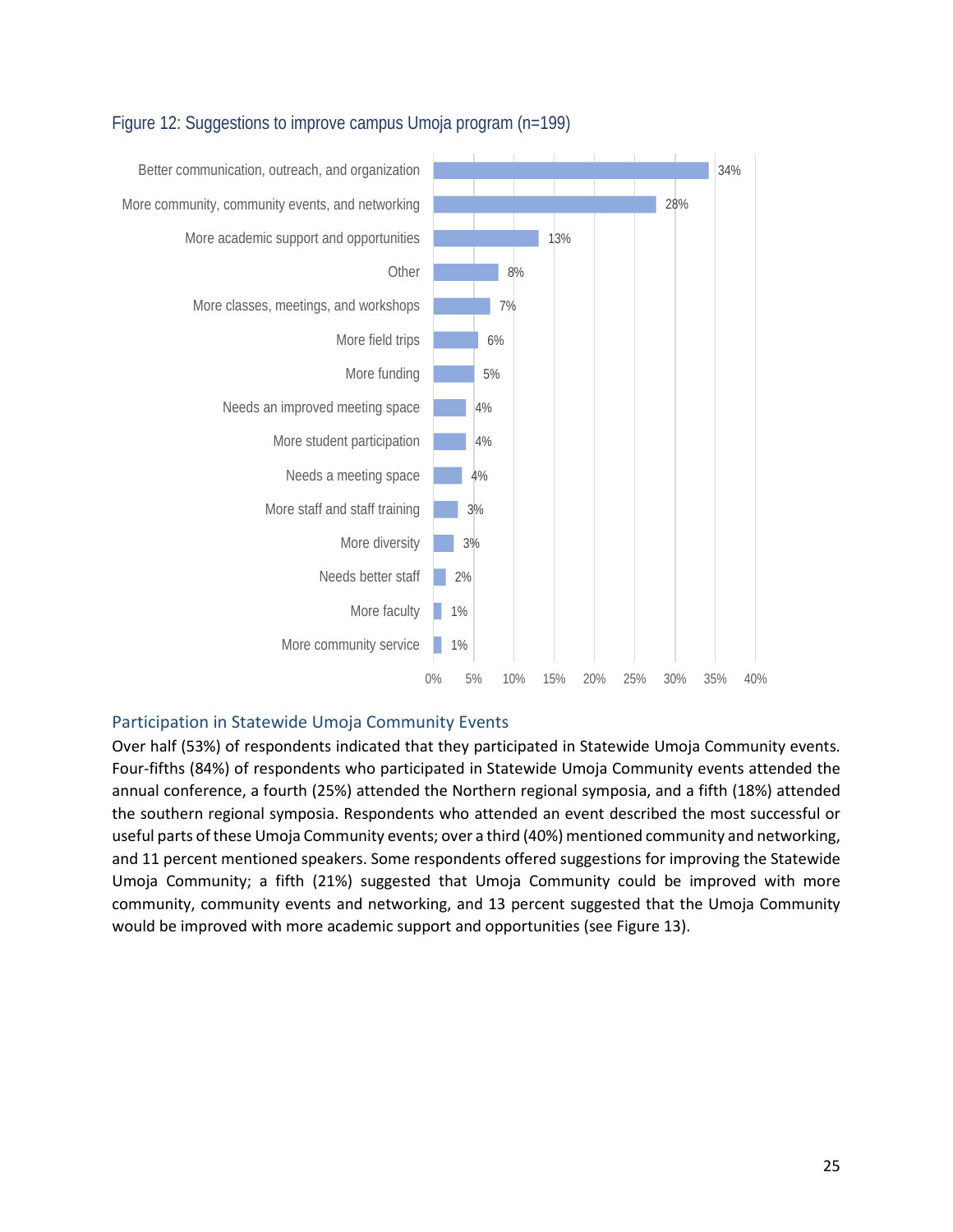

## <span id="page-26-0"></span>Figure 12: Suggestions to improve campus Umoja program (n=199)

#### Participation in Statewide Umoja Community Events

Over half (53%) of respondents indicated that they participated in Statewide Umoja Community events. Four-fifths (84%) of respondents who participated in Statewide Umoja Community events attended the annual conference, a fourth (25%) attended the Northern regional symposia, and a fifth (18%) attended the southern regional symposia. Respondents who attended an event described the most successful or useful parts of these Umoja Community events; over a third (40%) mentioned community and networking, and 11 percent mentioned speakers. Some respondents offered suggestions for improving the Statewide Umoja Community; a fifth (21%) suggested that Umoja Community could be improved with more community, community events and networking, and 13 percent suggested that the Umoja Community would be improved with more academic support and opportunities (see Figure 13).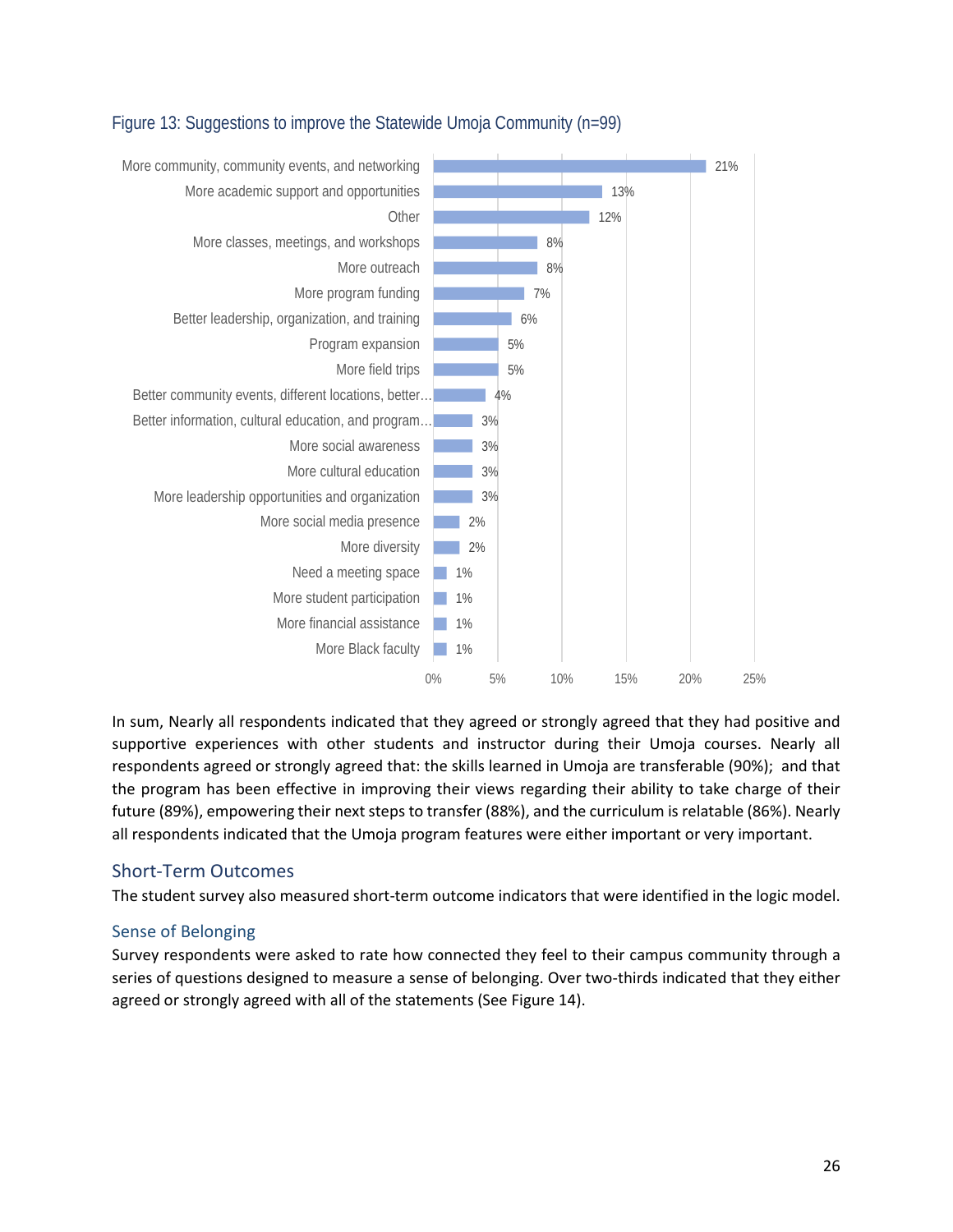

## <span id="page-27-1"></span>Figure 13: Suggestions to improve the Statewide Umoja Community (n=99)

In sum, Nearly all respondents indicated that they agreed or strongly agreed that they had positive and supportive experiences with other students and instructor during their Umoja courses. Nearly all respondents agreed or strongly agreed that: the skills learned in Umoja are transferable (90%); and that the program has been effective in improving their views regarding their ability to take charge of their future (89%), empowering their next steps to transfer (88%), and the curriculum is relatable (86%). Nearly all respondents indicated that the Umoja program features were either important or very important.

## <span id="page-27-0"></span>Short-Term Outcomes

The student survey also measured short-term outcome indicators that were identified in the logic model.

## Sense of Belonging

Survey respondents were asked to rate how connected they feel to their campus community through a series of questions designed to measure a sense of belonging. Over two-thirds indicated that they either agreed or strongly agreed with all of the statements (See Figure 14).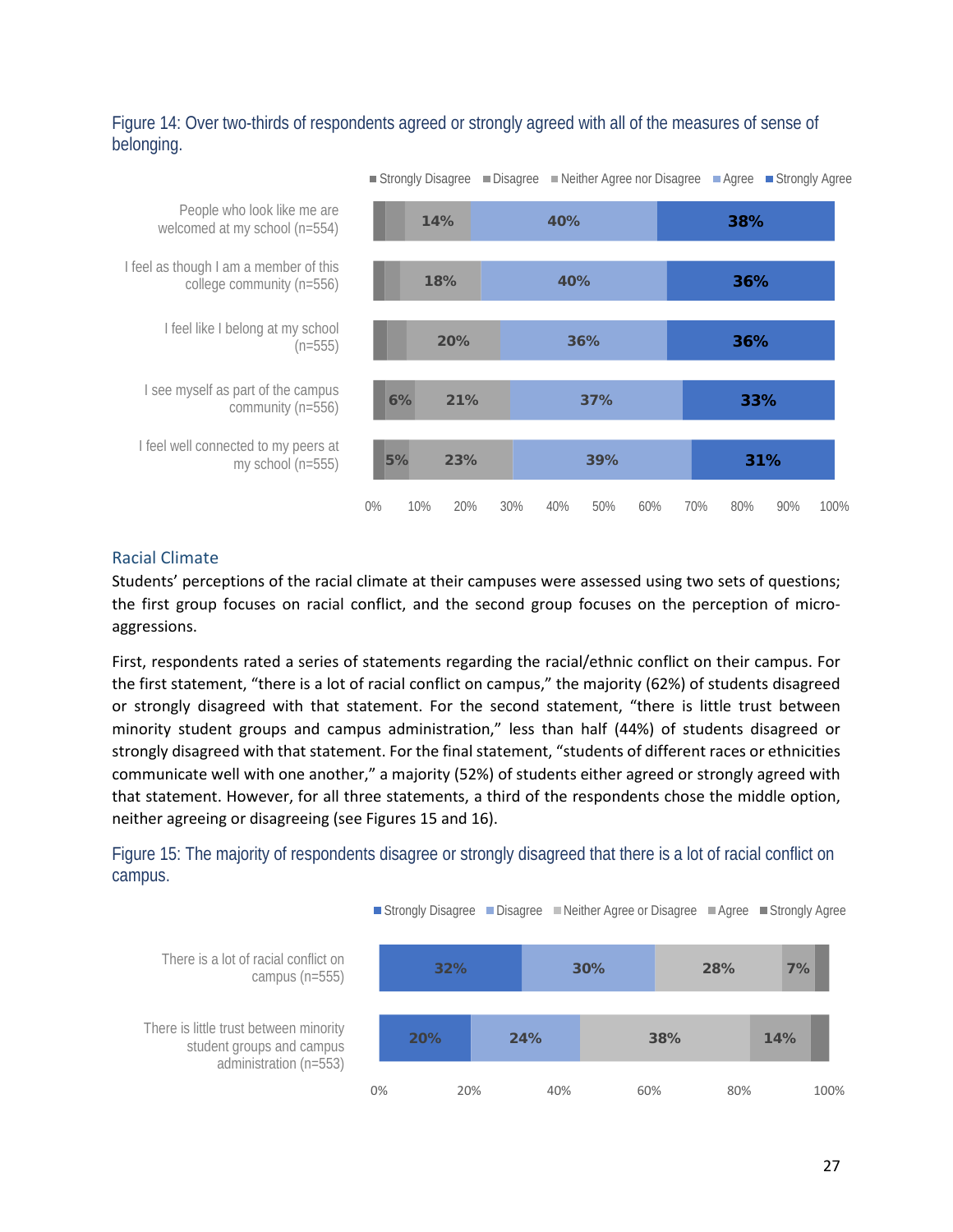## <span id="page-28-0"></span>Figure 14: Over two-thirds of respondents agreed or strongly agreed with all of the measures of sense of belonging.



#### Racial Climate

Students' perceptions of the racial climate at their campuses were assessed using two sets of questions; the first group focuses on racial conflict, and the second group focuses on the perception of microaggressions.

First, respondents rated a series of statements regarding the racial/ethnic conflict on their campus. For the first statement, "there is a lot of racial conflict on campus," the majority (62%) of students disagreed or strongly disagreed with that statement. For the second statement, "there is little trust between minority student groups and campus administration," less than half (44%) of students disagreed or strongly disagreed with that statement. For the final statement, "students of different races or ethnicities communicate well with one another," a majority (52%) of students either agreed or strongly agreed with that statement. However, for all three statements, a third of the respondents chose the middle option, neither agreeing or disagreeing (see Figures 15 and 16).

<span id="page-28-1"></span>Figure 15: The majority of respondents disagree or strongly disagreed that there is a lot of racial conflict on campus.

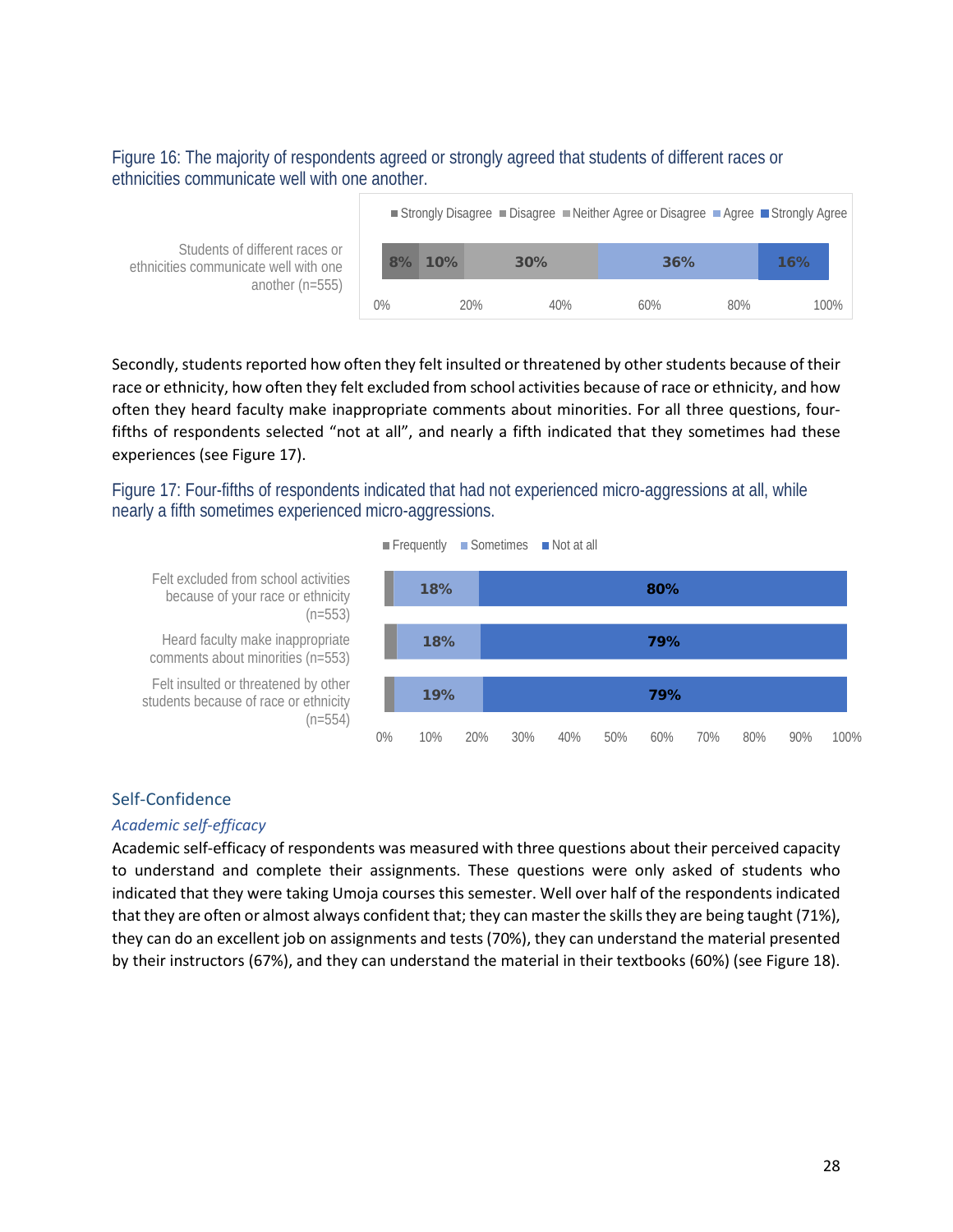#### <span id="page-29-0"></span>Figure 16: The majority of respondents agreed or strongly agreed that students of different races or ethnicities communicate well with one another.

|                                                                         |    |     | ■ Strongly Disagree ■ Disagree ■ Neither Agree or Disagree ■ Agree ■ Strongly Agree |     |     |     |      |
|-------------------------------------------------------------------------|----|-----|-------------------------------------------------------------------------------------|-----|-----|-----|------|
| Students of different races or<br>ethnicities communicate well with one | 8% | 10% | 30%                                                                                 | 36% |     | 16% |      |
| another $(n=555)$                                                       | 0% |     | 20%<br>40%                                                                          | 60% | 80% |     | 100% |

Secondly, students reported how often they felt insulted or threatened by other students because of their race or ethnicity, how often they felt excluded from school activities because of race or ethnicity, and how often they heard faculty make inappropriate comments about minorities. For all three questions, fourfifths of respondents selected "not at all", and nearly a fifth indicated that they sometimes had these experiences (see Figure 17).

<span id="page-29-1"></span>Figure 17: Four-fifths of respondents indicated that had not experienced micro-aggressions at all, while nearly a fifth sometimes experienced micro-aggressions.



#### Self-Confidence

#### *Academic self-efficacy*

Academic self-efficacy of respondents was measured with three questions about their perceived capacity to understand and complete their assignments. These questions were only asked of students who indicated that they were taking Umoja courses this semester. Well over half of the respondents indicated that they are often or almost always confident that; they can master the skills they are being taught (71%), they can do an excellent job on assignments and tests (70%), they can understand the material presented by their instructors (67%), and they can understand the material in their textbooks (60%) (see Figure 18).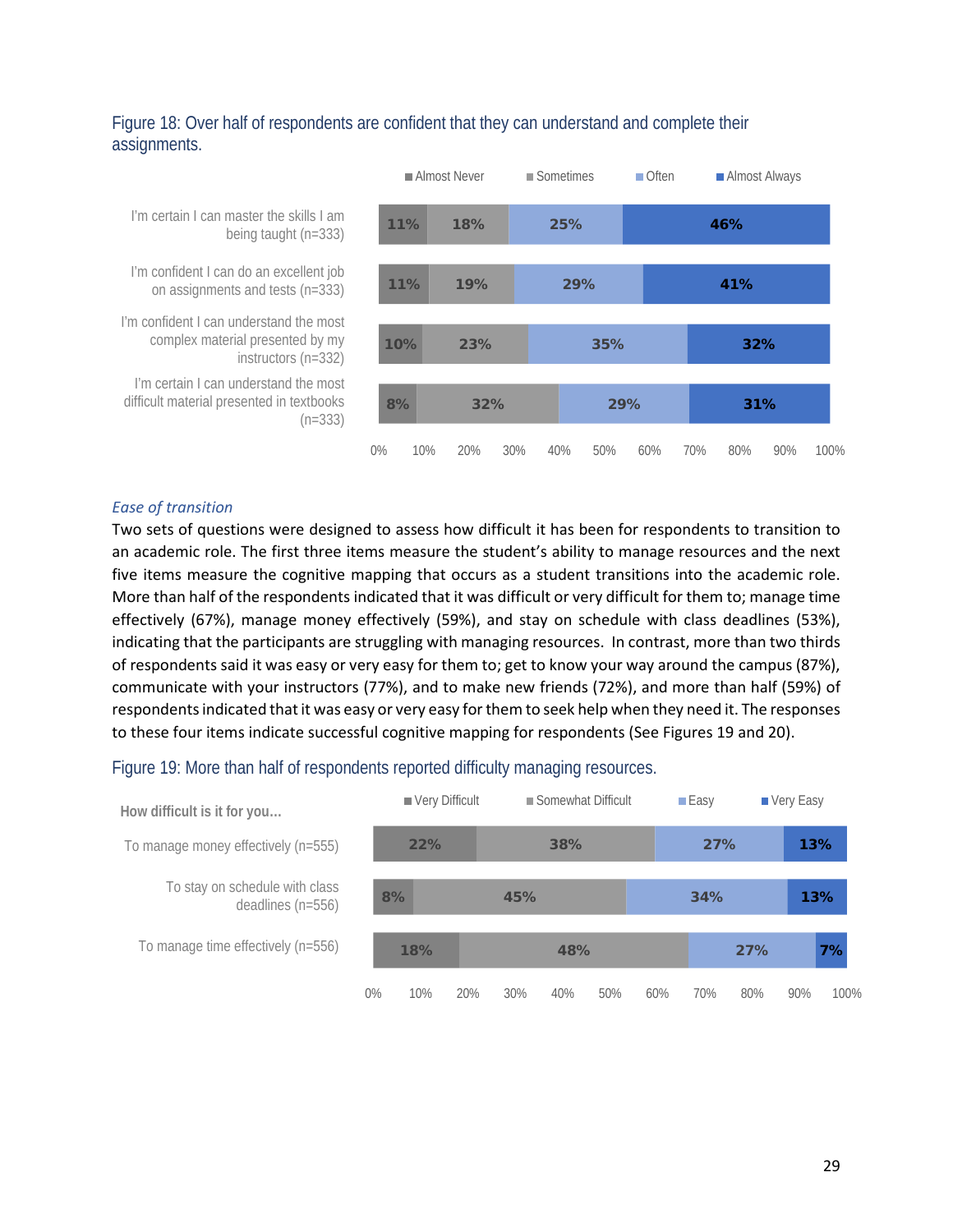## <span id="page-30-0"></span>Figure 18: Over half of respondents are confident that they can understand and complete their assignments.



I'm certain I can master the skills I am being taught (n=333)

I'm confident I can do an excellent job on assignments and tests (n=333)

I'm confident I can understand the most complex material presented by my instructors (n=332)

I'm certain I can understand the most difficult material presented in textbooks (n=333)

#### *Ease of transition*

Two sets of questions were designed to assess how difficult it has been for respondents to transition to an academic role. The first three items measure the student's ability to manage resources and the next five items measure the cognitive mapping that occurs as a student transitions into the academic role. More than half of the respondents indicated that it was difficult or very difficult for them to; manage time effectively (67%), manage money effectively (59%), and stay on schedule with class deadlines (53%), indicating that the participants are struggling with managing resources. In contrast, more than two thirds of respondents said it was easy or very easy for them to; get to know your way around the campus (87%), communicate with your instructors (77%), and to make new friends (72%), and more than half (59%) of respondents indicated that it was easy or very easy for them to seek help when they need it. The responses to these four items indicate successful cognitive mapping for respondents (See Figures 19 and 20).

#### <span id="page-30-1"></span>Figure 19: More than half of respondents reported difficulty managing resources.

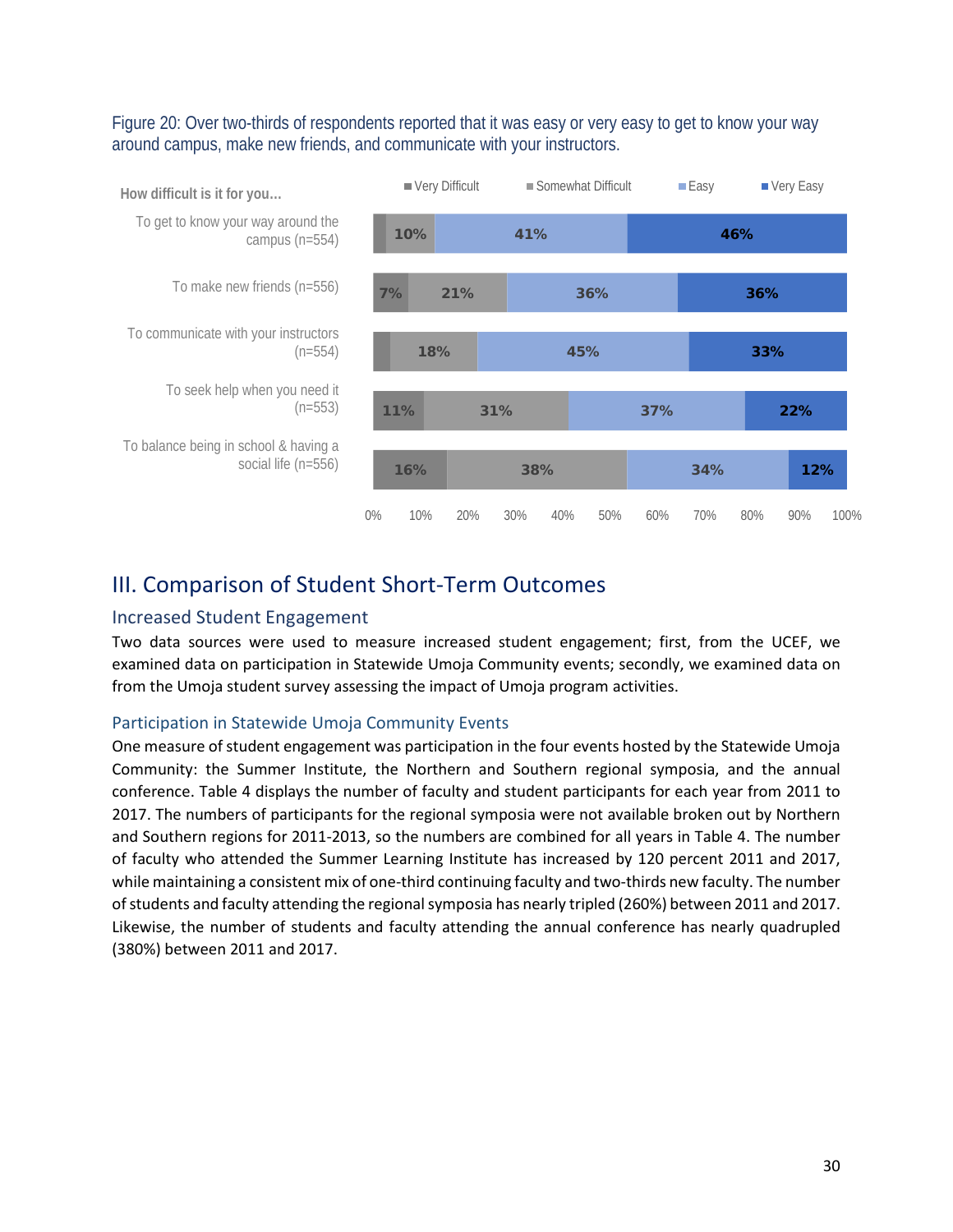#### <span id="page-31-2"></span>Figure 20: Over two-thirds of respondents reported that it was easy or very easy to get to know your way around campus, make new friends, and communicate with your instructors.



## <span id="page-31-0"></span>III. Comparison of Student Short-Term Outcomes

#### <span id="page-31-1"></span>Increased Student Engagement

Two data sources were used to measure increased student engagement; first, from the UCEF, we examined data on participation in Statewide Umoja Community events; secondly, we examined data on from the Umoja student survey assessing the impact of Umoja program activities.

#### Participation in Statewide Umoja Community Events

One measure of student engagement was participation in the four events hosted by the Statewide Umoja Community: the Summer Institute, the Northern and Southern regional symposia, and the annual conference. Table 4 displays the number of faculty and student participants for each year from 2011 to 2017. The numbers of participants for the regional symposia were not available broken out by Northern and Southern regions for 2011-2013, so the numbers are combined for all years in Table 4. The number of faculty who attended the Summer Learning Institute has increased by 120 percent 2011 and 2017, while maintaining a consistent mix of one-third continuing faculty and two-thirds new faculty. The number of students and faculty attending the regional symposia has nearly tripled (260%) between 2011 and 2017. Likewise, the number of students and faculty attending the annual conference has nearly quadrupled (380%) between 2011 and 2017.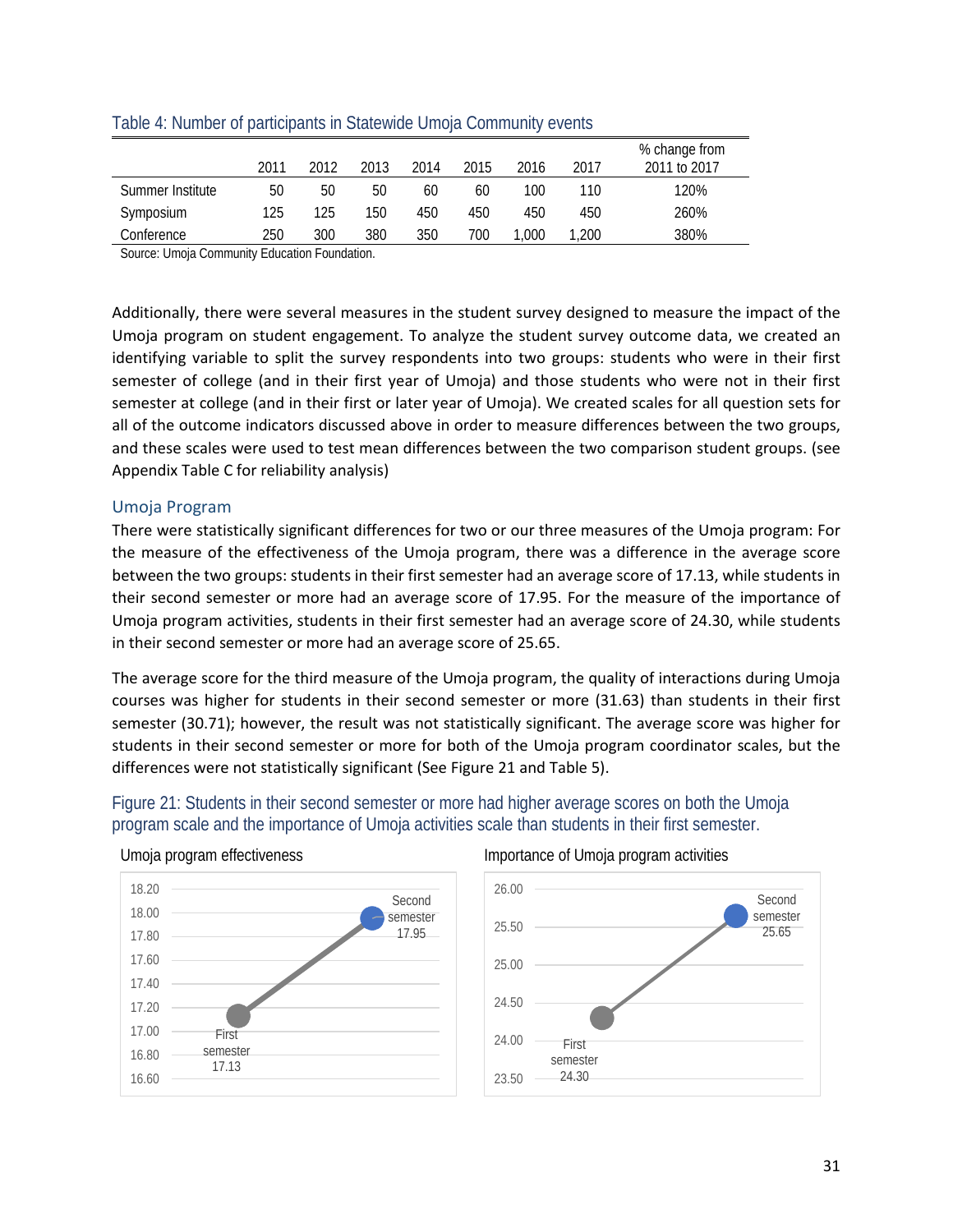|                  | 2011 | 2012 | 2013 | 2014 | 2015 | 2016 | 2017  | % change from<br>2011 to 2017 |
|------------------|------|------|------|------|------|------|-------|-------------------------------|
| Summer Institute | 50   | 50   | 50   | 60   | 60   | 100  | 110   | 120%                          |
| Symposium        | 125  | 125  | 150  | 450  | 450  | 450  | 450   | 260%                          |
| Conference       | 250  | 300  | 380  | 350  | 700  | .000 | 1.200 | 380%                          |

#### <span id="page-32-0"></span>Table 4: Number of participants in Statewide Umoja Community events

Source: Umoja Community Education Foundation.

Additionally, there were several measures in the student survey designed to measure the impact of the Umoja program on student engagement. To analyze the student survey outcome data, we created an identifying variable to split the survey respondents into two groups: students who were in their first semester of college (and in their first year of Umoja) and those students who were not in their first semester at college (and in their first or later year of Umoja). We created scales for all question sets for all of the outcome indicators discussed above in order to measure differences between the two groups, and these scales were used to test mean differences between the two comparison student groups. (see Appendix Table C for reliability analysis)

#### Umoja Program

There were statistically significant differences for two or our three measures of the Umoja program: For the measure of the effectiveness of the Umoja program, there was a difference in the average score between the two groups: students in their first semester had an average score of 17.13, while students in their second semester or more had an average score of 17.95. For the measure of the importance of Umoja program activities, students in their first semester had an average score of 24.30, while students in their second semester or more had an average score of 25.65.

The average score for the third measure of the Umoja program, the quality of interactions during Umoja courses was higher for students in their second semester or more (31.63) than students in their first semester (30.71); however, the result was not statistically significant. The average score was higher for students in their second semester or more for both of the Umoja program coordinator scales, but the differences were not statistically significant (See Figure 21 and Table 5).

<span id="page-32-1"></span>



#### Umoja program effectiveness in the Importance of Umoja program activities

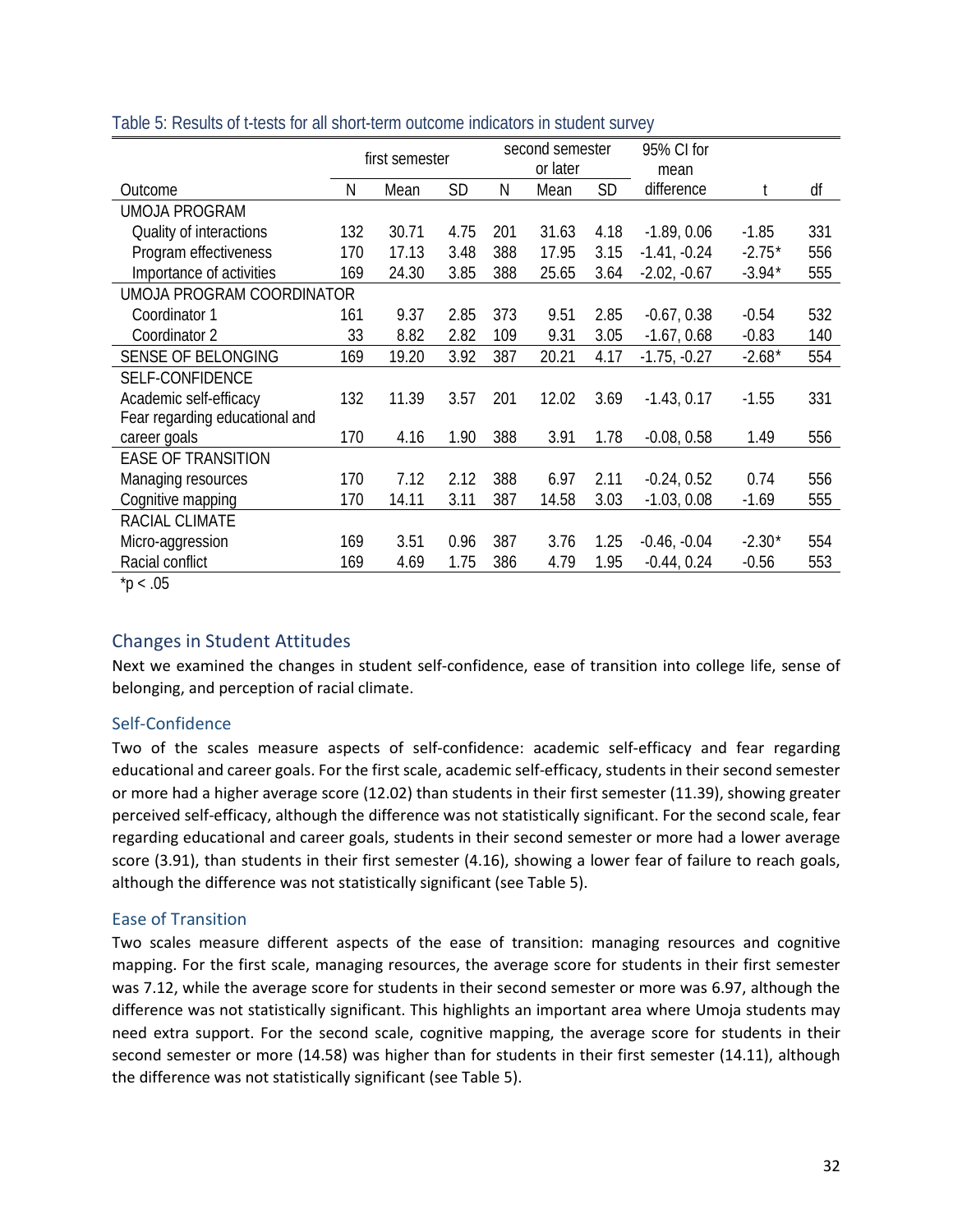|                                | first semester |       | second semester<br>or later |     |       | 95% CI for<br>mean |                |          |     |
|--------------------------------|----------------|-------|-----------------------------|-----|-------|--------------------|----------------|----------|-----|
| Outcome                        | N              | Mean  | <b>SD</b>                   | Ν   | Mean  | <b>SD</b>          | difference     |          | df  |
| <b>UMOJA PROGRAM</b>           |                |       |                             |     |       |                    |                |          |     |
| Quality of interactions        | 132            | 30.71 | 4.75                        | 201 | 31.63 | 4.18               | $-1.89, 0.06$  | $-1.85$  | 331 |
| Program effectiveness          | 170            | 17.13 | 3.48                        | 388 | 17.95 | 3.15               | $-1.41, -0.24$ | $-2.75*$ | 556 |
| Importance of activities       | 169            | 24.30 | 3.85                        | 388 | 25.65 | 3.64               | $-2.02, -0.67$ | $-3.94*$ | 555 |
| UMOJA PROGRAM COORDINATOR      |                |       |                             |     |       |                    |                |          |     |
| Coordinator 1                  | 161            | 9.37  | 2.85                        | 373 | 9.51  | 2.85               | $-0.67, 0.38$  | $-0.54$  | 532 |
| Coordinator 2                  | 33             | 8.82  | 2.82                        | 109 | 9.31  | 3.05               | $-1.67, 0.68$  | $-0.83$  | 140 |
| SENSE OF BELONGING             | 169            | 19.20 | 3.92                        | 387 | 20.21 | 4.17               | $-1.75, -0.27$ | $-2.68*$ | 554 |
| SELF-CONFIDENCE                |                |       |                             |     |       |                    |                |          |     |
| Academic self-efficacy         | 132            | 11.39 | 3.57                        | 201 | 12.02 | 3.69               | $-1.43, 0.17$  | $-1.55$  | 331 |
| Fear regarding educational and |                |       |                             |     |       |                    |                |          |     |
| career goals                   | 170            | 4.16  | 1.90                        | 388 | 3.91  | 1.78               | $-0.08, 0.58$  | 1.49     | 556 |
| <b>EASE OF TRANSITION</b>      |                |       |                             |     |       |                    |                |          |     |
| Managing resources             | 170            | 7.12  | 2.12                        | 388 | 6.97  | 2.11               | $-0.24, 0.52$  | 0.74     | 556 |
| Cognitive mapping              | 170            | 14.11 | 3.11                        | 387 | 14.58 | 3.03               | $-1.03, 0.08$  | $-1.69$  | 555 |
| RACIAL CLIMATE                 |                |       |                             |     |       |                    |                |          |     |
| Micro-aggression               | 169            | 3.51  | 0.96                        | 387 | 3.76  | 1.25               | $-0.46, -0.04$ | $-2.30*$ | 554 |
| Racial conflict                | 169            | 4.69  | 1.75                        | 386 | 4.79  | 1.95               | $-0.44, 0.24$  | $-0.56$  | 553 |

#### <span id="page-33-1"></span>Table 5: Results of t-tests for all short-term outcome indicators in student survey

 $*p < .05$ 

## <span id="page-33-0"></span>Changes in Student Attitudes

Next we examined the changes in student self-confidence, ease of transition into college life, sense of belonging, and perception of racial climate.

## Self-Confidence

Two of the scales measure aspects of self-confidence: academic self-efficacy and fear regarding educational and career goals. For the first scale, academic self-efficacy, students in their second semester or more had a higher average score (12.02) than students in their first semester (11.39), showing greater perceived self-efficacy, although the difference was not statistically significant. For the second scale, fear regarding educational and career goals, students in their second semester or more had a lower average score (3.91), than students in their first semester (4.16), showing a lower fear of failure to reach goals, although the difference was not statistically significant (see Table 5).

#### Ease of Transition

Two scales measure different aspects of the ease of transition: managing resources and cognitive mapping. For the first scale, managing resources, the average score for students in their first semester was 7.12, while the average score for students in their second semester or more was 6.97, although the difference was not statistically significant. This highlights an important area where Umoja students may need extra support. For the second scale, cognitive mapping, the average score for students in their second semester or more (14.58) was higher than for students in their first semester (14.11), although the difference was not statistically significant (see Table 5).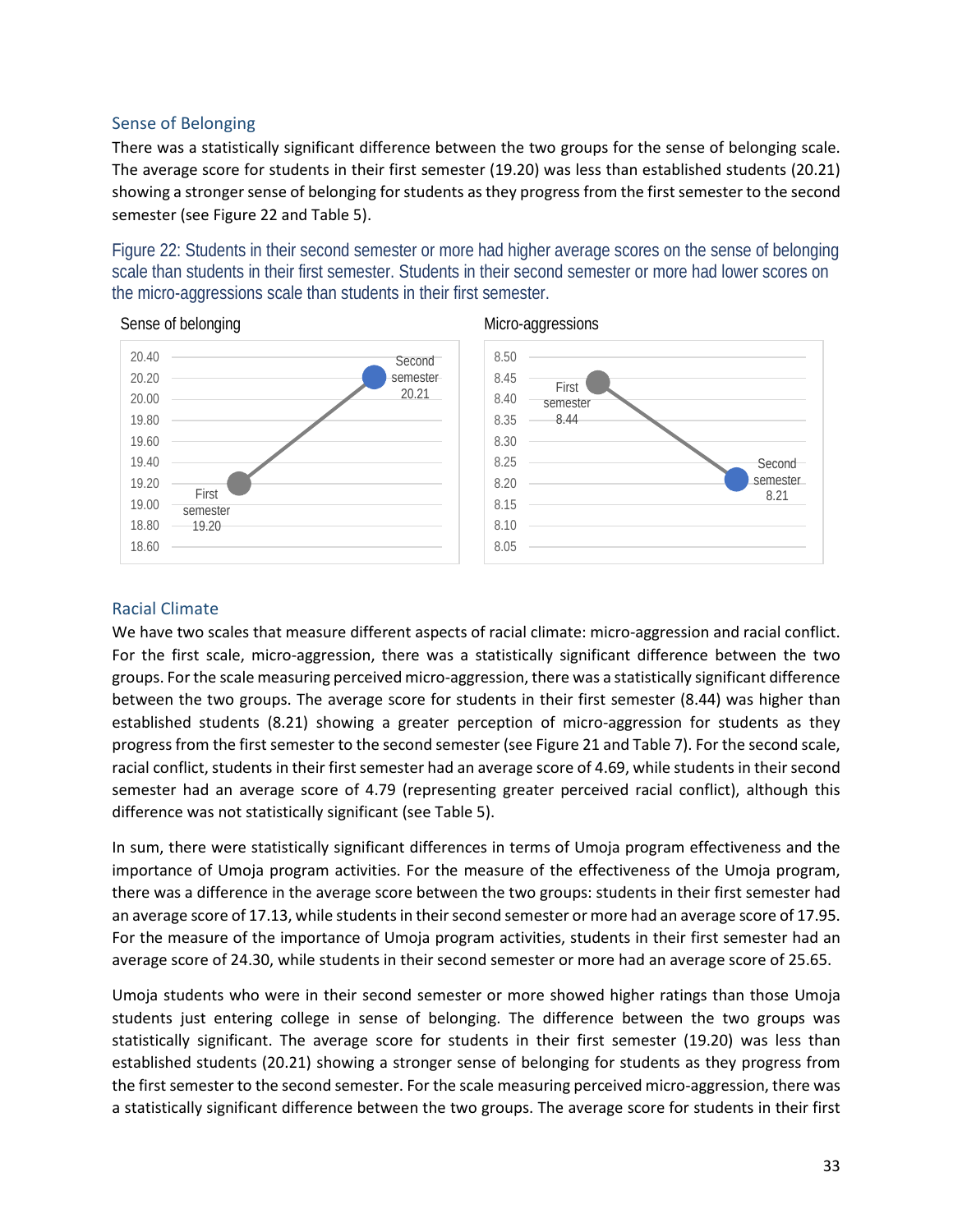#### Sense of Belonging

There was a statistically significant difference between the two groups for the sense of belonging scale. The average score for students in their first semester (19.20) was less than established students (20.21) showing a stronger sense of belonging for students as they progress from the first semester to the second semester (see Figure 22 and Table 5).

<span id="page-34-0"></span>Figure 22: Students in their second semester or more had higher average scores on the sense of belonging scale than students in their first semester. Students in their second semester or more had lower scores on the micro-aggressions scale than students in their first semester.





## Racial Climate

We have two scales that measure different aspects of racial climate: micro-aggression and racial conflict. For the first scale, micro-aggression, there was a statistically significant difference between the two groups. For the scale measuring perceived micro-aggression, there was a statistically significant difference between the two groups. The average score for students in their first semester (8.44) was higher than established students (8.21) showing a greater perception of micro-aggression for students as they progress from the first semester to the second semester (see Figure 21 and Table 7). For the second scale, racial conflict, students in their first semester had an average score of 4.69, while students in their second semester had an average score of 4.79 (representing greater perceived racial conflict), although this difference was not statistically significant (see Table 5).

In sum, there were statistically significant differences in terms of Umoja program effectiveness and the importance of Umoja program activities. For the measure of the effectiveness of the Umoja program, there was a difference in the average score between the two groups: students in their first semester had an average score of 17.13, while students in their second semester or more had an average score of 17.95. For the measure of the importance of Umoja program activities, students in their first semester had an average score of 24.30, while students in their second semester or more had an average score of 25.65.

Umoja students who were in their second semester or more showed higher ratings than those Umoja students just entering college in sense of belonging. The difference between the two groups was statistically significant. The average score for students in their first semester (19.20) was less than established students (20.21) showing a stronger sense of belonging for students as they progress from the first semester to the second semester. For the scale measuring perceived micro-aggression, there was a statistically significant difference between the two groups. The average score for students in their first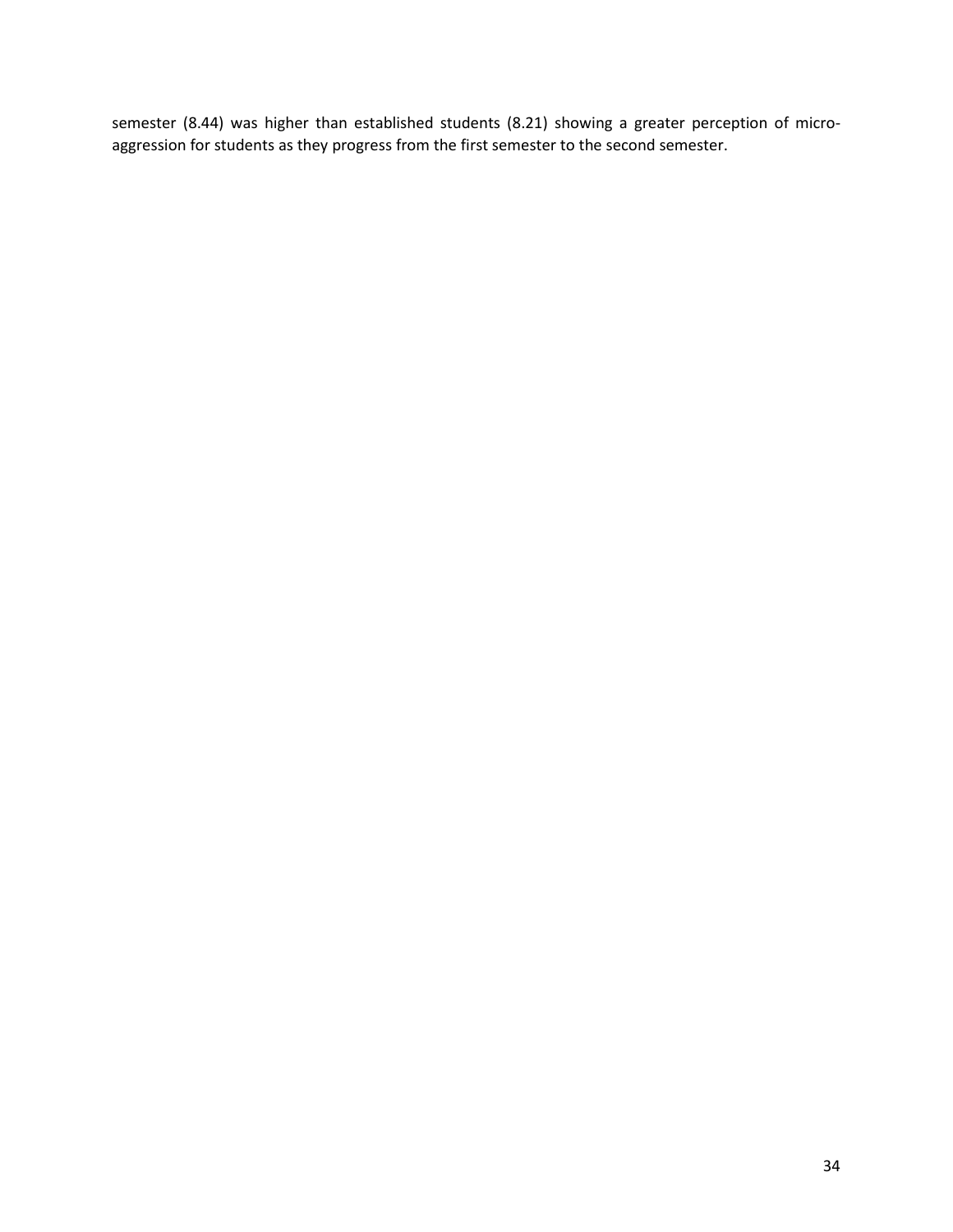semester (8.44) was higher than established students (8.21) showing a greater perception of microaggression for students as they progress from the first semester to the second semester.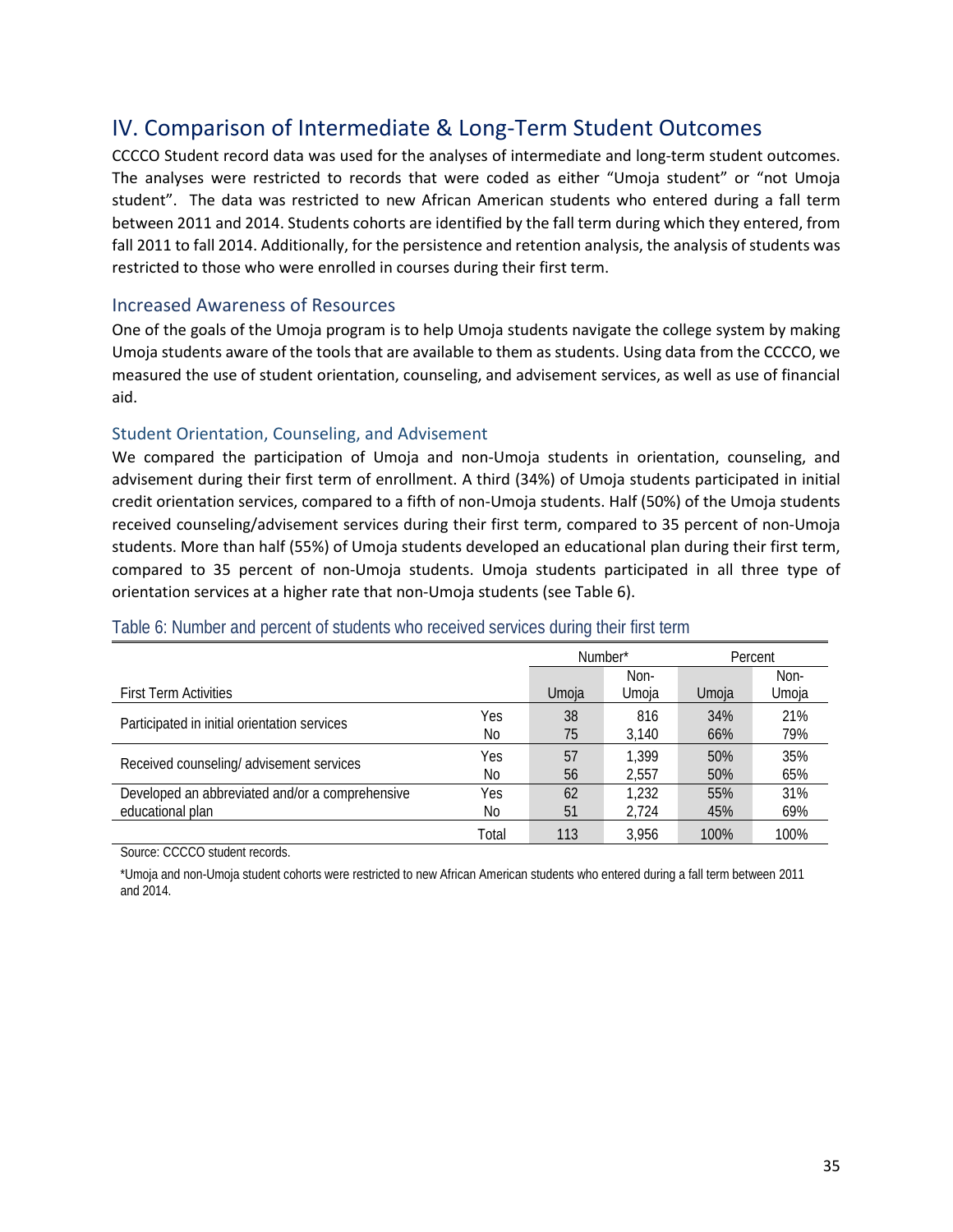## <span id="page-36-0"></span>IV. Comparison of Intermediate & Long-Term Student Outcomes

CCCCO Student record data was used for the analyses of intermediate and long-term student outcomes. The analyses were restricted to records that were coded as either "Umoja student" or "not Umoja student". The data was restricted to new African American students who entered during a fall term between 2011 and 2014. Students cohorts are identified by the fall term during which they entered, from fall 2011 to fall 2014. Additionally, for the persistence and retention analysis, the analysis of students was restricted to those who were enrolled in courses during their first term.

#### <span id="page-36-1"></span>Increased Awareness of Resources

One of the goals of the Umoja program is to help Umoja students navigate the college system by making Umoja students aware of the tools that are available to them as students. Using data from the CCCCO, we measured the use of student orientation, counseling, and advisement services, as well as use of financial aid.

#### Student Orientation, Counseling, and Advisement

We compared the participation of Umoja and non-Umoja students in orientation, counseling, and advisement during their first term of enrollment. A third (34%) of Umoja students participated in initial credit orientation services, compared to a fifth of non-Umoja students. Half (50%) of the Umoja students received counseling/advisement services during their first term, compared to 35 percent of non-Umoja students. More than half (55%) of Umoja students developed an educational plan during their first term, compared to 35 percent of non-Umoja students. Umoja students participated in all three type of orientation services at a higher rate that non-Umoja students (see Table 6).

|                                                 |       | Number* |       |       | Percent |
|-------------------------------------------------|-------|---------|-------|-------|---------|
|                                                 |       |         | Non-  |       | Non-    |
| <b>First Term Activities</b>                    |       | Umoja   | Umoja | Umoja | Umoja   |
| Participated in initial orientation services    | Yes   | 38      | 816   | 34%   | 21%     |
|                                                 | No    | 75      | 3.140 | 66%   | 79%     |
| Received counseling/ advisement services        | Yes   | 57      | 1.399 | 50%   | 35%     |
|                                                 | No    | 56      | 2.557 | 50%   | 65%     |
| Developed an abbreviated and/or a comprehensive | Yes   | 62      | 1,232 | 55%   | 31%     |
| educational plan                                | No    | 51      | 2.724 | 45%   | 69%     |
|                                                 | Total | 113     | 3.956 | 100%  | 100%    |

#### <span id="page-36-2"></span>Table 6: Number and percent of students who received services during their first term

Source: CCCCO student records.

\*Umoja and non-Umoja student cohorts were restricted to new African American students who entered during a fall term between 2011 and 2014.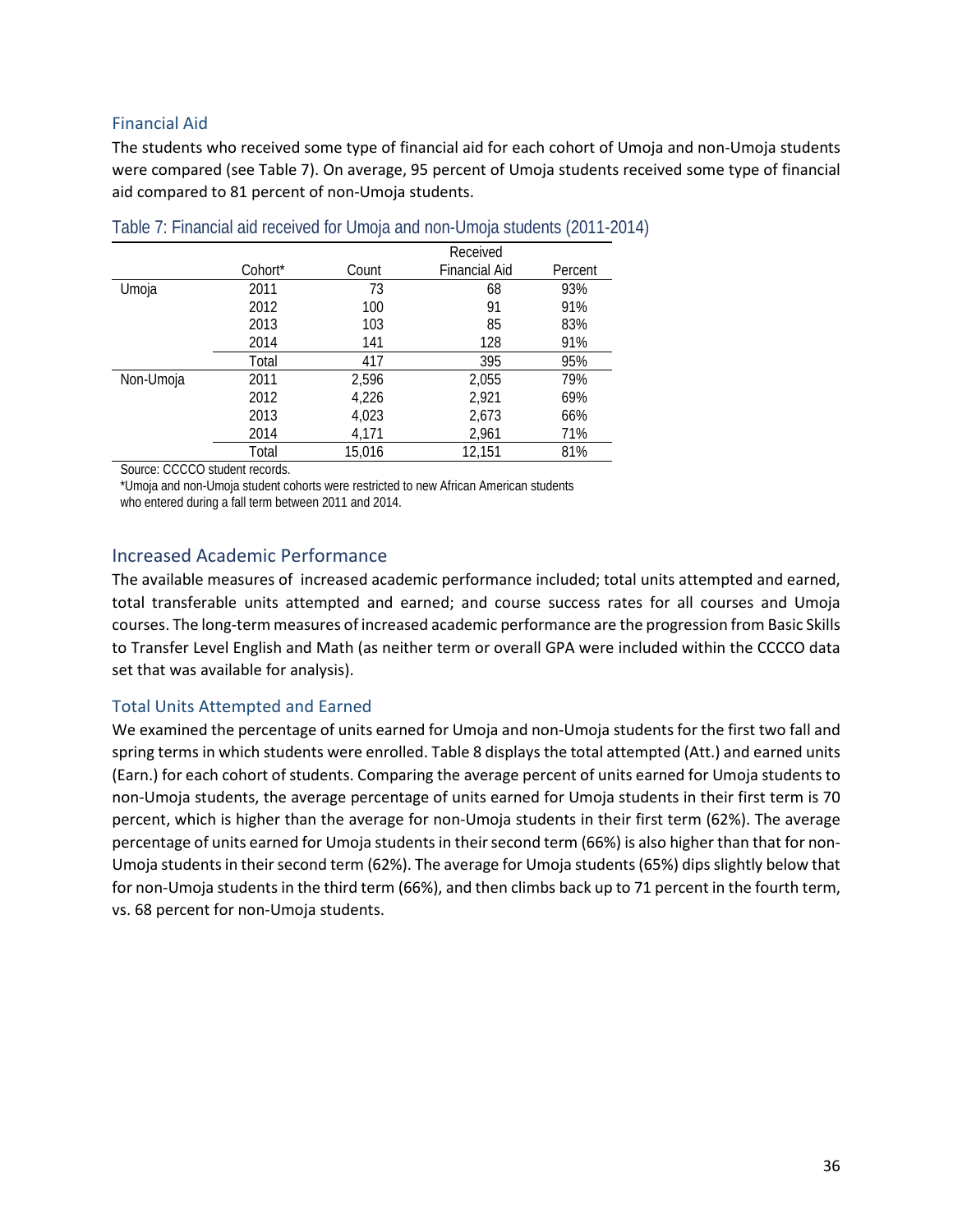#### Financial Aid

The students who received some type of financial aid for each cohort of Umoja and non-Umoja students were compared (see Table 7). On average, 95 percent of Umoja students received some type of financial aid compared to 81 percent of non-Umoja students.

|           |         | Received |                      |         |  |  |
|-----------|---------|----------|----------------------|---------|--|--|
|           | Cohort* | Count    | <b>Financial Aid</b> | Percent |  |  |
| Umoja     | 2011    | 73       | 68                   | 93%     |  |  |
|           | 2012    | 100      | 91                   | 91%     |  |  |
|           | 2013    | 103      | 85                   | 83%     |  |  |
|           | 2014    | 141      | 128                  | 91%     |  |  |
|           | Total   | 417      | 395                  | 95%     |  |  |
| Non-Umoja | 2011    | 2,596    | 2,055                | 79%     |  |  |
|           | 2012    | 4,226    | 2,921                | 69%     |  |  |
|           | 2013    | 4,023    | 2,673                | 66%     |  |  |
|           | 2014    | 4,171    | 2,961                | 71%     |  |  |
|           | Total   | 15,016   | 12,151               | 81%     |  |  |

<span id="page-37-1"></span>

|  |  | Table 7: Financial aid received for Umoja and non-Umoja students (2011-2014) |  |
|--|--|------------------------------------------------------------------------------|--|
|  |  |                                                                              |  |

Source: CCCCO student records.

\*Umoja and non-Umoja student cohorts were restricted to new African American students who entered during a fall term between 2011 and 2014.

## <span id="page-37-0"></span>Increased Academic Performance

The available measures of increased academic performance included; total units attempted and earned, total transferable units attempted and earned; and course success rates for all courses and Umoja courses. The long-term measures of increased academic performance are the progression from Basic Skills to Transfer Level English and Math (as neither term or overall GPA were included within the CCCCO data set that was available for analysis).

## Total Units Attempted and Earned

We examined the percentage of units earned for Umoja and non-Umoja students for the first two fall and spring terms in which students were enrolled. Table 8 displays the total attempted (Att.) and earned units (Earn.) for each cohort of students. Comparing the average percent of units earned for Umoja students to non-Umoja students, the average percentage of units earned for Umoja students in their first term is 70 percent, which is higher than the average for non-Umoja students in their first term (62%). The average percentage of units earned for Umoja students in their second term (66%) is also higher than that for non-Umoja students in their second term (62%). The average for Umoja students (65%) dips slightly below that for non-Umoja students in the third term (66%), and then climbs back up to 71 percent in the fourth term, vs. 68 percent for non-Umoja students.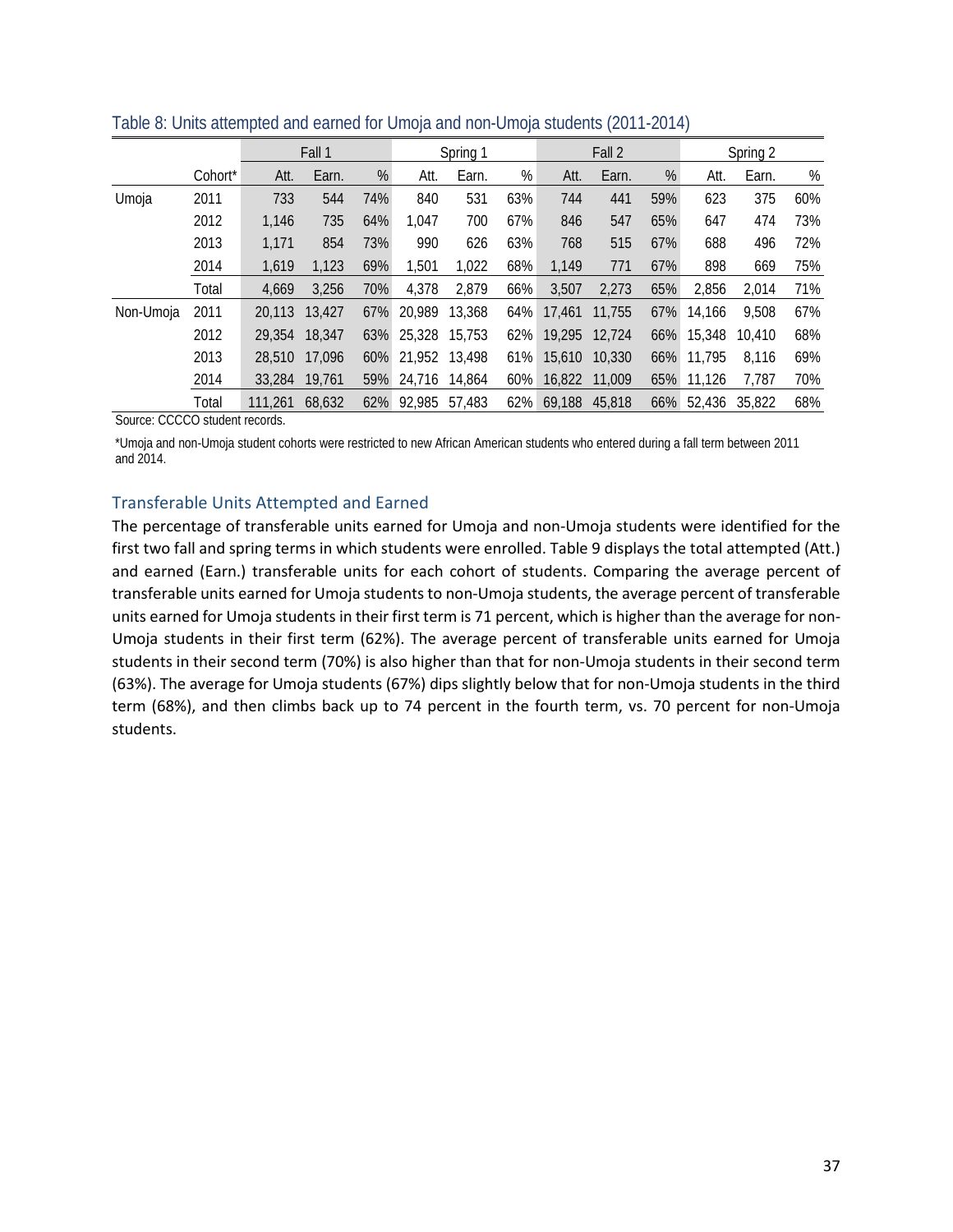|           |         |         | Fall 1 |     |               | Spring 1 |        |        | Fall 2 |     |        | Spring 2 |     |  |
|-----------|---------|---------|--------|-----|---------------|----------|--------|--------|--------|-----|--------|----------|-----|--|
|           | Cohort* | Att.    | Earn.  | %   | Att.          | Earn.    | %      | Att.   | Earn.  | %   | Att.   | Earn.    | %   |  |
| Umoja     | 2011    | 733     | 544    | 74% | 840           | 531      | 63%    | 744    | 441    | 59% | 623    | 375      | 60% |  |
|           | 2012    | 1.146   | 735    | 64% | 1.047         | 700      | 67%    | 846    | 547    | 65% | 647    | 474      | 73% |  |
|           | 2013    | 1,171   | 854    | 73% | 990           | 626      | 63%    | 768    | 515    | 67% | 688    | 496      | 72% |  |
|           | 2014    | 1,619   | 1,123  | 69% | 1,501         | 1,022    | 68%    | 1,149  | 771    | 67% | 898    | 669      | 75% |  |
|           | Total   | 4,669   | 3,256  | 70% | 4,378         | 2,879    | 66%    | 3,507  | 2,273  | 65% | 2,856  | 2,014    | 71% |  |
| Non-Umoja | 2011    | 20,113  | 13,427 | 67% | 20.989        | 13,368   | 64%    | 17,461 | 11,755 | 67% | 14.166 | 9,508    | 67% |  |
|           | 2012    | 29,354  | 18,347 | 63% | 25,328 15,753 |          | $62\%$ | 19,295 | 12,724 | 66% | 15,348 | 10,410   | 68% |  |
|           | 2013    | 28,510  | 17.096 | 60% | 21,952 13,498 |          | 61%    | 15,610 | 10,330 | 66% | 11,795 | 8,116    | 69% |  |
|           | 2014    | 33,284  | 19.761 | 59% | 24.716 14.864 |          | 60%    | 16,822 | 11,009 | 65% | 11,126 | 7,787    | 70% |  |
|           | Total   | 111.261 | 68.632 | 62% | 92.985        | 57,483   | $62\%$ | 69.188 | 45,818 | 66% | 52.436 | 35,822   | 68% |  |

<span id="page-38-0"></span>Table 8: Units attempted and earned for Umoja and non-Umoja students (2011-2014)

Source: CCCCO student records.

\*Umoja and non-Umoja student cohorts were restricted to new African American students who entered during a fall term between 2011 and 2014.

#### Transferable Units Attempted and Earned

The percentage of transferable units earned for Umoja and non-Umoja students were identified for the first two fall and spring terms in which students were enrolled. Table 9 displays the total attempted (Att.) and earned (Earn.) transferable units for each cohort of students. Comparing the average percent of transferable units earned for Umoja students to non-Umoja students, the average percent of transferable units earned for Umoja students in their first term is 71 percent, which is higher than the average for non-Umoja students in their first term (62%). The average percent of transferable units earned for Umoja students in their second term (70%) is also higher than that for non-Umoja students in their second term (63%). The average for Umoja students (67%) dips slightly below that for non-Umoja students in the third term (68%), and then climbs back up to 74 percent in the fourth term, vs. 70 percent for non-Umoja students.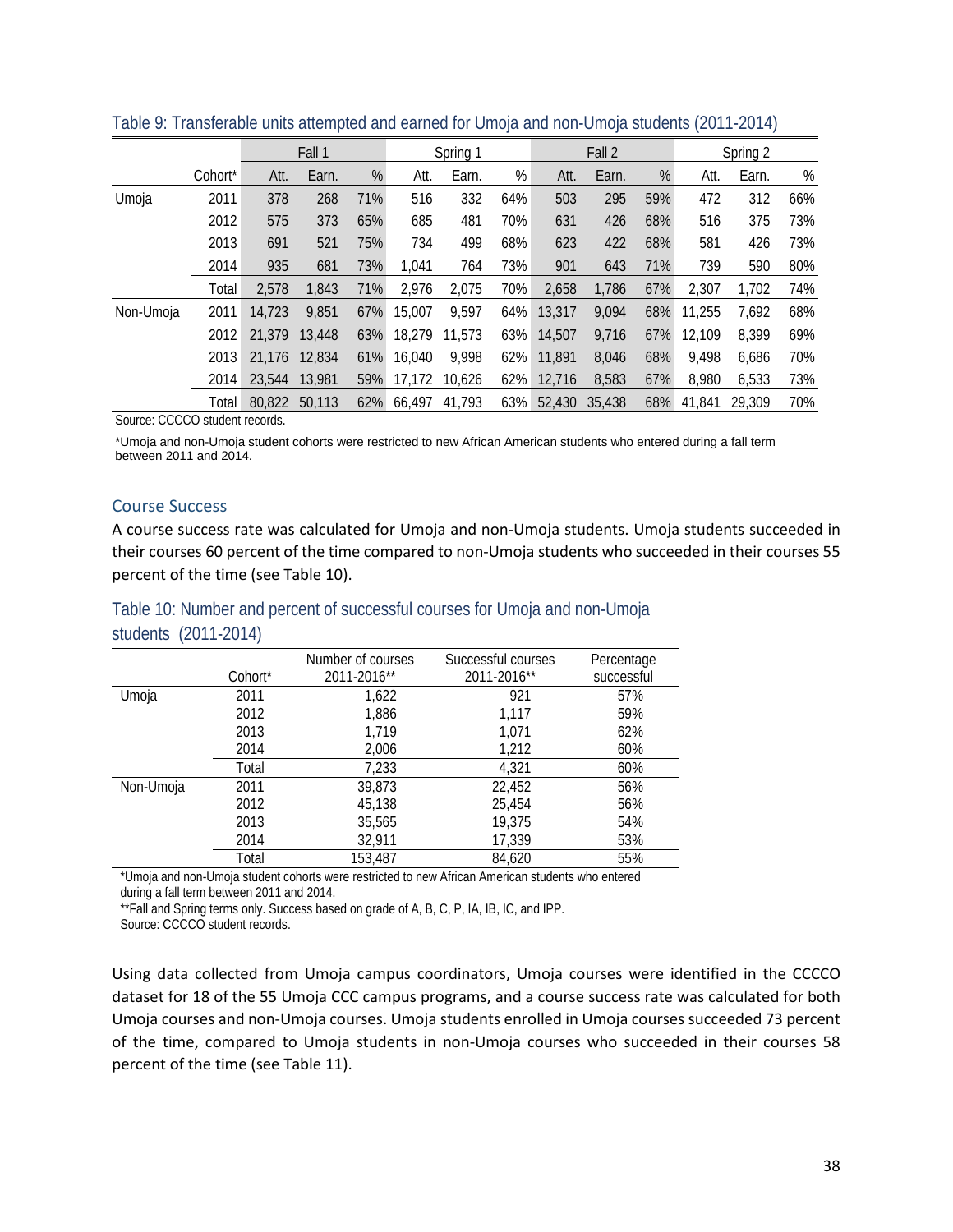|           |                     |        | Fall 1 |     | Spring 1 |        | Fall 2 |        |        | Spring 2 |        |        |     |
|-----------|---------------------|--------|--------|-----|----------|--------|--------|--------|--------|----------|--------|--------|-----|
|           | Cohort <sup>*</sup> | Att.   | Earn.  | %   | Att.     | Earn.  | %      | Att.   | Earn.  | %        | Att.   | Earn.  | %   |
| Umoja     | 2011                | 378    | 268    | 71% | 516      | 332    | 64%    | 503    | 295    | 59%      | 472    | 312    | 66% |
|           | 2012                | 575    | 373    | 65% | 685      | 481    | 70%    | 631    | 426    | 68%      | 516    | 375    | 73% |
|           | 2013                | 691    | 521    | 75% | 734      | 499    | 68%    | 623    | 422    | 68%      | 581    | 426    | 73% |
|           | 2014                | 935    | 681    | 73% | 1.041    | 764    | 73%    | 901    | 643    | 71%      | 739    | 590    | 80% |
|           | Total               | 2,578  | 1,843  | 71% | 2,976    | 2,075  | 70%    | 2,658  | 1,786  | 67%      | 2,307  | 1,702  | 74% |
| Non-Umoja | 2011                | 14,723 | 9,851  | 67% | 15,007   | 9,597  | 64%    | 13,317 | 9,094  | 68%      | 11,255 | 7,692  | 68% |
|           | 2012                | 21,379 | 13.448 | 63% | 18.279   | 11,573 | 63%    | 14,507 | 9,716  | 67%      | 12,109 | 8.399  | 69% |
|           | 2013                | 21,176 | 12,834 | 61% | 16,040   | 9,998  | 62%    | 11,891 | 8,046  | 68%      | 9,498  | 6,686  | 70% |
|           | 2014                | 23,544 | 13,981 | 59% | 17.172   | 10.626 | 62%    | 12.716 | 8,583  | 67%      | 8,980  | 6,533  | 73% |
|           | Total               | 80,822 | 50.113 | 62% | 66.497   | 41,793 | 63%    | 52,430 | 35,438 | 68%      | 41.841 | 29,309 | 70% |

<span id="page-39-0"></span>Table 9: Transferable units attempted and earned for Umoja and non-Umoja students (2011-2014)

Source: CCCCO student records.

\*Umoja and non-Umoja student cohorts were restricted to new African American students who entered during a fall term between 2011 and 2014.

#### Course Success

A course success rate was calculated for Umoja and non-Umoja students. Umoja students succeeded in their courses 60 percent of the time compared to non-Umoja students who succeeded in their courses 55 percent of the time (see Table 10).

<span id="page-39-1"></span>

| Table 10: Number and percent of successful courses for Umoja and non-Umoja |  |  |  |  |  |  |
|----------------------------------------------------------------------------|--|--|--|--|--|--|
| students (2011-2014)                                                       |  |  |  |  |  |  |

|           |         | Number of courses | Successful courses | Percentage |
|-----------|---------|-------------------|--------------------|------------|
|           | Cohort* | 2011-2016**       | 2011-2016**        | successful |
| Umoja     | 2011    | 1,622             | 921                | 57%        |
|           | 2012    | 1,886             | 1,117              | 59%        |
|           | 2013    | 1,719             | 1,071              | 62%        |
|           | 2014    | 2,006             | 1,212              | 60%        |
|           | Total   | 7,233             | 4,321              | 60%        |
| Non-Umoja | 2011    | 39,873            | 22,452             | 56%        |
|           | 2012    | 45,138            | 25.454             | 56%        |
|           | 2013    | 35,565            | 19,375             | 54%        |
|           | 2014    | 32,911            | 17,339             | 53%        |
|           | Total   | 153,487           | 84,620             | 55%        |

\*Umoja and non-Umoja student cohorts were restricted to new African American students who entered during a fall term between 2011 and 2014.

\*\*Fall and Spring terms only. Success based on grade of A, B, C, P, IA, IB, IC, and IPP.

Source: CCCCO student records.

Using data collected from Umoja campus coordinators, Umoja courses were identified in the CCCCO dataset for 18 of the 55 Umoja CCC campus programs, and a course success rate was calculated for both Umoja courses and non-Umoja courses. Umoja students enrolled in Umoja courses succeeded 73 percent of the time, compared to Umoja students in non-Umoja courses who succeeded in their courses 58 percent of the time (see Table 11).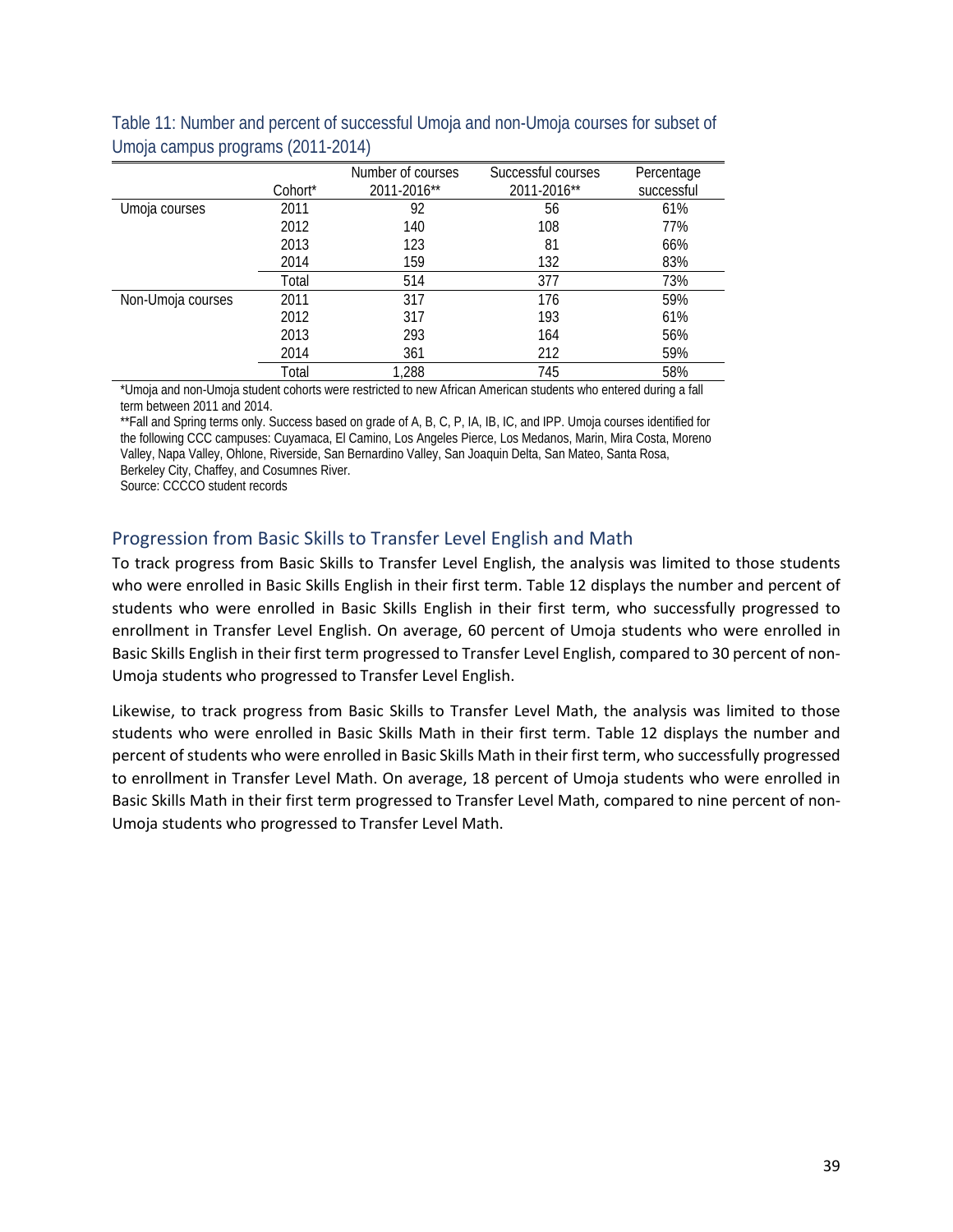|                   | Cohort <sup>*</sup> | Number of courses<br>2011-2016** | Successful courses<br>2011-2016** | Percentage<br>successful |
|-------------------|---------------------|----------------------------------|-----------------------------------|--------------------------|
| Umoja courses     | 2011                | 92                               | 56                                | 61%                      |
|                   | 2012                | 140                              | 108                               | 77%                      |
|                   | 2013                | 123                              | 81                                | 66%                      |
|                   | 2014                | 159                              | 132                               | 83%                      |
|                   | Total               | 514                              | 377                               | 73%                      |
| Non-Umoja courses | 2011                | 317                              | 176                               | 59%                      |
|                   | 2012                | 317                              | 193                               | 61%                      |
|                   | 2013                | 293                              | 164                               | 56%                      |
|                   | 2014                | 361                              | 212                               | 59%                      |
|                   | Total               | 1,288                            | 745                               | 58%                      |

<span id="page-40-1"></span>Table 11: Number and percent of successful Umoja and non-Umoja courses for subset of Umoja campus programs (2011-2014)

\*Umoja and non-Umoja student cohorts were restricted to new African American students who entered during a fall term between 2011 and 2014.

\*\*Fall and Spring terms only. Success based on grade of A, B, C, P, IA, IB, IC, and IPP. Umoja courses identified for the following CCC campuses: Cuyamaca, El Camino, Los Angeles Pierce, Los Medanos, Marin, Mira Costa, Moreno Valley, Napa Valley, Ohlone, Riverside, San Bernardino Valley, San Joaquin Delta, San Mateo, Santa Rosa,

Berkeley City, Chaffey, and Cosumnes River.

Source: CCCCO student records

## <span id="page-40-0"></span>Progression from Basic Skills to Transfer Level English and Math

To track progress from Basic Skills to Transfer Level English, the analysis was limited to those students who were enrolled in Basic Skills English in their first term. Table 12 displays the number and percent of students who were enrolled in Basic Skills English in their first term, who successfully progressed to enrollment in Transfer Level English. On average, 60 percent of Umoja students who were enrolled in Basic Skills English in their first term progressed to Transfer Level English, compared to 30 percent of non-Umoja students who progressed to Transfer Level English.

Likewise, to track progress from Basic Skills to Transfer Level Math, the analysis was limited to those students who were enrolled in Basic Skills Math in their first term. Table 12 displays the number and percent of students who were enrolled in Basic Skills Math in their first term, who successfully progressed to enrollment in Transfer Level Math. On average, 18 percent of Umoja students who were enrolled in Basic Skills Math in their first term progressed to Transfer Level Math, compared to nine percent of non-Umoja students who progressed to Transfer Level Math.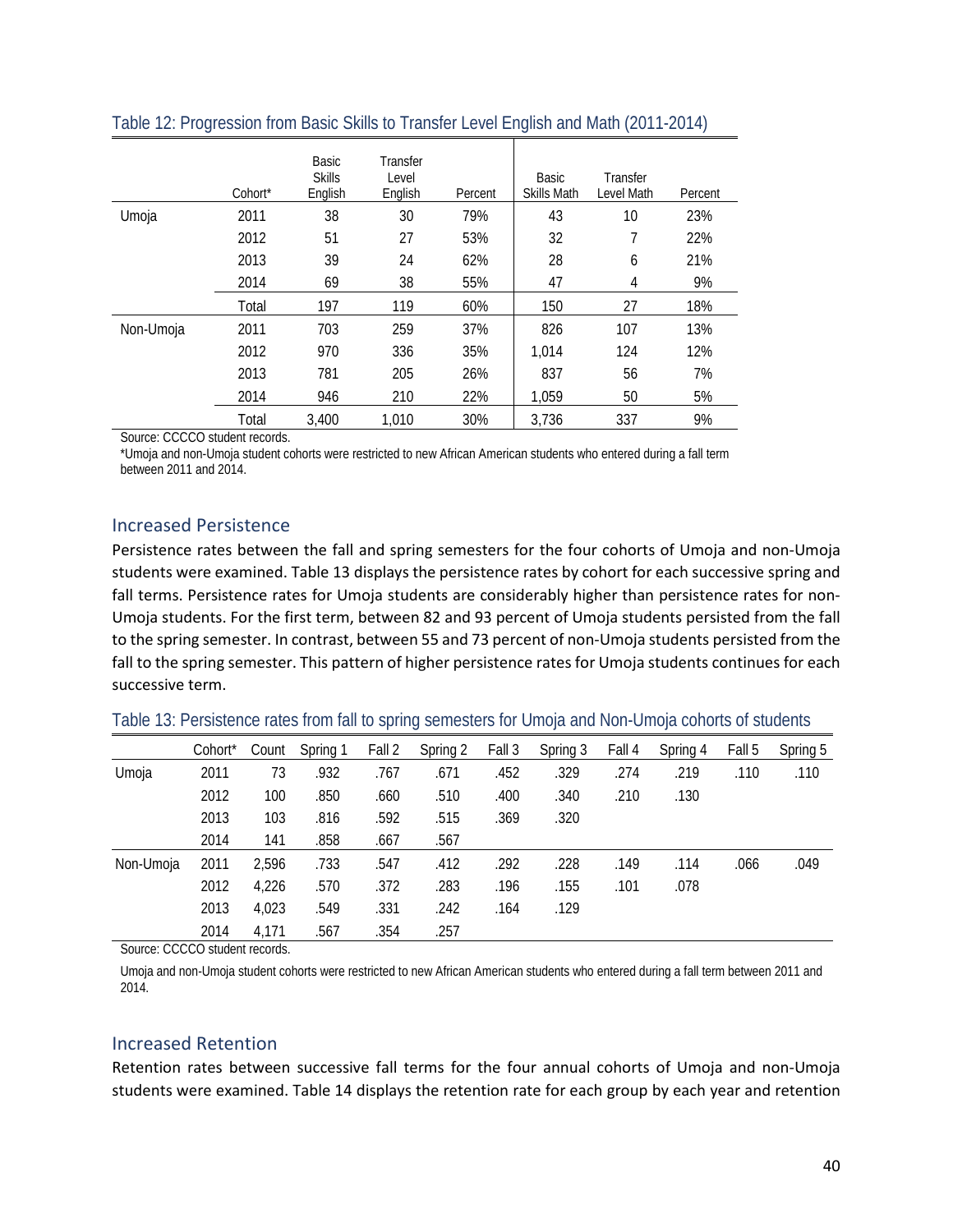|           | Cohort* | Basic<br><b>Skills</b><br>English | Transfer<br>Level<br>English | Percent | Basic<br><b>Skills Math</b> | Transfer<br>Level Math | Percent |
|-----------|---------|-----------------------------------|------------------------------|---------|-----------------------------|------------------------|---------|
| Umoja     | 2011    | 38                                | 30                           | 79%     | 43                          | 10                     | 23%     |
|           | 2012    | 51                                | 27                           | 53%     | 32                          | 7                      | 22%     |
|           | 2013    | 39                                | 24                           | 62%     | 28                          | 6                      | 21%     |
|           | 2014    | 69                                | 38                           | 55%     | 47                          | 4                      | 9%      |
|           | Total   | 197                               | 119                          | 60%     | 150                         | 27                     | 18%     |
| Non-Umoja | 2011    | 703                               | 259                          | 37%     | 826                         | 107                    | 13%     |
|           | 2012    | 970                               | 336                          | 35%     | 1,014                       | 124                    | 12%     |
|           | 2013    | 781                               | 205                          | 26%     | 837                         | 56                     | 7%      |
|           | 2014    | 946                               | 210                          | 22%     | 1,059                       | 50                     | 5%      |
|           | Total   | 3.400                             | 1,010                        | 30%     | 3,736                       | 337                    | 9%      |

#### <span id="page-41-2"></span>Table 12: Progression from Basic Skills to Transfer Level English and Math (2011-2014)

Source: CCCCO student records.

\*Umoja and non-Umoja student cohorts were restricted to new African American students who entered during a fall term between 2011 and 2014.

#### <span id="page-41-0"></span>Increased Persistence

Persistence rates between the fall and spring semesters for the four cohorts of Umoja and non-Umoja students were examined. Table 13 displays the persistence rates by cohort for each successive spring and fall terms. Persistence rates for Umoja students are considerably higher than persistence rates for non-Umoja students. For the first term, between 82 and 93 percent of Umoja students persisted from the fall to the spring semester. In contrast, between 55 and 73 percent of non-Umoja students persisted from the fall to the spring semester. This pattern of higher persistence rates for Umoja students continues for each successive term.

<span id="page-41-3"></span>

|           | Cohort <sup>*</sup> | Count | Spring 1 | Fall 2 | Spring 2 | Fall 3 | Spring 3 | Fall 4 | Spring 4 | Fall 5 | Spring 5 |
|-----------|---------------------|-------|----------|--------|----------|--------|----------|--------|----------|--------|----------|
| Umoja     | 2011                | 73    | .932     | .767   | .671     | .452   | .329     | .274   | .219     | .110   | .110     |
|           | 2012                | 100   | .850     | .660   | .510     | .400   | .340     | .210   | .130     |        |          |
|           | 2013                | 103   | .816     | .592   | .515     | .369   | .320     |        |          |        |          |
|           | 2014                | 141   | .858     | .667   | .567     |        |          |        |          |        |          |
| Non-Umoja | 2011                | 2,596 | .733     | .547   | .412     | .292   | .228     | .149   | .114     | .066   | .049     |
|           | 2012                | 4,226 | .570     | .372   | .283     | .196   | .155     | .101   | .078     |        |          |
|           | 2013                | 4,023 | .549     | .331   | .242     | .164   | .129     |        |          |        |          |
|           | 2014                | 4.171 | .567     | .354   | .257     |        |          |        |          |        |          |

Source: CCCCO student records.

Umoja and non-Umoja student cohorts were restricted to new African American students who entered during a fall term between 2011 and 2014.

#### <span id="page-41-1"></span>Increased Retention

Retention rates between successive fall terms for the four annual cohorts of Umoja and non-Umoja students were examined. Table 14 displays the retention rate for each group by each year and retention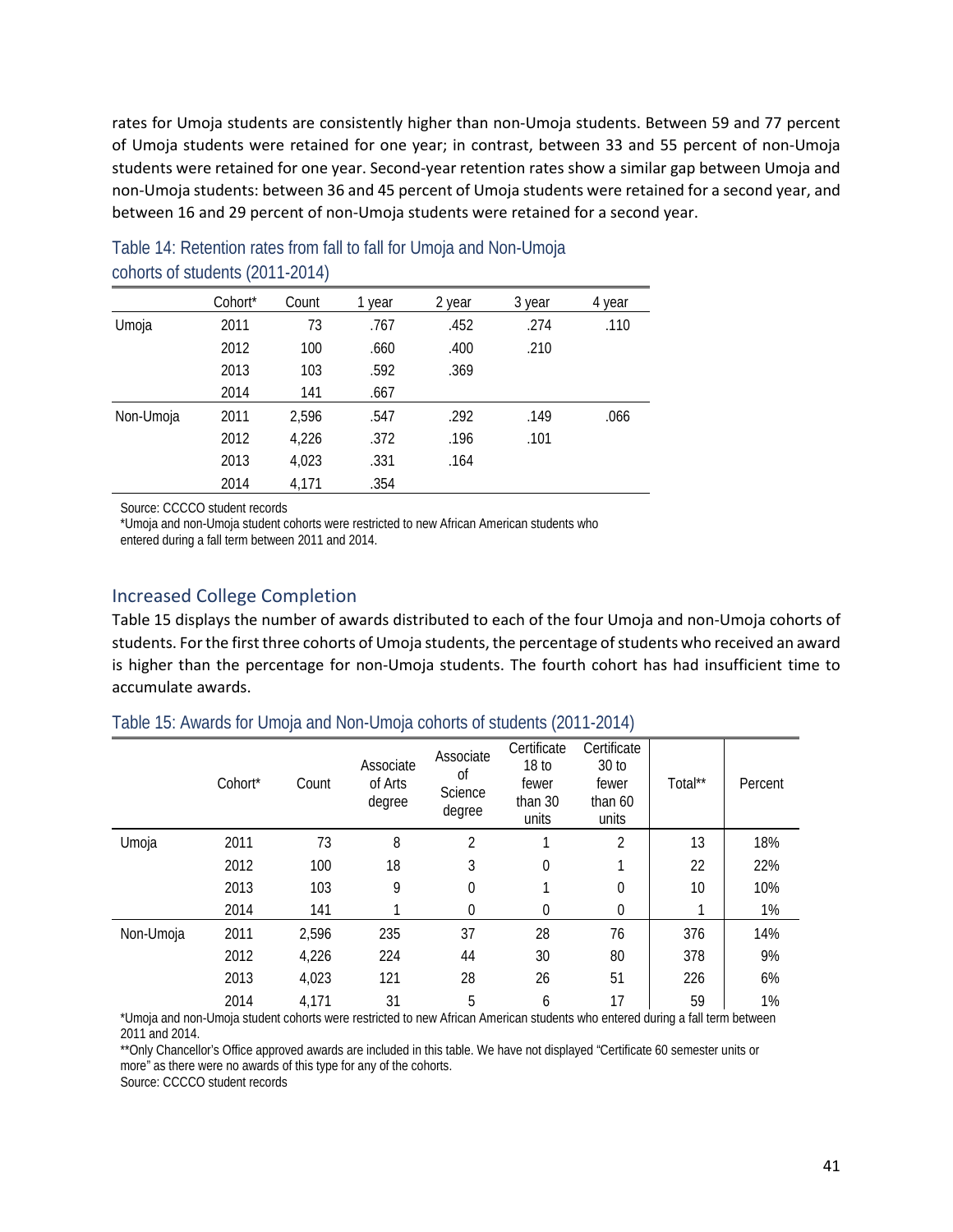rates for Umoja students are consistently higher than non-Umoja students. Between 59 and 77 percent of Umoja students were retained for one year; in contrast, between 33 and 55 percent of non-Umoja students were retained for one year. Second-year retention rates show a similar gap between Umoja and non-Umoja students: between 36 and 45 percent of Umoja students were retained for a second year, and between 16 and 29 percent of non-Umoja students were retained for a second year.

|           | Cohort* | Count | 1 year | 2 year | 3 year | 4 year |
|-----------|---------|-------|--------|--------|--------|--------|
| Umoja     | 2011    | 73    | .767   | .452   | .274   | .110   |
|           | 2012    | 100   | .660   | .400   | .210   |        |
|           | 2013    | 103   | .592   | .369   |        |        |
|           | 2014    | 141   | .667   |        |        |        |
| Non-Umoja | 2011    | 2.596 | .547   | .292   | .149   | .066   |
|           | 2012    | 4,226 | .372   | .196   | .101   |        |
|           | 2013    | 4,023 | .331   | .164   |        |        |
|           | 2014    | 4.171 | .354   |        |        |        |

<span id="page-42-1"></span>Table 14: Retention rates from fall to fall for Umoja and Non-Umoja cohorts of students (2011-2014)

Source: CCCCO student records

\*Umoja and non-Umoja student cohorts were restricted to new African American students who

entered during a fall term between 2011 and 2014.

## <span id="page-42-0"></span>Increased College Completion

Table 15 displays the number of awards distributed to each of the four Umoja and non-Umoja cohorts of students. For the first three cohorts of Umoja students, the percentage of students who received an award is higher than the percentage for non-Umoja students. The fourth cohort has had insufficient time to accumulate awards.

<span id="page-42-2"></span>

| Table 15: Awards for Umoja and Non-Umoja cohorts of students (2011-2014) |  |  |
|--------------------------------------------------------------------------|--|--|
|--------------------------------------------------------------------------|--|--|

|           | Cohort* | Count | Associate<br>of Arts<br>degree | Associate<br>Οf<br>Science<br>degree | Certificate<br>18 <sub>to</sub><br>fewer<br>than 30<br>units | Certificate<br>30 <sub>to</sub><br>fewer<br>than $60$<br>units | Total** | Percent |
|-----------|---------|-------|--------------------------------|--------------------------------------|--------------------------------------------------------------|----------------------------------------------------------------|---------|---------|
| Umoja     | 2011    | 73    | 8                              | $\overline{2}$                       | ◢                                                            | 2                                                              | 13      | 18%     |
|           | 2012    | 100   | 18                             | 3                                    | 0                                                            |                                                                | 22      | 22%     |
|           | 2013    | 103   | 9                              | 0                                    |                                                              | 0                                                              | 10      | 10%     |
|           | 2014    | 141   |                                | 0                                    | $\theta$                                                     | 0                                                              |         | 1%      |
| Non-Umoja | 2011    | 2,596 | 235                            | 37                                   | 28                                                           | 76                                                             | 376     | 14%     |
|           | 2012    | 4,226 | 224                            | 44                                   | 30                                                           | 80                                                             | 378     | 9%      |
|           | 2013    | 4,023 | 121                            | 28                                   | 26                                                           | 51                                                             | 226     | 6%      |
|           | 2014    | 4,171 | 31                             | 5                                    | 6                                                            | 17                                                             | 59      | 1%      |

\*Umoja and non-Umoja student cohorts were restricted to new African American students who entered during a fall term between 2011 and 2014.

\*\*Only Chancellor's Office approved awards are included in this table. We have not displayed "Certificate 60 semester units or more" as there were no awards of this type for any of the cohorts.

Source: CCCCO student records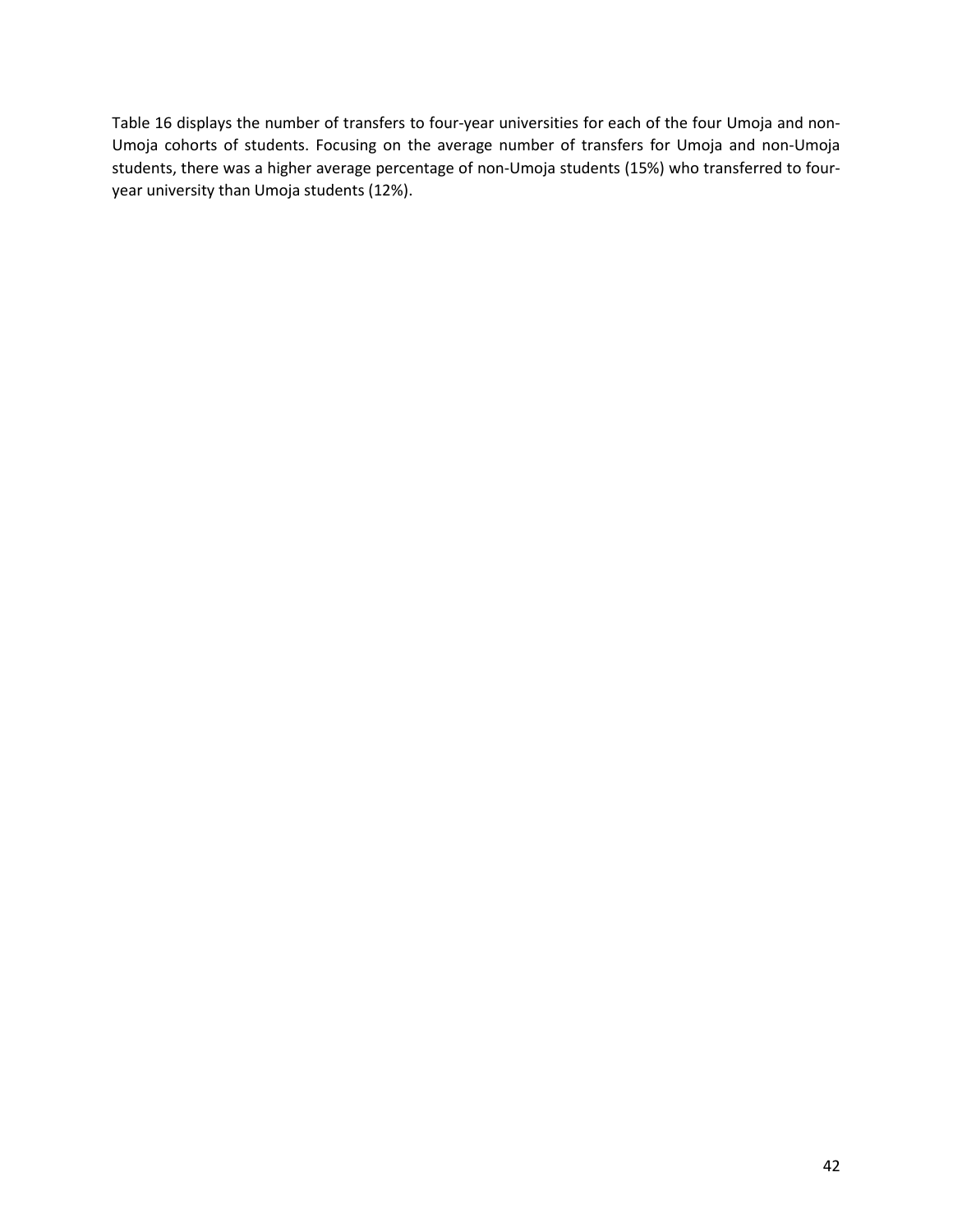Table 16 displays the number of transfers to four-year universities for each of the four Umoja and non-Umoja cohorts of students. Focusing on the average number of transfers for Umoja and non-Umoja students, there was a higher average percentage of non-Umoja students (15%) who transferred to fouryear university than Umoja students (12%).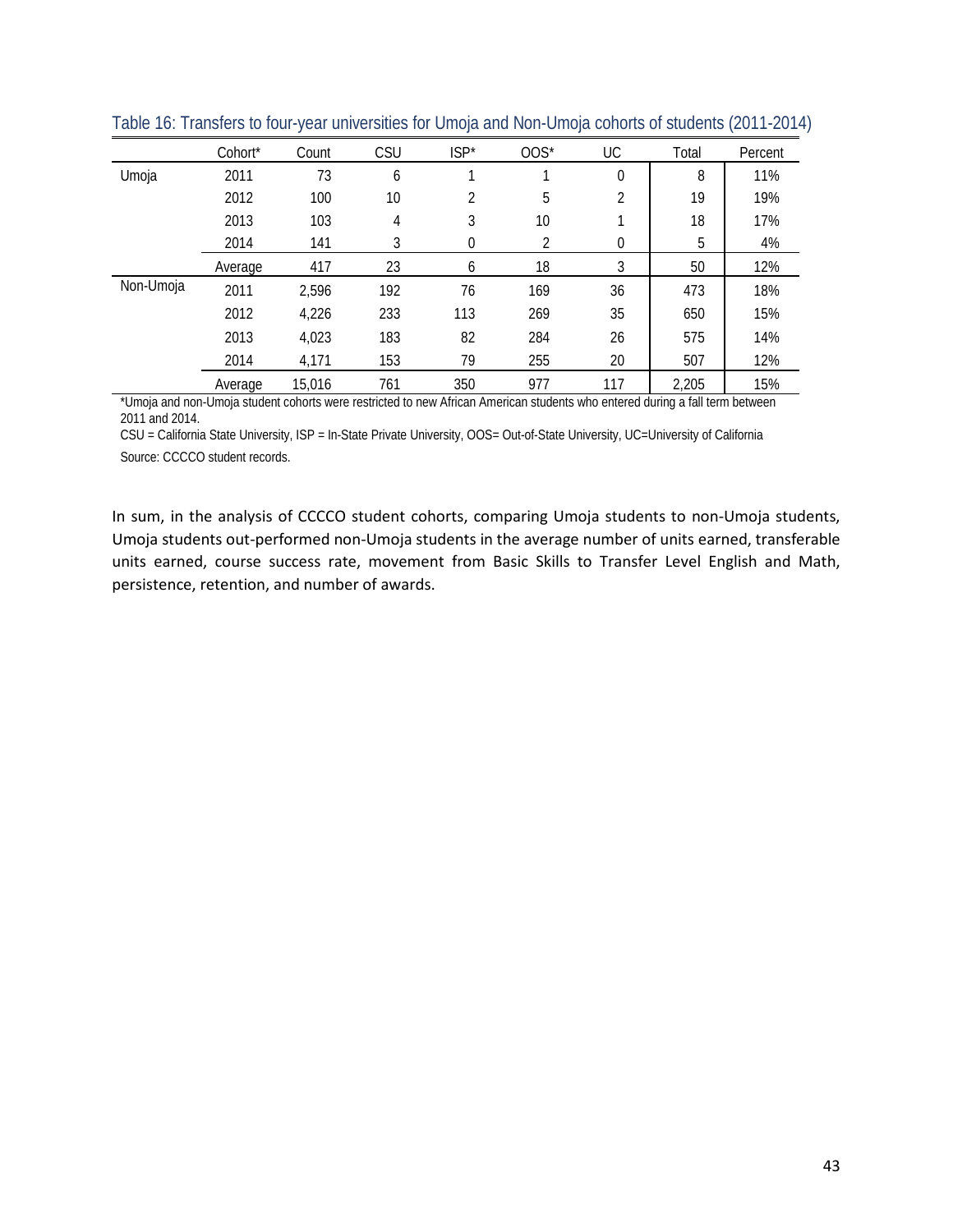|           | Cohort* | Count  | CSU | $ISP*$ | $00S*$ | UC          | Total | Percent |
|-----------|---------|--------|-----|--------|--------|-------------|-------|---------|
| Umoja     | 2011    | 73     | 6   |        |        | 0           | 8     | 11%     |
|           | 2012    | 100    | 10  | 2      | 5      | C.          | 19    | 19%     |
|           | 2013    | 103    | 4   | 3      | 10     |             | 18    | 17%     |
|           | 2014    | 141    | 3   | 0      | 2      | $\mathbf 0$ | 5     | 4%      |
|           | Average | 417    | 23  | 6      | 18     | 3           | 50    | 12%     |
| Non-Umoja | 2011    | 2,596  | 192 | 76     | 169    | 36          | 473   | 18%     |
|           | 2012    | 4,226  | 233 | 113    | 269    | 35          | 650   | 15%     |
|           | 2013    | 4,023  | 183 | 82     | 284    | 26          | 575   | 14%     |
|           | 2014    | 4,171  | 153 | 79     | 255    | 20          | 507   | 12%     |
|           | Average | 15,016 | 761 | 350    | 977    | 117         | 2,205 | 15%     |

<span id="page-44-0"></span>Table 16: Transfers to four-year universities for Umoja and Non-Umoja cohorts of students (2011-2014)

\*Umoja and non-Umoja student cohorts were restricted to new African American students who entered during a fall term between 2011 and 2014.

CSU = California State University, ISP = In-State Private University, OOS= Out-of-State University, UC=University of California Source: CCCCO student records.

In sum, in the analysis of CCCCO student cohorts, comparing Umoja students to non-Umoja students, Umoja students out-performed non-Umoja students in the average number of units earned, transferable units earned, course success rate, movement from Basic Skills to Transfer Level English and Math, persistence, retention, and number of awards.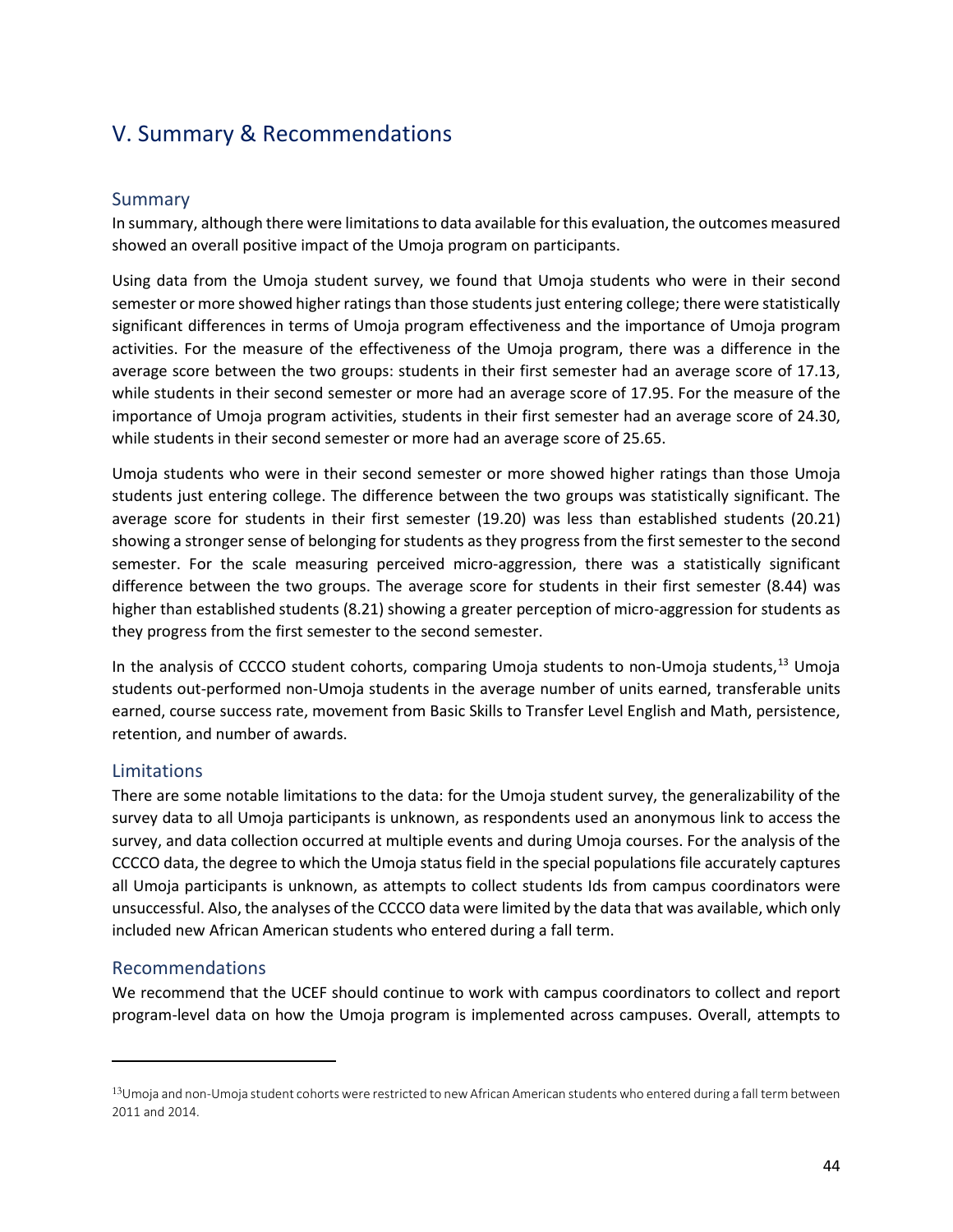## <span id="page-45-0"></span>V. Summary & Recommendations

#### <span id="page-45-1"></span>Summary

In summary, although there were limitations to data available for this evaluation, the outcomes measured showed an overall positive impact of the Umoja program on participants.

Using data from the Umoja student survey, we found that Umoja students who were in their second semester or more showed higher ratings than those students just entering college; there were statistically significant differences in terms of Umoja program effectiveness and the importance of Umoja program activities. For the measure of the effectiveness of the Umoja program, there was a difference in the average score between the two groups: students in their first semester had an average score of 17.13, while students in their second semester or more had an average score of 17.95. For the measure of the importance of Umoja program activities, students in their first semester had an average score of 24.30, while students in their second semester or more had an average score of 25.65.

Umoja students who were in their second semester or more showed higher ratings than those Umoja students just entering college. The difference between the two groups was statistically significant. The average score for students in their first semester (19.20) was less than established students (20.21) showing a stronger sense of belonging for students as they progress from the first semester to the second semester. For the scale measuring perceived micro-aggression, there was a statistically significant difference between the two groups. The average score for students in their first semester (8.44) was higher than established students (8.21) showing a greater perception of micro-aggression for students as they progress from the first semester to the second semester.

In the analysis of CCCCO student cohorts, comparing Umoja students to non-Umoja students, [13](#page-45-4) Umoja students out-performed non-Umoja students in the average number of units earned, transferable units earned, course success rate, movement from Basic Skills to Transfer Level English and Math, persistence, retention, and number of awards.

#### <span id="page-45-2"></span>Limitations

There are some notable limitations to the data: for the Umoja student survey, the generalizability of the survey data to all Umoja participants is unknown, as respondents used an anonymous link to access the survey, and data collection occurred at multiple events and during Umoja courses. For the analysis of the CCCCO data, the degree to which the Umoja status field in the special populations file accurately captures all Umoja participants is unknown, as attempts to collect students Ids from campus coordinators were unsuccessful. Also, the analyses of the CCCCO data were limited by the data that was available, which only included new African American students who entered during a fall term.

#### <span id="page-45-3"></span>Recommendations

l

We recommend that the UCEF should continue to work with campus coordinators to collect and report program-level data on how the Umoja program is implemented across campuses. Overall, attempts to

<span id="page-45-4"></span><sup>13</sup>Umoja and non-Umoja student cohorts were restricted to new African American students who entered during a fall term between 2011 and 2014.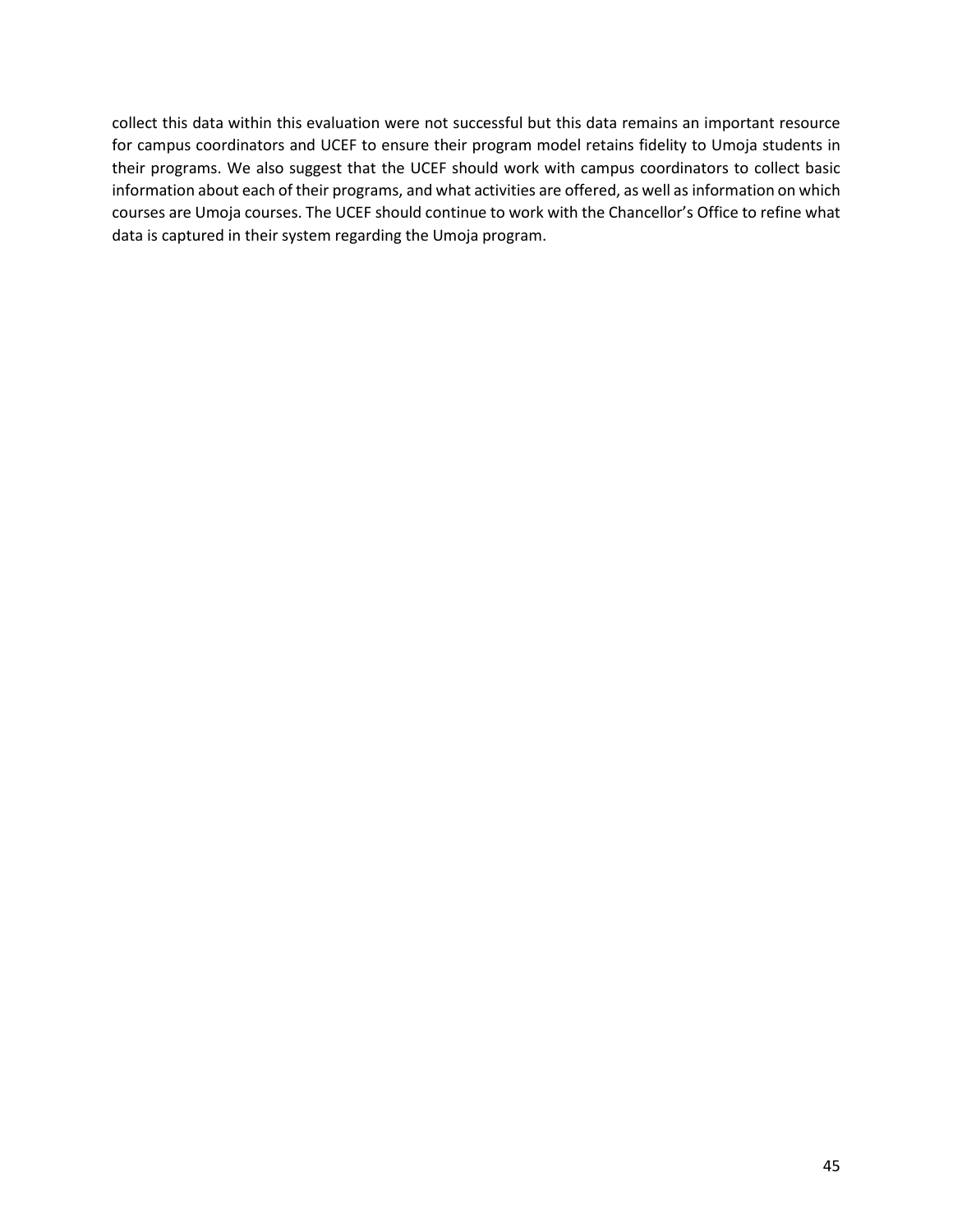collect this data within this evaluation were not successful but this data remains an important resource for campus coordinators and UCEF to ensure their program model retains fidelity to Umoja students in their programs. We also suggest that the UCEF should work with campus coordinators to collect basic information about each of their programs, and what activities are offered, as well as information on which courses are Umoja courses. The UCEF should continue to work with the Chancellor's Office to refine what data is captured in their system regarding the Umoja program.